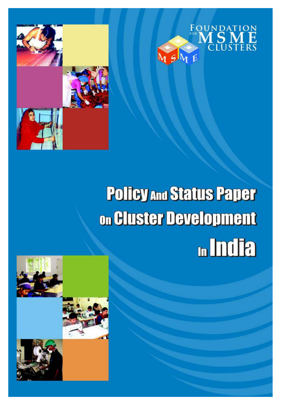



# **Policy And Status Paper** on Cluster Development **n**India

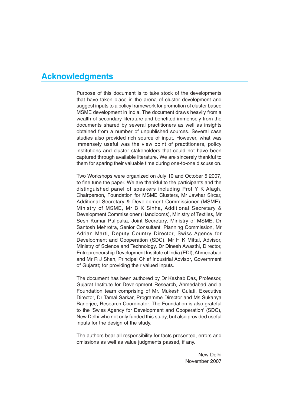### **Acknowledgments**

Purpose of this document is to take stock of the developments that have taken place in the arena of cluster development and suggest inputs to a policy framework for promotion of cluster based MSME development in India. The document draws heavily from a wealth of secondary literature and benefited immensely from the documents shared by several practitioners as well as insights obtained from a number of unpublished sources. Several case studies also provided rich source of input. However, what was immensely useful was the view point of practitioners, policy institutions and cluster stakeholders that could not have been captured through available literature. We are sincerely thankful to them for sparing their valuable time during one-to-one discussion.

Two Workshops were organized on July 10 and October 5 2007, to fine tune the paper. We are thankful to the participants and the distinguished panel of speakers including Prof Y K Alagh, Chairperson, Foundation for MSME Clusters, Mr Jawhar Sircar, Additional Secretary & Development Commissioner (MSME), Ministry of MSME, Mr B K Sinha, Additional Secretary & Development Commissioner (Handlooms), Ministry of Textiles, Mr Sesh Kumar Pulipaka, Joint Secretary, Ministry of MSME, Dr Santosh Mehrotra, Senior Consultant, Planning Commission, Mr Adrian Marti, Deputy Country Director, Swiss Agency for Development and Cooperation (SDC), Mr H K Mittal, Advisor, Ministry of Science and Technology, Dr Dinesh Awasthi, Director, Entrepreneurship Development Institute of India (EDI), Ahmedabad and Mr R J Shah, Principal Chief Industrial Advisor, Government of Gujarat; for providing their valued inputs.

The document has been authored by Dr Keshab Das, Professor, Gujarat Institute for Development Research, Ahmedabad and a Foundation team comprising of Mr. Mukesh Gulati, Executive Director, Dr Tamal Sarkar, Programme Director and Ms Sukanya Banerjee, Research Coordinator. The Foundation is also grateful to the 'Swiss Agency for Development and Cooperation' (SDC), New Delhi who not only funded this study, but also provided useful inputs for the design of the study.

The authors bear all responsibility for facts presented, errors and omissions as well as value judgments passed, if any.

> New Delhi November 2007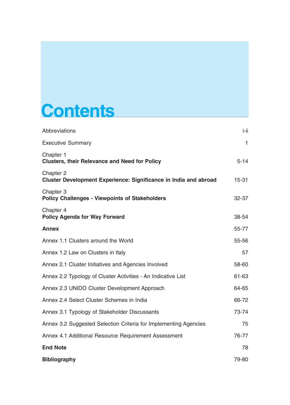## **Contents**

| <b>Abbreviations</b>                                                                 | i-ii         |
|--------------------------------------------------------------------------------------|--------------|
| <b>Executive Summary</b>                                                             | $\mathbf{1}$ |
| Chapter 1<br><b>Clusters, their Relevance and Need for Policy</b>                    | $5 - 14$     |
| Chapter 2<br><b>Cluster Development Experience: Significance in India and abroad</b> | $15 - 31$    |
| Chapter 3<br><b>Policy Challenges - Viewpoints of Stakeholders</b>                   | 32-37        |
| Chapter 4<br><b>Policy Agenda for Way Forward</b>                                    | 38-54        |
| <b>Annex</b>                                                                         | 55-77        |
| Annex 1.1 Clusters around the World                                                  | 55-56        |
| Annex 1.2 Law on Clusters in Italy                                                   | 57           |
| Annex 2.1 Cluster Initiatives and Agencies Involved                                  | 58-60        |
| Annex 2.2 Typology of Cluster Activities - An Indicative List                        | 61-63        |
| Annex 2.3 UNIDO Cluster Development Approach                                         | 64-65        |
| Annex 2.4 Select Cluster Schemes in India                                            | 66-72        |
| Annex 3.1 Typology of Stakeholder Discussants                                        | 73-74        |
| Annex 3.2 Suggested Selection Criteria for Implementing Agencies                     | 75           |
| Annex 4.1 Additional Resource Requirement Assessment                                 | 76-77        |
| <b>End Note</b>                                                                      | 78           |
| <b>Bibliography</b>                                                                  | 79-80        |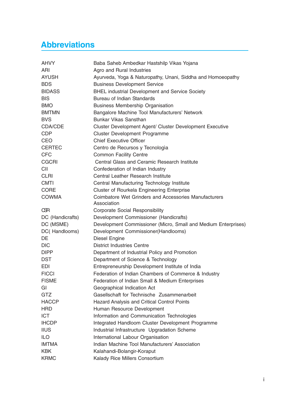## **Abbreviations**

| <b>AHVY</b>      | Baba Saheb Ambedkar Hastshilp Vikas Yojana                     |
|------------------|----------------------------------------------------------------|
| ARI              | Agro and Rural Industries                                      |
| <b>AYUSH</b>     | Ayurveda, Yoga & Naturopathy, Unani, Siddha and Homoeopathy    |
| <b>BDS</b>       | <b>Business Development Service</b>                            |
| <b>BIDASS</b>    | <b>BHEL industrial Development and Service Society</b>         |
| <b>BIS</b>       | Bureau of Indian Standards                                     |
| <b>BMO</b>       | <b>Business Membership Organisation</b>                        |
| <b>BMTMN</b>     | Bangalore Machine Tool Manufacturers' Network                  |
| <b>BVS</b>       | <b>Bunkar Vikas Sansthan</b>                                   |
| CDA/CDE          | Cluster Development Agent/ Cluster Development Executive       |
| <b>CDP</b>       | <b>Cluster Development Programme</b>                           |
| <b>CEO</b>       | <b>Chief Executive Officer</b>                                 |
| <b>CERTEC</b>    | Centro de Recursos y Tecnología                                |
| <b>CFC</b>       | <b>Common Facility Centre</b>                                  |
| <b>CGCRI</b>     | Central Glass and Ceramic Research Institute                   |
| CII              | Confederation of Indian Industry                               |
| <b>CLRI</b>      | Central Leather Research Institute                             |
| <b>CMTI</b>      | Central Manufacturing Technology Institute                     |
| <b>CORE</b>      | <b>Cluster of Rourkela Engineering Enterprise</b>              |
| <b>COWMA</b>     | Coimbatore Wet Grinders and Accessories Manufacturers          |
|                  | Association                                                    |
| <b>CSR</b>       | <b>Corporate Social Responsibility</b>                         |
| DC (Handicrafts) | Development Commissioner (Handicrafts)                         |
| DC (MSME)        | Development Commissioner (Micro, Small and Medium Enterprises) |
| DC(Handlooms)    | Development Commissioner(Handlooms)                            |
| DE               | <b>Diesel Engine</b>                                           |
| <b>DIC</b>       | <b>District Industries Centre</b>                              |
| <b>DIPP</b>      | Department of Industrial Policy and Promotion                  |
| <b>DST</b>       | Department of Science & Technology                             |
| <b>EDI</b>       | Entrepreneurship Development Institute of India                |
| <b>FICCI</b>     | Federation of Indian Chambers of Commerce & Industry           |
| <b>FISME</b>     | Federation of Indian Small & Medium Enterprises                |
| GI               | Geographical Indication Act                                    |
| <b>GTZ</b>       | Gasellschaft for Technische Zusammenarbeit                     |
| <b>HACCP</b>     | <b>Hazard Analysis and Critical Control Points</b>             |
| <b>HRD</b>       | Human Resource Development                                     |
| <b>ICT</b>       | Information and Communication Technologies                     |
| <b>IHCDP</b>     | Integrated Handloom Cluster Development Programme              |
| <b>IIUS</b>      | Industrial Infrastructure Upgradation Scheme                   |
| <b>ILO</b>       | International Labour Organisation                              |
| <b>IMTMA</b>     | Indian Machine Tool Manufacturers' Association                 |
| <b>KBK</b>       | Kalahandi-Bolangir-Koraput                                     |
| <b>KRMC</b>      | Kalady Rice Millers Consortium                                 |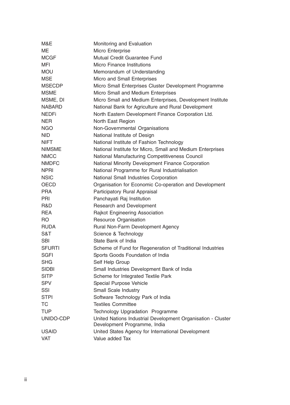| Monitoring and Evaluation                                                                    |
|----------------------------------------------------------------------------------------------|
| Micro Enterprise                                                                             |
| Mutual Credit Guarantee Fund                                                                 |
| <b>Micro Finance Institutions</b>                                                            |
| Memorandum of Understanding                                                                  |
| Micro and Small Enterprises                                                                  |
| Micro Small Enterprises Cluster Development Programme                                        |
| Micro Small and Medium Enterprises                                                           |
| Micro Small and Medium Enterprises, Development Institute                                    |
| National Bank for Agriculture and Rural Development                                          |
| North Eastern Development Finance Corporation Ltd.                                           |
| North East Region                                                                            |
| Non-Governmental Organisations                                                               |
| National Institute of Design                                                                 |
| National Institute of Fashion Technology                                                     |
| National Institute for Micro, Small and Medium Enterprises                                   |
| National Manufacturing Competitiveness Council                                               |
| National Minority Development Finance Corporation                                            |
| National Programme for Rural Industrialisation                                               |
| National Small Industries Corporation                                                        |
| Organisation for Economic Co-operation and Development                                       |
| Participatory Rural Appraisal                                                                |
| Panchayati Raj Institution                                                                   |
| <b>Research and Development</b>                                                              |
| Rajkot Engineering Association                                                               |
| <b>Resource Organisation</b>                                                                 |
| <b>Rural Non-Farm Development Agency</b>                                                     |
| Science & Technology                                                                         |
| State Bank of India                                                                          |
| Scheme of Fund for Regeneration of Traditional Industries                                    |
| Sports Goods Foundation of India                                                             |
| Self Help Group                                                                              |
| Small Industries Development Bank of India                                                   |
| Scheme for Integrated Textile Park                                                           |
| Special Purpose Vehicle                                                                      |
| <b>Small Scale Industry</b>                                                                  |
| Software Technology Park of India                                                            |
| <b>Textiles Committee</b>                                                                    |
| Technology Upgradation Programme                                                             |
| United Nations Industrial Development Organisation - Cluster<br>Development Programme, India |
| United States Agency for International Development                                           |
| Value added Tax                                                                              |
|                                                                                              |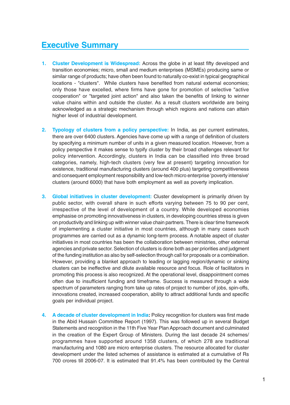## **Executive Summary**

- **1. Cluster Development is Widespread:** Across the globe in at least fifty developed and transition economies; micro, small and medium enterprises (MSMEs) producing same or similar range of products; have often been found to naturally co-exist in typical geographical locations - "clusters". While clusters have benefited from natural external economies; only those have excelled, where firms have gone for promotion of selective "active cooperation" or "targeted joint action" and also taken the benefits of linking to winner value chains within and outside the cluster. As a result clusters worldwide are being acknowledged as a strategic mechanism through which regions and nations can attain higher level of industrial development.
- **2. Typology of clusters from a policy perspective:** In India, as per current estimates, there are over 6400 clusters. Agencies have come up with a range of definition of clusters by specifying a minimum number of units in a given measured location. However, from a policy perspective it makes sense to typify cluster by their broad challenges relevant for policy intervention. Accordingly, clusters in India can be classified into three broad categories, namely, high-tech clusters (very few at present) targeting innovation for existence, traditional manufacturing clusters (around 400 plus) targeting competitiveness and consequent employment responsibility and low-tech micro enterprise 'poverty intensive' clusters (around 6000) that have both employment as well as poverty implication.
- **3. Global initiatives in cluster development:** Cluster development is primarily driven by public sector, with overall share in such efforts varying between 75 to 90 per cent, irrespective of the level of development of a country. While developed economies emphasise on promoting innovativeness in clusters, in developing countries stress is given on productivity and linking up with winner value chain partners. There is clear time framework of implementing a cluster initiative in most countries, although in many cases such programmes are carried out as a dynamic long-term process. A notable aspect of cluster initiatives in most countries has been the collaboration between ministries, other external agencies and private sector. Selection of clusters is done both as per priorities and judgment of the funding institution as also by self-selection through call for proposals or a combination. However, providing a blanket approach to leading or lagging region/dynamic or sinking clusters can be ineffective and dilute available resource and focus. Role of facilitators in promoting this process is also recognized. At the operational level, disappointment comes often due to insufficient funding and timeframe. Success is measured through a wide spectrum of parameters ranging from take up rates of project to number of jobs, spin-offs, innovations created, increased cooperation, ability to attract additional funds and specific goals per individual project.
- **4. A decade of cluster development in India:** Policy recognition for clusters was first made in the Abid Hussain Committee Report (1997). This was followed up in several Budget Statements and recognition in the 11th Five Year Plan Approach document and culminated in the creation of the Expert Group of Ministers. During the last decade 24 schemes/ programmes have supported around 1358 clusters, of which 278 are traditional manufacturing and 1080 are micro enterprise clusters. The resource allocated for cluster development under the listed schemes of assistance is estimated at a cumulative of Rs 700 crores till 2006-07. It is estimated that 91.4% has been contributed by the Central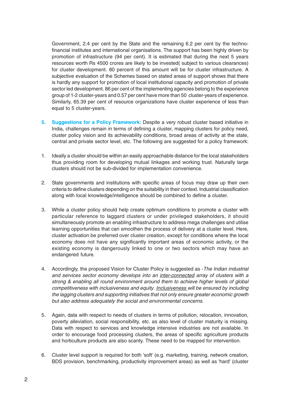Government, 2.4 per cent by the State and the remaining 6.2 per cent by the technofinancial institutes and international organisations. The support has been highly driven by promotion of infrastructure (94 per cent). It is estimated that during the next 5 years resources worth Rs 4500 crores are likely to be invested( subject to various clearances) for cluster development. 80 percent of this amount will be for cluster infrastructure. A subjective evaluation of the Schemes based on stated areas of support shows that there is hardly any support for promotion of local institutional capacity and promotion of private sector led development. 86 per cent of the implementing agencies belong to the experience group of 1-2 cluster-years and 0.57 per cent have more than 50 cluster-years of experience. Similarly, 65.39 per cent of resource organizations have cluster experience of less than equal to 5 cluster-years.

- **5. Suggestions for a Policy Framework:** Despite a very robust cluster based initiative in India, challenges remain in terms of defining a cluster, mapping clusters for policy need, cluster policy vision and its achievability conditions, broad areas of activity at the state, central and private sector level, etc. The following are suggested for a policy framework:
- 1. Ideally a cluster should be within an easily approachable distance for the local stakeholders thus providing room for developing mutual linkages and working trust. Naturally large clusters should not be sub-divided for implementation convenience.
- 2. State governments and institutions with specific areas of focus may draw up their own criteria to define clusters depending on the suitability in their context. Industrial classification along with local knowledge/intelligence should be combined to define a cluster.
- 3. While a cluster policy should help create optimum conditions to promote a cluster with particular reference to laggard clusters or under privileged stakeholders, it should simultaneously promote an enabling infrastructure to address mega challenges and utilise learning opportunities that can smoothen the process of delivery at a cluster level. Here, cluster activation be preferred over cluster creation, except for conditions where the local economy does not have any significantly important areas of economic activity, or the existing economy is dangerously linked to one or two sectors which may have an endangered future.
- 4. Accordingly, the proposed Vision for Cluster Policy is suggested as The Indian industrial and services sector economy develops into an inter-connected array of clusters with a strong & enabling all round environment around them to achieve higher levels of global competitiveness with inclusiveness and equity. Inclusiveness will be ensured by including the lagging clusters and supporting initiatives that not only ensure greater economic growth but also address adequately the social and environmental concerns.
- 5. Again, data with respect to needs of clusters in terms of pollution, relocation, innovation, poverty alleviation, social responsibility, etc. as also level of cluster maturity is missing. Data with respect to services and knowledge intensive industries are not available. In order to encourage food processing clusters, the areas of specific agriculture products and horticulture products are also scanty. These need to be mapped for intervention.
- 6. Cluster level support is required for both 'soft' (e.g. marketing, training, network creation, BDS provision, benchmarking, productivity improvement areas) as well as 'hard' (cluster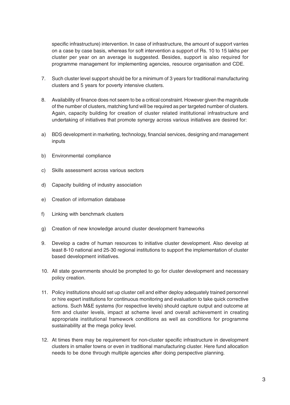specific infrastructure) intervention. In case of infrastructure, the amount of support varries on a case by case basis, whereas for soft intervention a support of Rs. 10 to 15 lakhs per cluster per year on an average is suggested. Besides, support is also required for programme management for implementing agencies, resource organisation and CDE.

- 7. Such cluster level support should be for a minimum of 3 years for traditional manufacturing clusters and 5 years for poverty intensive clusters.
- 8. Availability of finance does not seem to be a critical constraint. However given the magnitude of the number of clusters, matching fund will be required as per targeted number of clusters. Again, capacity building for creation of cluster related institutional infrastructure and undertaking of initiatives that promote synergy across various initiatives are desired for:
- a) BDS development in marketing, technology, financial services, designing and management inputs
- b) Environmental compliance
- c) Skills assessment across various sectors
- d) Capacity building of industry association
- e) Creation of information database
- f) Linking with benchmark clusters
- g) Creation of new knowledge around cluster development frameworks
- 9. Develop a cadre of human resources to initiative cluster development. Also develop at least 8-10 national and 25-30 regional institutions to support the implementation of cluster based development initiatives.
- 10. All state governments should be prompted to go for cluster development and necessary policy creation.
- 11. Policy institutions should set up cluster cell and either deploy adequately trained personnel or hire expert institutions for continuous monitoring and evaluation to take quick corrective actions. Such M&E systems (for respective levels) should capture output and outcome at firm and cluster levels, impact at scheme level and overall achievement in creating appropriate institutional framework conditions as well as conditions for programme sustainability at the mega policy level.
- 12. At times there may be requirement for non-cluster specific infrastructure in development clusters in smaller towns or even in traditional manufacturing cluster. Here fund allocation needs to be done through multiple agencies after doing perspective planning.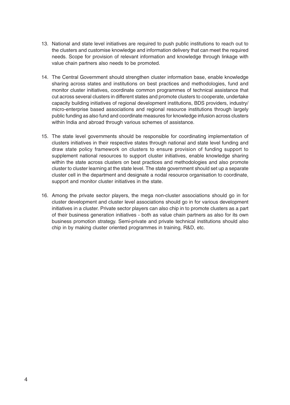- 13. National and state level initiatives are required to push public institutions to reach out to the clusters and customise knowledge and information delivery that can meet the required needs. Scope for provision of relevant information and knowledge through linkage with value chain partners also needs to be promoted.
- 14. The Central Government should strengthen cluster information base, enable knowledge sharing across states and institutions on best practices and methodologies, fund and monitor cluster initiatives, coordinate common programmes of technical assistance that cut across several clusters in different states and promote clusters to cooperate, undertake capacity building initiatives of regional development institutions, BDS providers, industry/ micro-enterprise based associations and regional resource institutions through largely public funding as also fund and coordinate measures for knowledge infusion across clusters within India and abroad through various schemes of assistance.
- 15. The state level governments should be responsible for coordinating implementation of clusters initiatives in their respective states through national and state level funding and draw state policy framework on clusters to ensure provision of funding support to supplement national resources to support cluster initiatives, enable knowledge sharing within the state across clusters on best practices and methodologies and also promote cluster to cluster learning at the state level. The state government should set up a separate cluster cell in the department and designate a nodal resource organisation to coordinate, support and monitor cluster initiatives in the state.
- 16. Among the private sector players, the mega non-cluster associations should go in for cluster development and cluster level associations should go in for various development initiatives in a cluster. Private sector players can also chip in to promote clusters as a part of their business generation initiatives - both as value chain partners as also for its own business promotion strategy. Semi-private and private technical institutions should also chip in by making cluster oriented programmes in training, R&D, etc.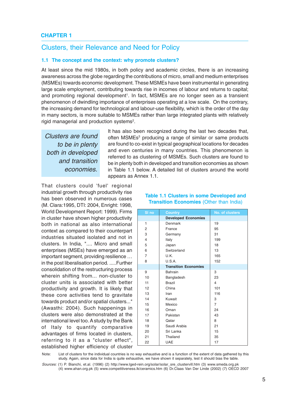#### Clusters, their Relevance and Need for Policy

#### **1.1 The concept and the context: why promote clusters?**

At least since the mid 1980s, in both policy and academic circles, there is an increasing awareness across the globe regarding the contributions of micro, small and medium enterprises (MSMEs) towards economic development. These MSMEs have been instrumental in generating large scale employment, contributing towards rise in incomes of labour and returns to capital; and promoting regional development<sup>1</sup>. In fact, MSMEs are no longer seen as a transient phenomenon of dwindling importance of enterprises operating at a low scale. On the contrary, the increasing demand for technological and labour-use flexibility, which is the order of the day in many sectors, is more suitable to MSMEs rather than large integrated plants with relatively rigid managerial and production systems<sup>2</sup>.

Clusters are found to be in plenty both in developed and transition economies.

It has also been recognized during the last two decades that, often MSMEs<sup>3</sup> producing a range of similar or same products are found to co-exist in typical geographical locations for decades and even centuries in many countries. This phenomenon is referred to as clustering of MSMEs. Such clusters are found to be in plenty both in developed and transition economies as shown in Table 1.1 below. A detailed list of clusters around the world appears as Annex 1.1.

That clusters could 'fuel' regional industrial growth through productivity rise has been observed in numerous cases (M. Clara:1995, DTI: 2004, Enright: 1998, World Development Report: 1999). Firms in cluster have shown higher productivity both in national as also international context as compared to their counterpart industries situated isolated and not in clusters. In India, ".... Micro and small enterprises (MSEs) have emerged as an important segment, providing resilience … in the post liberalisation period. .....Further consolidation of the restructuring process wherein shifting from... non-cluster to cluster units is associated with better productivity and growth. It is likely that these core activities tend to gravitate towards product and/or spatial clusters..." (Awasthi: 2004). Such happenings in clusters were also demonstrated at the international level too. A study by the Bank of Italy to quantify comparative advantages of firms located in clusters, referring to it as a "cluster effect", established higher efficiency of cluster

| SI no          | <b>Country</b>              | No. of clusters |
|----------------|-----------------------------|-----------------|
|                | <b>Developed Economies</b>  |                 |
| 1              | Denmark                     | 19              |
| 2              | France                      | 95              |
| 3              | Germany                     | 31              |
| 4              | Italy                       | 199             |
| 5              | Japan                       | 18              |
| 6              | Switzerland                 | 13              |
| $\overline{7}$ | U.K.                        | 165             |
| 8              | U.S.A.                      | 152             |
|                | <b>Transition Economies</b> |                 |
| 9              | Bahrain                     | 3               |
| 10             | Bangladesh                  | 23              |
| 11             | <b>Brazil</b>               | $\overline{4}$  |
| 12             | China                       | 101             |
| 13             | Iran                        | 116             |
| 14             | Kuwait                      | 3               |
| 15             | Mexico                      | $\overline{7}$  |
| 16             | Oman                        | 24              |
| 17             | Pakistan                    | 43              |
| 18             | Qatar                       | 8               |
| 19             | Saudi Arabia                | 21              |
| 20             | Sri Lanka                   | 15              |
| 21             | Thailand                    | 35              |
| 22             | <b>UAE</b>                  | 17              |
|                |                             |                 |

#### **Table 1.1 Clusters in some Developed and Transition Economies** (Other than India)

Note: List of clusters for the individual countries is no way exhaustive and is a function of the extent of data gathered by this study. Again, since data for India is quite exhaustive, we have shown it separately, lest it should bias the table.

Sources: (1) P. Bianchi, et.al. (1996) (2) http://www.lged-rein.org/solar/solar\_sre\_clustervill.htm (3) www.smeda.org.pk (4) www.ahan.org.pk (5) www.competitiveness.lk/ceramics.htm (6) Dr.Claas Van Der Linde (2002) (7) OECD 2007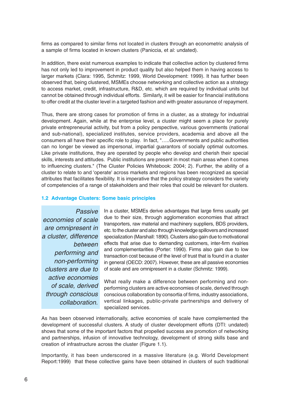firms as compared to similar firms not located in clusters through an econometric analysis of a sample of firms located in known clusters (Paniccia, et al: undated).

In addition, there exist numerous examples to indicate that collective action by clustered firms has not only led to improvement in product quality but also helped them in having access to larger markets (Clara: 1995, Schmitz: 1999, World Development: 1999). It has further been observed that, being clustered, MSMEs choose networking and collective action as a strategy to access market, credit, infrastructure, R&D, etc. which are required by individual units but cannot be obtained through individual efforts. Similarly, it will be easier for financial institutions to offer credit at the cluster level in a targeted fashion and with greater assurance of repayment.

Thus, there are strong cases for promotion of firms in a cluster, as a strategy for industrial development. Again, while at the enterprise level, a cluster might seem a place for purely private entrepreneurial activity, but from a policy perspective, various governments (national and sub-national), specialized institutes, service providers, academia and above all the consumers all have their specific role to play. In fact, "…..Governments and public authorities can no longer be viewed as impersonal, impartial guarantors of socially optimal outcomes. Like private institutions, they are operated by people who develop and cherish their special skills, interests and attitudes. Public institutions are present in most main areas when it comes to influencing clusters." (The Cluster Policies Whitebook: 2004; 2). Further, the ability of a cluster to relate to and 'operate' across markets and regions has been recognized as special attributes that facilitates flexibility. It is imperative that the policy strategy considers the variety of competencies of a range of stakeholders and their roles that could be relevant for clusters.

#### **1.2 Advantage Clusters: Some basic principles**

**Passive** economies of scale are omnipresent in a cluster, difference between performing and non-performing clusters are due to active economies of scale, derived through conscious collaboration.

In a cluster, MSMEs derive advantages that large firms usually get due to their size, through agglomeration economies that attract transporters, raw material and machinery suppliers, BDS providers, etc. to the cluster and also through knowledge spillovers and increased specialization (Marshall: 1890). Clusters also gain due to motivational effects that arise due to demanding customers, inter-firm rivalries and complementarities (Porter: 1990). Firms also gain due to low transaction cost because of the level of trust that is found in a cluster in general (OECD: 2007). However, these are all passive economies of scale and are omnipresent in a cluster (Schmitz: 1999).

What really make a difference between performing and nonperforming clusters are active economies of scale, derived through conscious collaboration by consortia of firms, industry associations, vertical linkages, public-private partnerships and delivery of specialized services.

As has been observed internationally, active economies of scale have complemented the development of successful clusters. A study of cluster development efforts (DTI: undated) shows that some of the important factors that propelled success are promotion of networking and partnerships, infusion of innovative technology, development of strong skills base and creation of infrastructure across the cluster (Figure 1.1).

Importantly, it has been underscored in a massive literature (e.g. World Development Report:1999) that these collective gains have been obtained in clusters of such traditional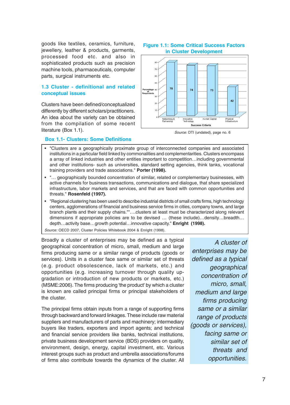goods like textiles, ceramics, furniture, jewellery, leather & products, garments, processed food etc. and also in sophisticated products such as precision machine tools, pharmaceuticals, computer parts, surgical instruments etc.

#### **1.3 Cluster - definitional and related conceptual issues**

Clusters have been defined/conceptualized differently by different scholars/practitioners. An idea about the variety can be obtained from the compilation of some recent literature (Box 1.1). Source: DTI (undated), page no. 6

#### **Figure 1.1: Some Critical Success Factors in Cluster Development**



#### **Box 1.1- Clusters: Some Definitions**

- "Clusters are a geographically proximate group of interconnected companies and associated institutions in a particular field linked by commonalities and complementarities. Clusters encompass a array of linked industries and other entities important to competition…including governmental and other institutions- such as universities, standard setting agencies, think tanks, vocational training providers and trade associations." **Porter (1998).**
- "… geographically bounded concentration of similar, related or complementary businesses, with active channels for business transactions, communications and dialogue, that share specialized infrastructure, labor markets and services, and that are faced with common opportunities and threats." **Rosenfeld (1997).**
- "Regional clustering has been used to describe industrial districts of small crafts firms, high technology centers, agglomerations of financial and business service firms in cities, company towns, and large branch plants and their supply chains.""….clusters at least must be characterized along relevant dimensions if appropriate policies are to be devised … (these include)…density…breadth… depth…activity base…growth potential…innovative capacity." **Enright (1998).**

Source: OECD 2007, Cluster Policies Whitebook 2004 & Enright (1998).

Broadly a cluster of enterprises may be defined as a typical geographical concentration of micro, small, medium and large firms producing same or a similar range of products (goods or services). Units in a cluster face same or similar set of threats (e.g. product obsolescence, lack of markets, etc.) and opportunities (e.g. increasing turnover through quality upgradation or introduction of new products or markets, etc.) (MSME:2006). The firms producing 'the product' by which a cluster is known are called principal firms or principal stakeholders of the cluster.

The principal firms obtain inputs from a range of supporting firms through backward and forward linkages. These include raw material suppliers and manufacturers of parts and machinery; intermediary buyers like traders, exporters and import agents; and technical and financial service providers like banks, technical institutions, private business development service (BDS) providers on quality, environment, design, energy, capital investment, etc. Various interest groups such as product and umbrella associations/forums of firms also contribute towards the dynamics of the cluster. All

A cluster of enterprises may be defined as a typical geographical concentration of micro, small, medium and large firms producing same or a similar range of products (goods or services), facing same or similar set of threats and opportunities.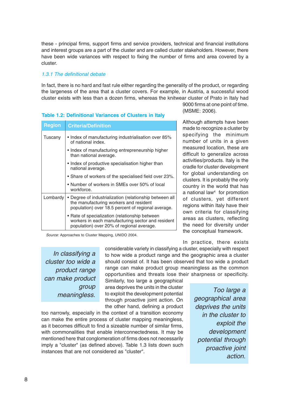these - principal firms, support firms and service providers, technical and financial institutions and interest groups are a part of the cluster and are called cluster stakeholders. However, there have been wide variances with respect to fixing the number of firms and area covered by a cluster.

#### 1.3.1 The definitional debate

In fact, there is no hard and fast rule either regarding the generality of the product, or regarding the largeness of the area that a cluster covers. For example, in Austria, a successful wood cluster exists with less than a dozen firms, whereas the knitwear cluster of Prato in Italy had

| <b>Region</b> | <b>Criteria/Definition</b>                                                                                                                              |  |  |  |  |
|---------------|---------------------------------------------------------------------------------------------------------------------------------------------------------|--|--|--|--|
| Tuscany       | • Index of manufacturing industrialisation over 85%<br>of national index.                                                                               |  |  |  |  |
|               | • Index of manufacturing entrepreneurship higher<br>than national average.                                                                              |  |  |  |  |
|               | • Index of productive specialisation higher than<br>national average.                                                                                   |  |  |  |  |
|               | • Share of workers of the specialised field over 23%.                                                                                                   |  |  |  |  |
|               | • Number of workers in SMEs over 50% of local<br>workforce.                                                                                             |  |  |  |  |
| Lombardy      | • Degree of industrialization (relationship between all<br>the manufacturing workers and resident<br>population) over 18.5 percent of regional average. |  |  |  |  |
|               | • Rate of specialization (relationship between<br>workers in each manufacturing sector and resident<br>population) over 20% of regional average.        |  |  |  |  |

#### **Table 1.2: Definitional Variances of Clusters in Italy**

Source: Approaches to Cluster Mapping, UNIDO 2004.

In classifying a cluster too wide a product range can make product group meaningless.

considerable variety in classifying a cluster, especially with respect to how wide a product range and the geographic area a cluster should consist of. It has been observed that too wide a product range can make product group meaningless as the common opportunities and threats lose their sharpness or specificity.

Similarly, too large a geographical area deprives the units in the cluster to exploit the development potential through proactive joint action. On the other hand, defining a product

too narrowly, especially in the context of a transition economy can make the entire process of cluster mapping meaningless, as it becomes difficult to find a sizeable number of similar firms, with commonalities that enable interconnectedness. It may be mentioned here that conglomeration of firms does not necessarily imply a "cluster" (as defined above). Table 1.3 lists down such instances that are not considered as "cluster".

9000 firms at one point of time. (MSME: 2006).

Although attempts have been made to recognize a cluster by specifying the minimum number of units in a given measured location, these are difficult to generalize across activities/products. Italy is the cradle for cluster development for global understanding on clusters. It is probably the only country in the world that has a national law<sup>4</sup> for promotion of clusters, yet different regions within Italy have their own criteria for classifying areas as clusters, reflecting the need for diversity under the conceptual framework.

In practice, there exists

Too large a geographical area deprives the units in the cluster to exploit the development potential through proactive joint action.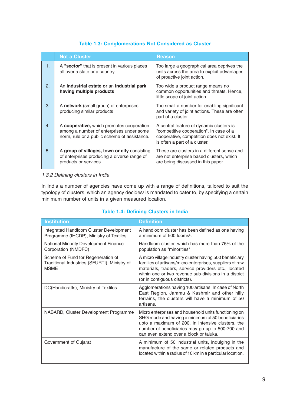#### **Table 1.3: Conglomerations Not Considered as Cluster**

|                | <b>Not a Cluster</b>                                                                                                                  | <b>Reason</b>                                                                                                                                                       |
|----------------|---------------------------------------------------------------------------------------------------------------------------------------|---------------------------------------------------------------------------------------------------------------------------------------------------------------------|
| $\mathbf{1}$ . | A "sector" that is present in various places<br>all over a state or a country                                                         | Too large a geographical area deprives the<br>units across the area to exploit advantages<br>of proactive joint action.                                             |
| 2.             | An industrial estate or an industrial park<br>having multiple products                                                                | Too wide a product range means no<br>common opportunities and threats. Hence,<br>little scope of joint action.                                                      |
| 3.             | A network (small group) of enterprises<br>producing similar products                                                                  | Too small a number for enabling significant<br>and variety of joint actions. These are often<br>part of a cluster.                                                  |
| 4.             | A cooperative, which promotes cooperation<br>among a number of enterprises under some<br>norm, rule or a public scheme of assistance. | A central feature of dynamic clusters is<br>"competitive cooperation". In case of a<br>cooperative, competition does not exist. It<br>is often a part of a cluster. |
| 5.             | A group of villages, town or city consisting<br>of enterprises producing a diverse range of<br>products or services.                  | These are clusters in a different sense and<br>are not enterprise based clusters, which<br>are being discussed in this paper.                                       |

#### 1.3.2 Defining clusters in India

In India a number of agencies have come up with a range of definitions, tailored to suit the typology of clusters, which an agency decides/ is mandated to cater to, by specifying a certain minimum number of units in a given measured location.

#### **Table 1.4: Defining Clusters in India**

| <b>Institution</b>                                                                                | <b>Definition</b>                                                                                                                                                                                                                                                    |
|---------------------------------------------------------------------------------------------------|----------------------------------------------------------------------------------------------------------------------------------------------------------------------------------------------------------------------------------------------------------------------|
| Integrated Handloom Cluster Development<br>Programme (IHCDP), Ministry of Textiles                | A handloom cluster has been defined as one having<br>a minimum of 500 looms <sup>5</sup> .                                                                                                                                                                           |
| <b>National Minority Development Finance</b><br>Corporation (NMDFC)                               | Handloom cluster, which has more than 75% of the<br>population as "minorities"                                                                                                                                                                                       |
| Scheme of Fund for Regeneration of<br>Traditional Industries (SFURTI), Ministry of<br><b>MSME</b> | A micro village industry cluster having 500 beneficiary<br>families of artisans/micro enterprises, suppliers of raw<br>materials, traders, service providers etc., located<br>within one or two revenue sub-divisions in a district<br>(or in contiguous districts). |
| DC(Handicrafts), Ministry of Textiles                                                             | Agglomerations having 100 artisans. In case of North<br>East Region, Jammu & Kashmir and other hilly<br>terrains, the clusters will have a minimum of 50<br>artisans.                                                                                                |
| NABARD, Cluster Development Programme                                                             | Micro enterprises and household units functioning on<br>SHG mode and having a minimum of 50 beneficiaries<br>upto a maximum of 200. In intensive clusters, the<br>number of beneficiaries may go up to 500-700 and<br>can even extend over a block or taluka.        |
| Government of Gujarat                                                                             | A minimum of 50 industrial units, indulging in the<br>manufacture of the same or related products and<br>located within a radius of 10 km in a particular location.                                                                                                  |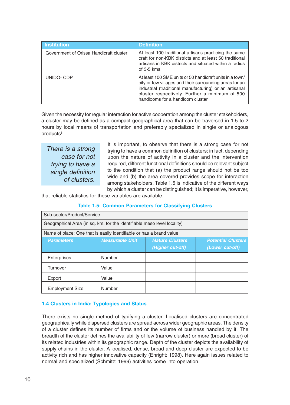| Institution                             | <b>Definition</b>                                                                                                                                                                                                                                                    |
|-----------------------------------------|----------------------------------------------------------------------------------------------------------------------------------------------------------------------------------------------------------------------------------------------------------------------|
| Government of Orissa Handicraft cluster | At least 100 traditional artisans practicing the same<br>craft for non-KBK districts and at least 50 traditional<br>artisans in KBK districts and situated within a radius<br>of $3-5$ kms.                                                                          |
| UNIDO-CDP                               | At least 100 SME units or 50 handicraft units in a town/<br>city or few villages and their surrounding areas for an<br>industrial (traditional manufacturing) or an artisanal<br>cluster respectively. Further a minimum of 500<br>handlooms for a handloom cluster. |

Given the necessity for regular interaction for active cooperation among the cluster stakeholders, a cluster may be defined as a compact geographical area that can be traversed in 1.5 to 2 hours by local means of transportation and preferably specialized in single or analogous products<sup>6</sup>.

There is a strong case for not trying to have a single definition of clusters.

It is important, to observe that there is a strong case for not trying to have a common definition of clusters; in fact, depending upon the nature of activity in a cluster and the intervention required, different functional definitions should be relevant subject to the condition that (a) the product range should not be too wide and (b) the area covered provides scope for interaction among stakeholders. Table 1.5 is indicative of the different ways by which a cluster can be distinguished; it is imperative, however,

that reliable statistics for these variables are available.

#### **Table 1.5: Common Parameters for Classifying Clusters**

| Sub-sector/Product/Service                                              |                                                                     |                        |                           |  |
|-------------------------------------------------------------------------|---------------------------------------------------------------------|------------------------|---------------------------|--|
| Geographical Area (in sq. km. for the identifiable meso level locality) |                                                                     |                        |                           |  |
|                                                                         | Name of place: One that is easily identifiable or has a brand value |                        |                           |  |
| <b>Parameters</b>                                                       | <b>Measurable Unit</b>                                              | <b>Mature Clusters</b> | <b>Potential Clusters</b> |  |
|                                                                         |                                                                     | (Higher cut-off)       | (Lower cut-off)           |  |
| Enterprises                                                             | Number                                                              |                        |                           |  |
| Turnover                                                                | Value                                                               |                        |                           |  |
| Export                                                                  | Value                                                               |                        |                           |  |
| <b>Employment Size</b>                                                  | Number                                                              |                        |                           |  |

#### **1.4 Clusters in India: Typologies and Status**

There exists no single method of typifying a cluster. Localised clusters are concentrated geographically while dispersed clusters are spread across wider geographic areas. The density of a cluster defines its number of firms and or the volume of business handled by it. The breadth of the cluster defines the availability of few (narrow cluster) or more (broad cluster) of its related industries within its geographic range. Depth of the cluster depicts the availability of supply chains in the cluster. A localised, dense, broad and deep cluster are expected to be activity rich and has higher innovative capacity (Enright: 1998). Here again issues related to normal and specialized (Schmitz: 1999) activities come into operation.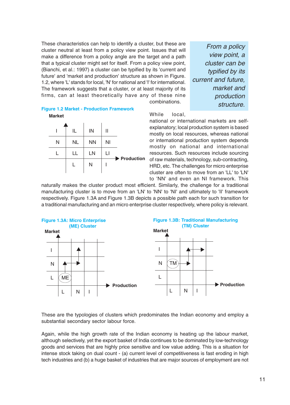These characteristics can help to identify a cluster, but these are cluster neutral at least from a policy view point. Issues that will make a difference from a policy angle are the target and a path that a typical cluster might set for itself. From a policy view point, (Bianchi, et al.: 1997) a cluster can be typified by its 'current and future' and 'market and production' structure as shown in Figure. 1.2, where 'L' stands for local, 'N' for national and 'I' for international. The framework suggests that a cluster, or at least majority of its firms, can at least theoretically have any of these nine combinations.

From a policy view point, a cluster can be typified by its current and future, market and production structure.

## **Figure 1.2 Market - Production Framework**



#### While local,

national or international markets are selfexplanatory; local production system is based mostly on local resources, whereas national or international production system depends mostly on national and international resources. Such resources include sourcing of raw materials, technology, sub-contracting, HRD, etc. The challenges for micro enterprise cluster are often to move from an 'LL' to 'LN' to 'NN' and even an NI framework. This

naturally makes the cluster product most efficient. Similarly, the challenge for a traditional manufacturing cluster is to move from an 'LN' to 'NN' to 'NI' and ultimately to 'II' framework respectively. Figure 1.3A and Figure 1.3B depicts a possible path each for such transition for a traditional manufacturing and an micro enterprise cluster respectively, where policy is relevant.



These are the typologies of clusters which predominates the Indian economy and employ a substantial secondary sector labour force.

Again, while the high growth rate of the Indian economy is heating up the labour market, although selectively, yet the export basket of India continues to be dominated by low-technology goods and services that are highly price sensitive and low value adding. This is a situation for intense stock taking on dual count - (a) current level of competitiveness is fast eroding in high tech industries and (b) a huge basket of industries that are major sources of employment are not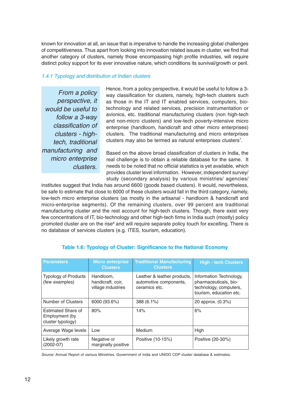known for innovation at all, an issue that is imperative to handle the increasing global challenges of competitiveness. Thus apart from looking into innovation related issues in cluster, we find that another category of clusters, namely those encompassing high profile industries, will require distinct policy support for its ever innovative nature, which conditions its survival/growth or peril.

#### 1.4.1 Typology and distribution of Indian clusters

From a policy perspective, it would be useful to follow a 3-way classification of clusters - hightech, traditional manufacturing and micro enterprise clusters.

Hence, from a policy perspective, it would be useful to follow a 3 way classification for clusters, namely, high-tech clusters such as those in the IT and IT enabled services, computers, biotechnology and related services, precision instrumentation or avionics, etc. traditional manufacturing clusters (non high-tech and non-micro clusters) and low-tech poverty-intensive micro enterprise (handloom, handicraft and other micro enterprises) clusters. The traditional manufacturing and micro enterprises clusters may also be termed as natural enterprises clusters<sup>7</sup>.

Based on the above broad classification of clusters in India, the real challenge is to obtain a reliable database for the same. It needs to be noted that no official statistics is yet available, which provides cluster level information. However, independent survey/ study (secondary analysis) by various ministries/ agencies/

institutes suggest that India has around 6600 (goods based clusters). It would, nevertheless, be safe to estimate that close to 6000 of these clusters would fall in the third category, namely, low-tech micro enterprise clusters (as mostly in the artisanal - handloom & handicraft and micro-enterprise segments). Of the remaining clusters, over 99 percent are traditional manufacturing cluster and the rest account for high-tech clusters. Though, there exist very few concentrations of IT, bio-technology and other high-tech firms in India such (mostly) policy promoted cluster are on the rise<sup>8</sup> and will require separate policy touch for excelling. There is no database of services clusters (e.g. ITES, tourism, education).

| <b>Parameters</b>                                         | <b>Micro enterprise</b><br><b>Clusters</b>           | <b>Traditional Manufacturing</b><br><b>Clusters</b>                    | <b>High - tech Clusters</b>                                                                           |
|-----------------------------------------------------------|------------------------------------------------------|------------------------------------------------------------------------|-------------------------------------------------------------------------------------------------------|
| <b>Typology of Products</b><br>(few examples)             | Handloom,<br>handicraft, coir,<br>village industries | Leather & leather products,<br>automotive components,<br>ceramics etc. | Information Technology,<br>pharmaceuticals, bio-<br>technology, computers,<br>tourism, education etc. |
| Number of Clusters                                        | 6000 (93.6%)                                         | 388 (6.1%)                                                             | 20 approx. (0.3%)                                                                                     |
| Estimated Share of<br>Employment (by<br>cluster typology) | 80%                                                  | 14%                                                                    | 6%                                                                                                    |
| Average Wage levels                                       | Low                                                  | Medium                                                                 | High                                                                                                  |
| Likely growth rate<br>$(2002-07)$                         | Negative or<br>marginally positive                   | Positive (10-15%)                                                      | Positive (20-30%)                                                                                     |

#### **Table 1.6: Typology of Cluster: Significance to the National Economy**

Source: Annual Report of various Ministries, Government of India and UNIDO CDP cluster database & estimates.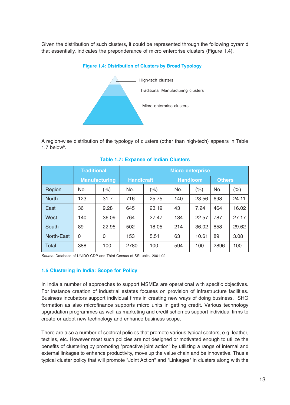Given the distribution of such clusters, it could be represented through the following pyramid that essentially, indicates the preponderance of micro enterprise clusters (Figure 1.4).





A region-wise distribution of the typology of clusters (other than high-tech) appears in Table  $1.7$  below<sup>9</sup>.

|                   | <b>Traditional</b> |                      | <b>Micro enterprise</b> |       |     |                 |               |       |
|-------------------|--------------------|----------------------|-------------------------|-------|-----|-----------------|---------------|-------|
|                   |                    | <b>Manufacturing</b> | <b>Handicraft</b>       |       |     | <b>Handloom</b> | <b>Others</b> |       |
| Region            | No.                | (% )                 | No.                     | (% )  | No. | (% )            | No.           | (% )  |
| <b>North</b>      | 123                | 31.7                 | 716                     | 25.75 | 140 | 23.56           | 698           | 24.11 |
| East              | 36                 | 9.28                 | 645                     | 23.19 | 43  | 7.24            | 464           | 16.02 |
| West              | 140                | 36.09                | 764                     | 27.47 | 134 | 22.57           | 787           | 27.17 |
| South             | 89                 | 22.95                | 502                     | 18.05 | 214 | 36.02           | 858           | 29.62 |
| <b>North-East</b> | $\overline{0}$     | 0                    | 153                     | 5.51  | 63  | 10.61           | 89            | 3.08  |
| Total             | 388                | 100                  | 2780                    | 100   | 594 | 100             | 2896          | 100   |

#### **Table 1.7: Expanse of Indian Clusters**

Source: Database of UNIDO-CDP and Third Census of SSI units, 2001-02.

#### **1.5 Clustering in India: Scope for Policy**

In India a number of approaches to support MSMEs are operational with specific objectives. For instance creation of industrial estates focuses on provision of infrastructure facilities. Business incubators support individual firms in creating new ways of doing business. SHG formation as also microfinance supports micro units in getting credit. Various technology upgradation programmes as well as marketing and credit schemes support individual firms to create or adopt new technology and enhance business scope.

There are also a number of sectoral policies that promote various typical sectors, e.g. leather, textiles, etc. However most such policies are not designed or motivated enough to utilize the benefits of clustering by promoting "proactive joint action" by utilizing a range of internal and external linkages to enhance productivity, move up the value chain and be innovative. Thus a typical cluster policy that will promote "Joint Action" and "Linkages" in clusters along with the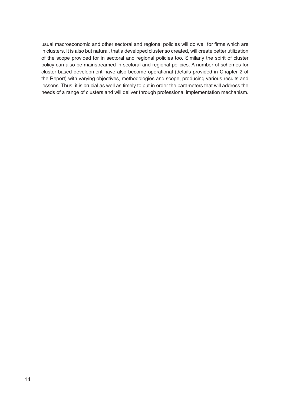usual macroeconomic and other sectoral and regional policies will do well for firms which are in clusters. It is also but natural, that a developed cluster so created, will create better utilization of the scope provided for in sectoral and regional policies too. Similarly the spirit of cluster policy can also be mainstreamed in sectoral and regional policies. A number of schemes for cluster based development have also become operational (details provided in Chapter 2 of the Report) with varying objectives, methodologies and scope, producing various results and lessons. Thus, it is crucial as well as timely to put in order the parameters that will address the needs of a range of clusters and will deliver through professional implementation mechanism.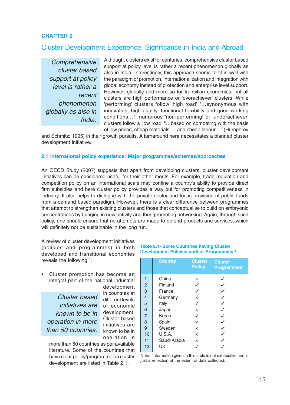#### **CHAPTER 2**

#### Cluster Development Experience: Significance in India and Abroad

**Comprehensive** cluster based support at policy level is rather a recent phenomenon globally as also in India.

Although, clusters exist for centuries, comprehensive cluster based support at policy level is rather a recent phenomenon globally as also in India. Interestingly, this approach seems to fit in well with the paradigm of promotion, internationalization and integration with global economy instead of protection and enterprise level support. However, globally and more so for transition economies, not all clusters are high performance or 'overachiever' clusters. While 'performing' clusters follow 'high road' "…synonymous with innovation, high quality, functional flexibility and good working conditions…", numerous 'non-performing' or 'underachiever' clusters follow a 'low road' "…based on competing with the basis of low prices, cheap materials … and cheap labour…" (Humphrey

and Schmitz: 1995) in their growth pursuits. A turnaround here necessitates a planned cluster development initiative.

#### **2.1 International policy experience: Major programmes/schemes/approaches**

An OECD Study (2007) suggests that apart from developing clusters, cluster development initiatives can be considered useful for their other merits. For example, trade regulation and competition policy on an international scale may confine a country's ability to provide direct firm subsidies and here cluster policy provides a way out for promoting competitiveness in industry. It also helps to dialogue with the private sector and focus provision of public funds from a demand based paradigm. However, there is a clear difference between programmes that attempt to strengthen existing clusters and those that conceptualise to build on embryonic concentrations by bringing in new activity and then promoting networking. Again, through such policy, one should ensure that no attempts are made to defend products and services, which will definitely not be sustainable in the long run.

A review of cluster development initiatives (policies and programmes) in both developed and transitional economies reveals the following<sup>10</sup>:

• Cluster promotion has become an integral part of the national industrial

Cluster based initiatives are known to be in operation in more than 50 countries.

development in countries at different levels of economic development. Cluster based initiatives are known to be in operation in

more than 50 countries as per available literature. Some of the countries that have clear policy/programme on cluster development are listed in Table 2.1.

#### **Table 2.1- Some Countries having Cluster Development Policies and/ or Programmes<sup>11</sup>**

|                | <b>Country</b> | <b>Cluster</b><br><b>Policy</b> | <b>Cluster</b><br><b>Programmes</b> |
|----------------|----------------|---------------------------------|-------------------------------------|
| 1              | China          | ×                               |                                     |
| $\overline{2}$ | Finland        |                                 |                                     |
| 3              | France         |                                 |                                     |
| $\overline{4}$ | Germany        | $\times$                        |                                     |
| 5              | Italy          |                                 |                                     |
| 6              | Japan          | ×                               |                                     |
| $\overline{7}$ | Korea          |                                 |                                     |
| 8              | Spain          | $\times$                        |                                     |
| 9              | Sweden         | ×                               |                                     |
| 10             | U.S.A.         | $\times$                        |                                     |
| 11             | Saudi Arabia   | ×                               |                                     |
| 12             | UK             |                                 |                                     |

Note: Information given in this table is not exhaustive and is just a reflection of the extent of data collected.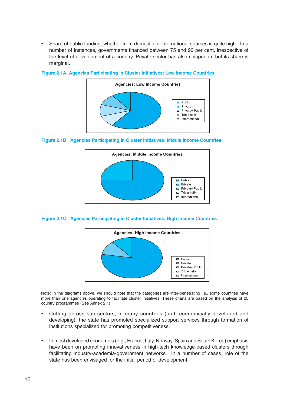• Share of public funding, whether from domestic or international sources is quite high. In a number of instances, governments financed between 75 and 90 per cent, irrespective of the level of development of a country. Private sector has also chipped in, but its share is marginal.



#### **Figure 2.1A: Agencies Participating in Cluster Initiatives: Low Income Countries**





#### **Figure 2.1C: Agencies Participating in Cluster Initiatives: High Income Countries**



Note: In the diagrams above, we should note that the categories are inter-penetrating i.e., some countries have more than one agencies operating to facilitate cluster initiatives. These charts are based on the analysis of 25 country programmes (See Annex 2.1)

- Cutting across sub-sectors, in many countries (both economically developed and developing), the state has promoted specialized support services through formation of institutions specialized for promoting competitiveness.
- In most developed economies (e.g., France, Italy, Norway, Spain and South Korea) emphasis have been on promoting innovativeness in high-tech knowledge-based clusters through facilitating industry-academia-government networks. In a number of cases, role of the state has been envisaged for the initial period of development.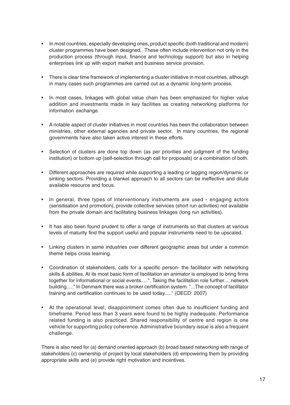- In most countries, especially developing ones, product specific (both traditional and modern) cluster programmes have been designed. These often include intervention not only in the production process (through input, finance and technology support) but also in helping enterprises link up with export market and business service provision.
- There is clear time framework of implementing a cluster initiative in most countries, although in many cases such programmes are carried out as a dynamic long-term process.
- In most cases, linkages with global value chain has been emphasized for higher value addition and investments made in key facilities as creating networking platforms for information exchange.
- A notable aspect of cluster initiatives in most countries has been the collaboration between ministries, other external agencies and private sector. In many countries, the regional governments have also taken active interest in these efforts.
- Selection of clusters are done top down (as per priorities and judgment of the funding institution) or bottom up (self-selection through call for proposals) or a combination of both.
- Different approaches are required while supporting a leading or lagging region/dynamic or sinking sectors. Providing a blanket approach to all sectors can be ineffective and dilute available resource and focus.
- In general, three types of interventionary instruments are used engaging actors (sensitisation and promotion), provide collective services (short run activities) not available from the private domain and facilitating business linkages (long run activities).
- It has also been found prudent to offer a range of instruments so that clusters at various levels of maturity find the support useful and popular instruments need to be upscaled.
- Linking clusters in same industries over different geographic areas but under a common theme helps cross learning.
- Coordination of stakeholders, calls for a specific person- the facilitator with networking skills & abilities. At its most basic form of facilitation an animator is employed to bring firms together for informational or social events.....". Taking the facilitation role further.....network building....." In Denmark there was a broker certification system. "...The concept of facilitator training and certification continues to be used today....." (OECD: 2007)
- At the operational level, disappointment comes often due to insufficient funding and timeframe. Period less than 3 years were found to be highly inadequate. Performance related funding is also practiced. Shared responsibility of centre and region is one vehicle for supporting policy coherence. Administrative boundary issue is also a frequent challenge.

There is also need for (a) demand oriented approach (b) broad based networking with range of stakeholders (c) ownership of project by local stakeholders (d) empowering them by providing appropriate skills and (e) provide right motivation and incentives.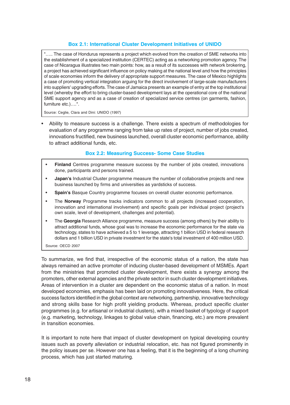#### **Box 2.1: International Cluster Development Initiatives of UNIDO**

"..... The case of Hondurus represents a project which evolved from the creation of SME networks into the establishment of a specialized institution (CERTEC) acting as a networking promotion agency. The case of Nicaragua illustrates two main points: how, as a result of its successes with network brokering, a project has achieved significant influence on policy making at the national level and how the principles of scale economies inform the delivery of appropriate support measures. The case of Mexico highlights a case of promoting vertical integration arguing for the direct involvement of large-scale manufacturers into suppliers' upgrading efforts. The case of Jamaica presents an example of entry at the top institutional level (whereby the effort to bring cluster-based development lays at the operational core of the national SME support agency and as a case of creation of specialized service centres (on garments, fashion, furniture etc.)….".

Source: Ceglie, Clara and Dini: UNIDO (1997)

• Ability to measure success is a challenge. There exists a spectrum of methodologies for evaluation of any programme ranging from take up rates of project, number of jobs created, innovations fructified, new business launched, overall cluster economic performance, ability to attract additional funds, etc.

#### **Box 2.2: Measuring Success- Some Case Studies**

- **Finland** Centres programme measure success by the number of jobs created, innovations done, participants and persons trained.
- **Japan's** Industrial Cluster programme measure the number of collaborative projects and new business launched by firms and universities as yardsticks of success.
- **Spain's** Basque Country programme focuses on overall cluster economic performance.
- The **Norway** Programme tracks indicators common to all projects (increased cooperation, innovation and international involvement) and specific goals per individual project (project's own scale, level of development, challenges and potential).
- The **Georgia** Research Alliance programme, measure success (among others) by their ability to attract additional funds, whose goal was to increase the economic performance for the state via technology, states to have achieved a 5 to 1 leverage, attracting 1 billion USD in federal research dollars and 1 billion USD in private investment for the state's total investment of 400 million USD.

Source: OECD 2007

To summarize, we find that, irrespective of the economic status of a nation, the state has always remained an active promoter of inducing cluster-based development of MSMEs. Apart from the ministries that promoted cluster development, there exists a synergy among the promoters, other external agencies and the private sector in such cluster development initiatives. Areas of intervention in a cluster are dependent on the economic status of a nation. In most developed economies, emphasis has been laid on promoting innovativeness. Here, the critical success factors identified in the global context are networking, partnership, innovative technology and strong skills base for high profit yielding products. Whereas, product specific cluster programmes (e.g. for artisanal or industrial clusters), with a mixed basket of typology of support (e.g. marketing, technology, linkages to global value chain, financing, etc.) are more prevalent in transition economies.

It is important to note here that impact of cluster development on typical developing country issues such as poverty alleviation or industrial relocation, etc. has not figured prominently in the policy issues per se. However one has a feeling, that it is the beginning of a long churning process, which has just started maturing.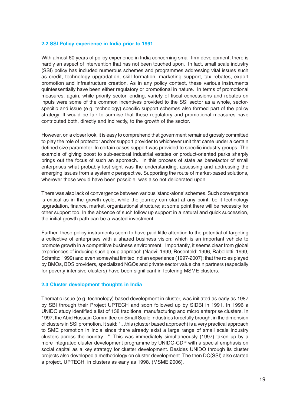#### **2.2 SSI Policy experience in India prior to 1991**

With almost 60 years of policy experience in India concerning small firm development, there is hardly an aspect of intervention that has not been touched upon. In fact, small scale industry (SSI) policy has included numerous schemes and programmes addressing vital issues such as credit, technology upgradation, skill formation, marketing support, tax rebates, export promotion and infrastructure creation. As in any policy context, these various instruments quintessentially have been either regulatory or promotional in nature. In terms of promotional measures, again, while priority sector lending, variety of fiscal concessions and rebates on inputs were some of the common incentives provided to the SSI sector as a whole, sectorspecific and issue (e.g. technology) specific support schemes also formed part of the policy strategy. It would be fair to surmise that these regulatory and promotional measures have contributed both, directly and indirectly, to the growth of the sector.

However, on a closer look, it is easy to comprehend that government remained grossly committed to play the role of protector and/or support provider to whichever unit that came under a certain defined size parameter. In certain cases support was provided to specific industry groups. The example of giving boost to sub-sectoral industrial estates or product-oriented parks sharply brings out the focus of such an approach. In this process of state as benefactor of small enterprises what probably lost sight was the understanding, assessing and addressing the emerging issues from a systemic perspective. Supporting the route of market-based solutions, wherever those would have been possible, was also not deliberated upon.

There was also lack of convergence between various 'stand-alone' schemes. Such convergence is critical as in the growth cycle, while the journey can start at any point, be it technology upgradation, finance, market, organizational structure; at some point there will be necessity for other support too. In the absence of such follow up support in a natural and quick succession, the initial growth path can be a wasted investment.

Further, these policy instruments seem to have paid little attention to the potential of targeting a collective of enterprises with a shared business vision; which is an important vehicle to promote growth in a competitive business environment. Importantly, it seems clear from global experiences of inducing such group approach (Nadvi: 1999, Rosenfeld: 1996, Rabellotti: 1999, Schmitz: 1999) and even somewhat limited Indian experience (1997-2007); that the roles played by BMOs, BDS providers, specialized NGOs and private sector value chain partners (especially for poverty intensive clusters) have been significant in fostering MSME clusters.

#### **2.3 Cluster development thoughts in India**

Thematic issue (e.g. technology) based development in cluster, was initiated as early as 1987 by SBI through their Project UPTECH and soon followed up by SIDBI in 1991. In 1996 a UNIDO study identified a list of 138 traditional manufacturing and micro enterprise clusters. In 1997, the Abid Hussain Committee on Small Scale Industries forcefully brought in the dimension of clusters in SSI promotion. It said: "…this (cluster based approach) is a very practical approach to SME promotion in India since there already exist a large range of small scale industry clusters across the country…". This was immediately simultaneously (1997) taken up by a more integrated cluster development programme by UNIDO-CDP with a special emphasis on social capital as a key strategy for cluster development. Besides UNIDO through its cluster projects also developed a methodology on cluster development. The then DC(SSI) also started a project, UPTECH, in clusters as early as 1998. (MSME:2006).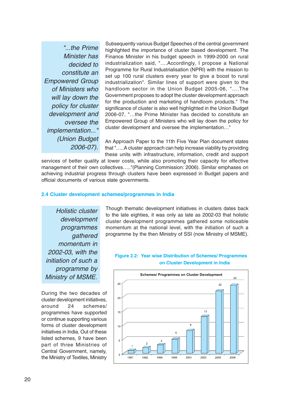"...the Prime Minister has decided to constitute an Empowered Group of Ministers who will lay down the policy for cluster development and oversee the implementation..." (Union Budget 2006-07).

Subsequently various Budget Speeches of the central government highlighted the importance of cluster based development. The Finance Minister in his budget speech in 1999-2000 on rural industrialization said, "….Accordingly, I propose a National Programme for Rural Industrialisation (NPRI) with the mission to set up 100 rural clusters every year to give a boost to rural industrialization". Similar lines of support were given to the handloom sector in the Union Budget 2005-06, "….The Government proposes to adopt the cluster development approach for the production and marketing of handloom products." The significance of cluster is also well highlighted in the Union Budget 2006-07, "…the Prime Minister has decided to constitute an Empowered Group of Ministers who will lay down the policy for cluster development and oversee the implementation…"

An Approach Paper to the 11th Five Year Plan document states that "…..A cluster approach can help increase viability by providing these units with infrastructure, information, credit and support

services of better quality at lower costs, while also promoting their capacity for effective management of their own collectives….."(Planning Commission: 2006). Similar emphases on achieving industrial progress through clusters have been expressed in Budget papers and official documents of various state governments.

#### **2.4 Cluster development schemes/programmes in India**

Holistic cluster development programmes gathered momentum in 2002-03, with the initiation of such a programme by Ministry of MSME.

During the two decades of cluster development initiatives, around 24 schemes/ programmes have supported or continue supporting various forms of cluster development initiatives in India. Out of these listed schemes, 9 have been part of three Ministries of Central Government, namely, the Ministry of Textiles, Ministry

Though thematic development initiatives in clusters dates back to the late eighties, it was only as late as 2002-03 that holistic cluster development programmes gathered some noticeable momentum at the national level, with the initiation of such a programme by the then Ministry of SSI (now Ministry of MSME).

#### **Figure 2.2: Year wise Distribution of Schemes/ Programmes on Cluster Development in India**

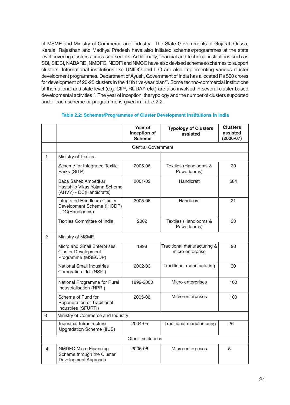of MSME and Ministry of Commerce and Industry. The State Governments of Gujarat, Orissa, Kerala, Rajasthan and Madhya Pradesh have also initiated schemes/programmes at the state level covering clusters across sub-sectors. Additionally, financial and technical institutions such as SBI, SIDBI, NABARD, NMDFC, NEDFi and NMCC have also devised schemes/schemes to support clusters. International institutions like UNIDO and ILO are also implementing various cluster development programmes. Department of Ayush, Government of India has allocated Rs 500 crores for development of 20-25 clusters in the 11th five-year plan<sup>12</sup>. Some techno-commercial institutions at the national and state level (e.g. CII<sup>13</sup>, RUDA<sup>14</sup> etc.) are also involved in several cluster based developmental activities<sup>15</sup>. The year of inception, the typology and the number of clusters supported under each scheme or programme is given in Table 2.2.

|   |                                                                                    | Year of<br>Inception of<br><b>Scheme</b> | <b>Typology of Clusters</b><br>assisted         | <b>Clusters</b><br>assisted<br>$(2006-07)$ |
|---|------------------------------------------------------------------------------------|------------------------------------------|-------------------------------------------------|--------------------------------------------|
|   |                                                                                    |                                          |                                                 |                                            |
| 1 | Ministry of Textiles                                                               |                                          |                                                 |                                            |
|   | Scheme for Integrated Textile<br>Parks (SITP)                                      | 2005-06                                  | Textiles (Handlooms &<br>Powerlooms)            | 30                                         |
|   | Baba Saheb Ambedkar<br>Hastshilp Vikas Yojana Scheme<br>(AHVY) - DC(Handicrafts)   | 2001-02                                  | Handicraft                                      | 684                                        |
|   | Integrated Handloom Cluster<br>Development Scheme (IHCDP)<br>- DC(Handlooms)       | 2005-06                                  | Handloom                                        | 21                                         |
|   | Textiles Committee of India                                                        | 2002                                     | Textiles (Handlooms &<br>Powerlooms)            | 23                                         |
| 2 | Ministry of MSME                                                                   |                                          |                                                 |                                            |
|   | Micro and Small Enterprises<br><b>Cluster Development</b><br>Programme (MSECDP)    | 1998                                     | Traditional manufacturing &<br>micro enterprise | 90                                         |
|   | <b>National Small Industries</b><br>Corporation Ltd. (NSIC)                        | 2002-03                                  | Traditional manufacturing                       | 30                                         |
|   | National Programme for Rural<br>Industrialisation (NPRI)                           | 1999-2000                                | Micro-enterprises                               | 100                                        |
|   | Scheme of Fund for<br>Regeneration of Traditional<br>Industries (SFURTI)           | 2005-06                                  | Micro-enterprises                               | 100                                        |
| 3 | Ministry of Commerce and Industry                                                  |                                          |                                                 |                                            |
|   | Industrial Infrastructure<br><b>Upgradation Scheme (IIUS)</b>                      | 2004-05                                  | Traditional manufacturing                       | 26                                         |
|   |                                                                                    | Other Institutions                       |                                                 |                                            |
| 4 | <b>NMDFC Micro Financing</b><br>Scheme through the Cluster<br>Development Approach | 2005-06                                  | Micro-enterprises                               | 5                                          |

#### **Table 2.2: Schemes/Programmes of Cluster Development Institutions in India**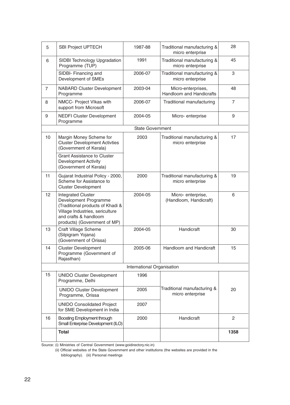| 5              | <b>SBI Project UPTECH</b>                                                                                                                                                          | 1987-88                    | Traditional manufacturing &<br>micro enterprise |                |
|----------------|------------------------------------------------------------------------------------------------------------------------------------------------------------------------------------|----------------------------|-------------------------------------------------|----------------|
| 6              | <b>SIDBI Technology Upgradation</b><br>Programme (TUP)                                                                                                                             | 1991                       | Traditional manufacturing &<br>micro enterprise | 45             |
|                | SIDBI- Financing and<br>Development of SMEs                                                                                                                                        | 2006-07                    | Traditional manufacturing &<br>micro enterprise | 3              |
| $\overline{7}$ | <b>NABARD Cluster Development</b><br>Programme                                                                                                                                     | 2003-04                    | Micro-enterprises,<br>Handloom and Handicrafts  | 48             |
| 8              | NMCC- Project VIkas with<br>support from Microsoft                                                                                                                                 | 2006-07                    | Traditional manufacturing                       | $\overline{7}$ |
| 9              | <b>NEDFI Cluster Development</b><br>Programme                                                                                                                                      | 2004-05                    | Micro-enterprise                                | 9              |
|                |                                                                                                                                                                                    | <b>State Government</b>    |                                                 |                |
| 10             | Margin Money Scheme for<br><b>Cluster Development Activties</b><br>(Government of Kerala)                                                                                          | 2003                       | Traditional manufacturing &<br>micro enterprise | 17             |
|                | <b>Grant Assistance to Cluster</b><br><b>Development Activity</b><br>(Government of Kerala)                                                                                        |                            |                                                 |                |
| 11             | Gujarat Industrial Policy - 2000,<br>Scheme for Assistance to<br><b>Cluster Development</b>                                                                                        | 2000                       | Traditional manufacturing &<br>micro enterprise | 19             |
| 12             | <b>Integrated Cluster</b><br>Development Programme<br>(Traditional products of Khadi &<br>Village Industries, sericulture<br>and crafts & handloom<br>products) (Government of MP) | 2004-05                    | Micro-enterprise,<br>(Handloom, Handicraft)     | 6              |
| 13             | <b>Craft Village Scheme</b><br>(Silpigram Yojana)<br>(Government of Orissa)                                                                                                        | 2004-05                    | Handicraft                                      | 30             |
| 14             | <b>Cluster Development</b><br>Programme (Government of<br>Rajasthan)                                                                                                               | 2005-06                    | Handloom and Handicraft                         | 15             |
|                |                                                                                                                                                                                    | International Organisation |                                                 |                |
| 15             | <b>UNIDO Cluster Development</b><br>Programme, Delhi                                                                                                                               | 1996                       |                                                 |                |
|                | <b>UNIDO Cluster Development</b><br>Programme, Orissa                                                                                                                              | 2005                       | Traditional manufacturing &<br>micro enterprise | 20             |
|                | <b>UNIDO Consolidated Project</b><br>for SME Development in India                                                                                                                  | 2007                       |                                                 |                |
| 16             | Boosting Employment through<br>Small Enterprise Development (ILO)                                                                                                                  | 2000                       | Handicraft                                      | $\overline{2}$ |
|                | <b>Total</b>                                                                                                                                                                       |                            |                                                 | 1358           |

Source: (i) Ministries of Central Government (www.goidirectory.nic.in)

 (ii) Official websites of the State Government and other institutions (the websites are provided in the bibliography). (iii) Personal meetings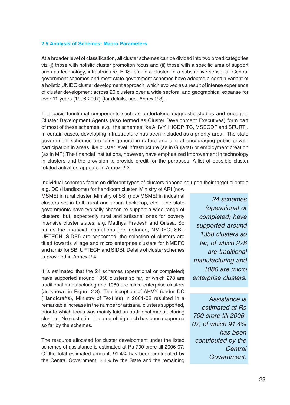#### **2.5 Analysis of Schemes: Macro Parameters**

At a broader level of classification, all cluster schemes can be divided into two broad categories viz (i) those with holistic cluster promotion focus and (ii) those with a specific area of support such as technology, infrastructure, BDS, etc. in a cluster. In a substantive sense, all Central government schemes and most state government schemes have adopted a certain variant of a holistic UNIDO cluster development approach, which evolved as a result of intense experience of cluster development across 20 clusters over a wide sectoral and geographical expanse for over 11 years (1996-2007) (for details, see, Annex 2.3).

The basic functional components such as undertaking diagnostic studies and engaging Cluster Development Agents (also termed as Cluster Development Executives) form part of most of these schemes, e.g., the schemes like AHVY, IHCDP, TC, MSECDP and SFURTI. In certain cases, developing infrastructure has been included as a priority area. The state government schemes are fairly general in nature and aim at encouraging public private participation in areas like cluster level infrastructure (as in Gujarat) or employment creation (as in MP).The financial institutions, however, have emphasized improvement in technology in clusters and the provision to provide credit for the purposes. A list of possible cluster related activities appears in Annex 2.2.

Individual schemes focus on different types of clusters depending upon their target clientele

e.g. DC (Handlooms) for handloom cluster, Ministry of ARI (now MSME) in rural cluster, Ministry of SSI (now MSME) in industrial clusters set in both rural and urban backdrop, etc. The state governments have typically chosen to support a wide range of clusters, but, expectedly rural and artisanal ones for poverty intensive cluster states, e.g. Madhya Pradesh and Orissa. So far as the financial institutions (for instance, NMDFC, SBI-UPTECH, SIDBI) are concerned, the selection of clusters are titled towards village and micro enterprise clusters for NMDFC and a mix for SBI UPTECH and SIDBI. Details of cluster schemes is provided in Annex 2.4.

It is estimated that the 24 schemes (operational or completed) have supported around 1358 clusters so far, of which 278 are traditional manufacturing and 1080 are micro enterprise clusters (as shown in Figure 2.3). The inception of AHVY (under DC (Handicrafts), Ministry of Textiles) in 2001-02 resulted in a remarkable increase in the number of artisanal clusters supported, prior to which focus was mainly laid on traditional manufacturing clusters. No cluster in the area of high tech has been supported so far by the schemes.

The resource allocated for cluster development under the listed schemes of assistance is estimated at Rs 700 crore till 2006-07. Of the total estimated amount, 91.4% has been contributed by the Central Government, 2.4% by the State and the remaining

24 schemes (operational or completed) have supported around 1358 clusters so far, of which 278 are traditional manufacturing and 1080 are micro enterprise clusters.

Assistance is estimated at Rs 700 crore till 2006- 07, of which 91.4% has been contributed by the **Central** Government.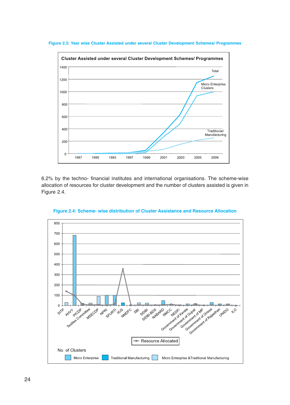

**Figure 2.3: Year wise Cluster Assisted under several Cluster Development Schemes/ Programmes**

6.2% by the techno- financial institutes and international organisations. The scheme-wise allocation of resources for cluster development and the number of clusters assisted is given in Figure 2.4.



**Figure 2.4: Scheme- wise distribution of Cluster Assistance and Resource Allocation**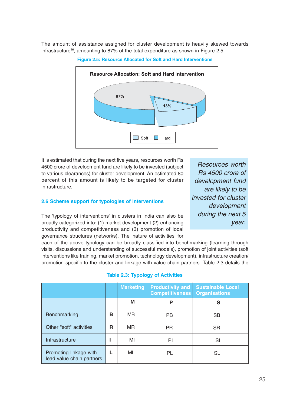The amount of assistance assigned for cluster development is heavily skewed towards infrastructure<sup>16</sup>, amounting to 87% of the total expenditure as shown in Figure 2.5.





It is estimated that during the next five years, resources worth Rs 4500 crore of development fund are likely to be invested (subject to various clearances) for cluster development. An estimated 80 percent of this amount is likely to be targeted for cluster infrastructure.

#### **2.6 Scheme support for typologies of interventions**

The 'typology of interventions' in clusters in India can also be broadly categorized into: (1) market development (2) enhancing productivity and competitiveness and (3) promotion of local governance structures (networks). The 'nature of activities' for

Resources worth Rs 4500 crore of development fund are likely to be invested for cluster development during the next 5 year.

each of the above typology can be broadly classified into benchmarking (learning through visits, discussions and understanding of successful models), promotion of joint activities (soft interventions like training, market promotion, technology development), infrastructure creation/ promotion specific to the cluster and linkage with value chain partners. Table 2.3 details the

|                                                     |   | <b>Marketing</b> | <b>Productivity and</b><br><b>Competitiveness</b> | <b>Sustainable Local</b><br><b>Organisations</b> |
|-----------------------------------------------------|---|------------------|---------------------------------------------------|--------------------------------------------------|
|                                                     |   | M                | P                                                 | S                                                |
| Benchmarking                                        | в | <b>MB</b>        | <b>PB</b>                                         | <b>SB</b>                                        |
| Other "soft" activities                             | R | <b>MR</b>        | <b>PR</b>                                         | <b>SR</b>                                        |
| Infrastructure                                      |   | MI               | PI                                                | SI                                               |
| Promoting linkage with<br>lead value chain partners |   | ML               | PL                                                | SL                                               |

#### **Table 2.3: Typology of Activities**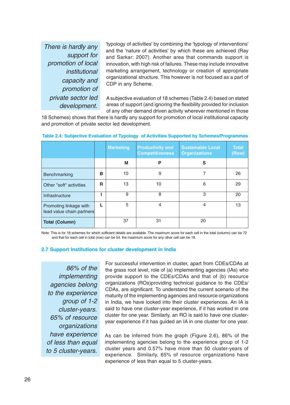There is hardly any support for promotion of local institutional capacity and promotion of private sector led development.

'typology of activities' by combining the 'typology of interventions' and the 'nature of activities' by which these are achieved (Ray and Sarkar: 2007). Another area that commands support is innovation, with high risk of failures. These may include innovative marketing arrangement, technology or creation of appropriate organizational structure. This however is not focused as a part of CDP in any Scheme.

A subjective evaluation of 18 schemes (Table 2.4) based on stated areas of support (and ignoring the flexibility provided for inclusion of any other demand driven activity wherever mentioned in those

18 Schemes) shows that there is hardly any support for promotion of local institutional capacity and promotion of private sector led development.

|                                                     |   | <b>Marketing</b> | <b>Productivity and</b><br><b>Competitiveness</b> | <b>Sustainable Local</b><br><b>Organizations</b> | <b>Total</b><br>(Row) |
|-----------------------------------------------------|---|------------------|---------------------------------------------------|--------------------------------------------------|-----------------------|
|                                                     |   | M                | P                                                 | S                                                |                       |
| Benchmarking                                        | B | 10               | 9                                                 |                                                  | 26                    |
| Other "soft" activities                             | R | 13               | 10                                                | 6                                                | 29                    |
| Infrastructure                                      |   | 9                | 8                                                 | 3                                                | 20                    |
| Promoting linkage with<br>lead value chain partners |   | 5                | 4                                                 | 4                                                | 13                    |
| <b>Total (Column)</b>                               |   | 37               | 31                                                | 20                                               |                       |

#### **Table 2.4: Subjective Evaluation of Typology of Activities Supported by Schemes/Programmes**

Note: This is for 18 schemes for which sufficient details are available. The maximum score for each cell in the total (column) can be 72 and that for each cell in total (row) can be 54. the maximum score for any other cell can be 18.

#### **2.7 Support Institutions for cluster development in India**

86% of the implementing agencies belong to the experience group of 1-2 cluster-years. 65% of resource organizations have experience of less than equal to 5 cluster-years.

For successful intervention in cluster, apart from CDEs/CDAs at the grass root level, role of (a) implementing agencies (IAs) who provide support to the CDEs/CDAs and that of (b) resource organizations (ROs)providing technical guidance to the CDEs/ CDAs, are significant. To understand the current scenario of the maturity of the implementing agencies and resource organizations in India, we have looked into their cluster experiences. An IA is said to have one cluster-year experience, if it has worked in one cluster for one year. Similarly, an RO is said to have one clusteryear experience if it has guided an IA in one cluster for one year.

As can be inferred from the graph (Figure 2.6), 86% of the implementing agencies belong to the experience group of 1-2 cluster years and 0.57% have more than 50 cluster-years of experience. Similarly, 65% of resource organizations have experience of less than equal to 5 cluster-years.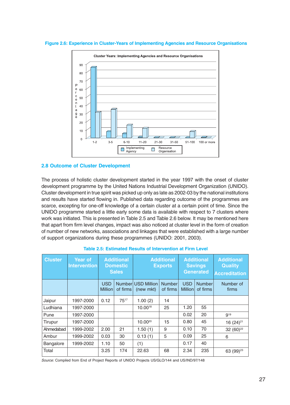



#### **2.8 Outcome of Cluster Development**

The process of holistic cluster development started in the year 1997 with the onset of cluster development programme by the United Nations Industrial Development Organization (UNIDO). Cluster development in true spirit was picked up only as late as 2002-03 by the national institutions and results have started flowing in. Published data regarding outcome of the programmes are scarce, excepting for one-off knowledge of a certain cluster at a certain point of time. Since the UNIDO programme started a little early some data is available with respect to 7 clusters where work was initiated. This is presented in Table 2.5 and Table 2.6 below. It may be mentioned here that apart from firm level changes, impact was also noticed at cluster level in the form of creation of number of new networks, associations and linkages that were established with a large number of support organizations during these programmes (UNIDO: 2001, 2003).

| <b>Cluster</b> | <b>Year of</b><br><b>Intervention</b> | <b>Additional</b><br><b>Domestic</b><br><b>Sales</b> |                    | <b>Additional</b><br><b>Exports</b> |                           | <b>Additional</b><br><b>Savings</b><br><b>Generated</b> |                           | <b>Additional</b><br><b>Quality</b><br><b>Accreditation</b> |
|----------------|---------------------------------------|------------------------------------------------------|--------------------|-------------------------------------|---------------------------|---------------------------------------------------------|---------------------------|-------------------------------------------------------------|
|                |                                       | <b>USD</b><br><b>Million</b>                         | Number<br>of firms | <b>USD Million</b><br>(new mkt)     | <b>Number</b><br>of firms | <b>USD</b><br><b>Million</b>                            | <b>Number</b><br>of firms | Number of<br>firms                                          |
| Jaipur         | 1997-2000                             | 0.12                                                 | $75^{17}$          | 1.00(2)                             | 14                        |                                                         |                           |                                                             |
| Ludhiana       | 1997-2000                             |                                                      |                    | $10.00^{18}$                        | 25                        | 1.20                                                    | 55                        |                                                             |
| Pune           | 1997-2000                             |                                                      |                    |                                     |                           | 0.02                                                    | 20                        | g <sub>19</sub>                                             |
| Tirupur        | 1997-2000                             |                                                      |                    | $10.00^{20}$                        | 15                        | 0.80                                                    | 45                        | 16 $(24)^{21}$                                              |
| Ahmedabad      | 1999-2002                             | 2.00                                                 | 21                 | 1.50(1)                             | 9                         | 0.10                                                    | 70                        | 32 $(60)^{22}$                                              |
| Ambur          | 1999-2002                             | 0.03                                                 | 30                 | 0.13(1)                             | 5                         | 0.09                                                    | 25                        | 6                                                           |
| Bangalore      | 1999-2002                             | 1.10                                                 | 50                 | (1)                                 |                           | 0.17                                                    | 40                        |                                                             |
| Total          |                                       | 3.25                                                 | 174                | 22.63                               | 68                        | 2.34                                                    | 235                       | 63 (99) <sup>23</sup>                                       |

#### **Table 2.5: Estimated Results of Intervention at Firm Level**

Source: Compiled from End of Project Reports of UNIDO Projects US/GLO/144 and US/IND/97/148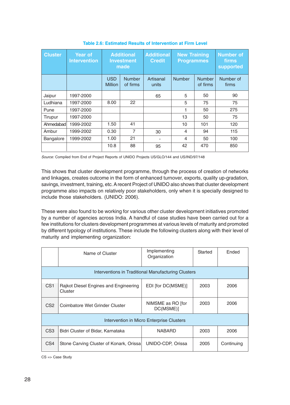| <b>Cluster</b> | <b>Year of</b><br><b>Intervention</b> | <b>Additional</b><br><b>Investment</b><br>made |                           | <b>Additional</b><br><b>Credit</b> | <b>New Training</b><br><b>Programmes</b> |                           | <b>Number of</b><br>firms<br>supported |
|----------------|---------------------------------------|------------------------------------------------|---------------------------|------------------------------------|------------------------------------------|---------------------------|----------------------------------------|
|                |                                       | <b>USD</b><br><b>Million</b>                   | <b>Number</b><br>of firms | Artisanal<br>units                 | <b>Number</b>                            | <b>Number</b><br>of firms | Number of<br>firms                     |
| Jaipur         | 1997-2000                             |                                                |                           | 65                                 | 5                                        | 50                        | 90                                     |
| Ludhiana       | 1997-2000                             | 8.00                                           | 22                        |                                    | 5                                        | 75                        | 75                                     |
| Pune           | 1997-2000                             |                                                |                           |                                    | 1                                        | 50                        | 275                                    |
| Tirupur        | 1997-2000                             |                                                |                           |                                    | 13                                       | 50                        | 75                                     |
| Ahmedabad      | 1999-2002                             | 1.50                                           | 41                        |                                    | 10                                       | 101                       | 120                                    |
| Ambur          | 1999-2002                             | 0.30                                           | 7                         | 30                                 | $\overline{4}$                           | 94                        | 115                                    |
| Bangalore      | 1999-2002                             | 1.00                                           | 21                        |                                    | 4                                        | 50                        | 100                                    |
|                |                                       | 10.8                                           | 88                        | 95                                 | 42                                       | 470                       | 850                                    |

**Table 2.6: Estimated Results of Intervention at Firm Level**

Source: Compiled from End of Project Reports of UNIDO Projects US/GLO/144 and US/IND/97/148

This shows that cluster development programme, through the process of creation of networks and linkages, creates outcome in the form of enhanced turnover, exports, quality up-gradation, savings, investment, training, etc. A recent Project of UNIDO also shows that cluster development programme also impacts on relatively poor stakeholders, only when it is specially designed to include those stakeholders. (UNIDO: 2006).

These were also found to be working for various other cluster development initiatives promoted by a number of agencies across India. A handful of case studies have been carried out for a few institutions for clusters development programmes at various levels of maturity and promoted by different typology of institutions. These include the following clusters along with their level of maturity and implementing organization:

|                                                     | Name of Cluster                                  | Implementing<br>Organization   | Started | Ended      |  |  |  |
|-----------------------------------------------------|--------------------------------------------------|--------------------------------|---------|------------|--|--|--|
| Interventions in Traditional Manufacturing Clusters |                                                  |                                |         |            |  |  |  |
| CS <sub>1</sub>                                     | Rajkot Diesel Engines and Engineering<br>Cluster | EDI [for DC(MSME)]             | 2003    | 2006       |  |  |  |
| CS <sub>2</sub>                                     | Coimbatore Wet Grinder Cluster                   | NIMSME as RO [for<br>DC(MSME)] | 2003    | 2006       |  |  |  |
|                                                     | Intervention in Micro Enterprise Clusters        |                                |         |            |  |  |  |
| CS <sub>3</sub>                                     | Bidri Cluster of Bidar, Karnataka                | <b>NABARD</b>                  | 2003    | 2006       |  |  |  |
| CS4                                                 | Stone Carving Cluster of Konark, Orissa          | UNIDO-CDP, Orissa              | 2005    | Continuing |  |  |  |

CS => Case Study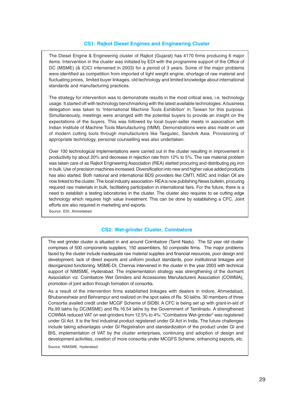#### **CS1: Rajkot Diesel Engines and Engineering Cluster**

The Diesel Engine & Engineering cluster of Rajkot (Gujarat) has 4170 firms producing 6 major items. Intervention in the cluster was initiated by EDI with the programme support of the Office of DC (MSME) (& ICICI intervened in 2003) for a period of 3 years. Some of the major problems were identified as competition from imported of light weight engine, shortage of raw material and fluctuating prices, limited buyer linkages, old technology and limited knowledge about international standards and manufacturing practices.

The strategy for intervention was to demonstrate results in the most critical area, i.e. technology usage. It started off with technology benchmarking with the latest available technologies. A business delegation was taken to 'International Machine Tools Exhibition' in Taiwan for this purpose. Simultaneously, meetings were arranged with the potential buyers to provide an insight on the expectations of the buyers. This was followed by local buyer-seller meets in association with Indian Institute of Machine Tools Manufacturing (IIMM). Demonstrations were also made on use of modern cutting tools through manufacturers like Taegutec, Sandvik Asia. Provisioning of appropriate technology, personal counselling was also undertaken.

Over 100 technological implementations were carried out in the cluster resulting in improvement in productivity by about 20% and decrease in rejection rate from 12% to 5%. The raw material problem was taken care of as Rajkot Engineering Association (REA) started procuring and distributing pig iron in bulk. Use of precision machines increased. Diversification into new and higher value added products has also started. Both national and international BDS providers like CMTI, NSIC and Indian Oil are now linked to the cluster. The local industry association- REA is now publishing News bulletin, procuring required raw materials in bulk, facilitating participation in international fairs. For the future, there is a need to establish a testing laboratories in the cluster. The cluster also requires to se cutting edge technology which requires high value investment. This can be done by establishing a CFC. Joint efforts are also required in marketing and exports.

Source: EDI, Ahmedabad

#### **CS2: Wet-grinder Cluster, Coimbatore**

The wet grinder cluster is situated in and around Coimbatore (Tamil Nadu). The 52 year old cluster comprises of 500 components suppliers, 150 assemblers, 50 composite firms. The major problems faced by the cluster include inadequate raw material supplies and financial resources, poor design and development, lack of direct exports and uniform product standards, poor institutional linkages and disorganized functioning. MSME-DI, Chennai intervened in the cluster in the year 2003 with technical support of NIMSME, Hyderabad. The implementation strategy was strengthening of the dormant Association viz. Coimbatore Wet Grinders and Accessories Manufacturers Association (COWMA), promotion of joint action through formation of consortia.

As a result of the intervention firms established linkages with dealers in Indore, Ahmedabad, Bhubaneshwar and Behrampur and realized on the spot sales of Rs. 50 lakhs. 30 members of three Consortia availed credit under MCGF Scheme of SIDBI. A CFC is being set up with grant-in-aid of Rs.99 lakhs by DC(MSME) and Rs.16.54 lakhs by the Government of Tamilnadu. A strengthened COWMA reduced VAT on wet-grinders from 12.5% to 4%. "Coimbatore Wet-grinder" was registered under GI Act. It is the first industrial product registered under GI Act in India. The future challenges include taking advantages under GI Registration and standardization of the product under GI and BIS, implementation of VAT by the cluster enterprises, continuing and adoption of design and development activities, creation of more consortia under MCGFS Scheme, enhancing exports, etc.

Source: NIMSME, Hyderabad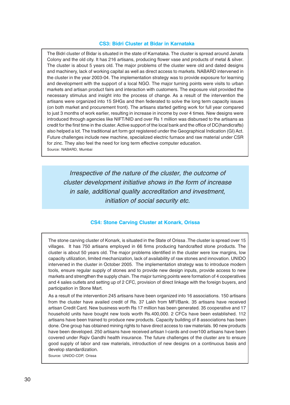#### **CS3: Bidri Cluster at Bidar in Karnataka**

The Bidri cluster of Bidar is situated in the state of Karnataka. The cluster is spread around Janata Colony and the old city. It has 216 artisans, producing flower vase and products of metal & silver. The cluster is about 5 years old. The major problems of the cluster were old and dated designs and machinery, lack of working capital as well as direct access to markets. NABARD intervened in the cluster in the year 2003-04. The implementation strategy was to provide exposure for learning and development with the support of a local NGO. The major turning points were visits to urban markets and artisan product fairs and interaction with customers. The exposure visit provided the necessary stimulus and insight into the process of change. As a result of the intervention the artisans were organized into 15 SHGs and then federated to solve the long term capacity issues (on both market and procurement front). The artisans started getting work for full year compared to just 3 months of work earlier, resulting in increase in income by over 4 times. New designs were introduced through agencies like NIFT/NID and over Rs 1 million was disbursed to the artisans as credit for the first time in the cluster. Active support of the local bank and the office of DC(handicrafts) also helped a lot. The traditional art form got registered under the Geographical Indication (GI) Act. Future challenges include new machine, specialized electric furnace and raw material under CSR for zinc. They also feel the need for long term effective computer education. Source: NABARD, Mumbai

Irrespective of the nature of the cluster, the outcome of cluster development initiative shows in the form of increase in sale, additional quality accreditation and investment, initiation of social security etc.

#### **CS4: Stone Carving Cluster at Konark, Orissa**

The stone carving cluster of Konark, is situated in the State of Orissa .The cluster is spread over 15 villages. It has 750 artisans employed in 66 firms producing handcrafted stone products. The cluster is about 50 years old. The major problems identified in the cluster were low margins, low capacity utilization, limited mechanization, lack of availability of raw stones and innovation. UNIDO intervened in the cluster in October 2005. The implementation strategy was to introduce modern tools, ensure regular supply of stones and to provide new design inputs, provide access to new markets and strengthen the supply chain. The major turning points were formation of 4 cooperatives and 4 sales outlets and setting up of 2 CFC, provision of direct linkage with the foreign buyers, and participation in Stone Mart.

As a result of the intervention 245 artisans have been organized into 16 associations. 150 artisans from the cluster have availed credit of Rs. 37 Lakh from MFI/Bank. 35 artisans have received artisan Credit Card. New business worth Rs 17 million has been generated. 35 cooperative and 17 household units have bought new tools worth Rs.400,000. 2 CFCs have been established. 112 artisans have been trained to produce new products. Capacity building of 8 associations has been done. One group has obtained mining rights to have direct access to raw materials. 90 new products have been developed. 250 artisans have received artisan I-cards and over100 artisans have been covered under Rajiv Gandhi health insurance. The future challenges of the cluster are to ensure good supply of labor and raw materials, introduction of new designs on a continuous basis and develop standardization.

Source: UNIDO-CDP, Orissa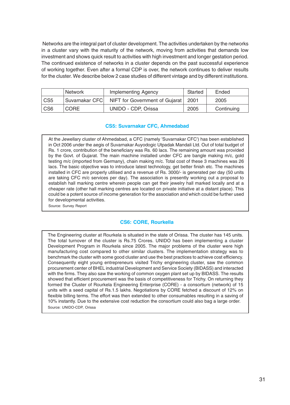Networks are the integral part of cluster development. The activities undertaken by the networks in a cluster vary with the maturity of the network, moving from activities that demands low investment and shows quick result to activities with high investment and longer gestation period. The continued existence of networks in a cluster depends on the past successful experience of working together. Even after a formal CDP is over, the network continues to deliver results for the cluster. We describe below 2 case studies of different vintage and by different institutions.

|                 | <b>Network</b>  | <b>Implementing Agency</b>     | Started | Ended      |
|-----------------|-----------------|--------------------------------|---------|------------|
| CS <sub>5</sub> | Suvarnakar CFCI | NIFT for Government of Gujarat | 2001    | 2005       |
| CS <sub>6</sub> | 'CORE           | UNIDO - CDP, Orissa            | 2005    | Continuing |

#### **CS5: Suvarnakar CFC, Ahmedabad**

At the Jewellary cluster of Ahmedabad, a CFC (namely 'Suvarnakar CFC') has been established in Oct 2006 under the aegis of Suvarnakar Auyodogic Utpadak Mandali Ltd. Out of total budget of Rs. 1 crore, contribution of the beneficiary was Rs. 60 lacs. The remaining amount was provided by the Govt. of Gujarat. The main machine installed under CFC are bangle making m/c, gold testing m/c (imported from Germany), chain making m/c. Total cost of these 3 machines was 26 lacs. The basic objective was to introduce latest technology, get better finish etc. The machines installed in CFC are properly utilised and a revenue of Rs. 3000/- is generated per day (50 units are taking CFC m/c services per day). The association is presently working out a proposal to establish hall marking centre wherein people can get their jewelry hall marked locally and at a cheaper rate (other hall marking centres are located on private initiative at a distant place). This could be a potent source of income generation for the association and which could be further used for developmental activities.

Source: Survey Report

#### **CS6: CORE, Rourkella**

The Engineering cluster at Rourkela is situated in the state of Orissa. The cluster has 145 units. The total turnover of the cluster is Rs.75 Crores. UNIDO has been implementing a cluster Development Program in Rourkela since 2005. The major problems of the cluster were high manufacturing cost compared to other similar clusters. The implementation strategy was to benchmark the cluster with some good cluster and use the best practices to achieve cost efficiency. Consequently eight young entrepreneurs visited Trichy engineering cluster, saw the common procurement center of BHEL industrial Development and Service Society (BIDASS) and interacted with the firms. They also saw the working of common oxygen plant set up by BIDASS. The results showed that efficient procurement was the basis of competitiveness for Trichy. On returning they formed the Cluster of Rourkela Engineering Enterprise (CORE) - a consortium (network) of 15 units with a seed capital of Rs.1.5 lakhs. Negotiations by CORE fetched a discount of 12% on flexible billing terms. The effort was then extended to other consumables resulting in a saving of 10% instantly. Due to the extensive cost reduction the consortium could also bag a large order. Source: UNIDO-CDP, Orissa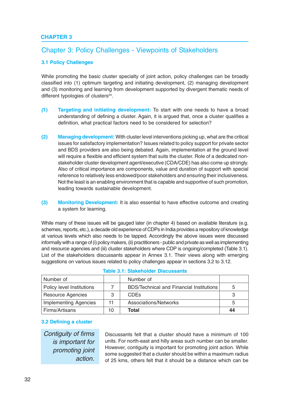# **CHAPTER 3**

# Chapter 3: Policy Challenges - Viewpoints of Stakeholders

# **3.1 Policy Challenges**

While promoting the basic cluster specialty of joint action, policy challenges can be broadly classified into (1) optimum targeting and initiating development, (2) managing development and (3) monitoring and learning from development supported by divergent thematic needs of different typologies of clusters $^{24}$ .

- *(***1) Targeting and initiating development:** To start with one needs to have a broad understanding of defining a cluster. Again, it is argued that, once a cluster qualifies a definition, what practical factors need to be considered for selection?
- **(2) Managing development:** With cluster level interventions picking up, what are the critical issues for satisfactory implementation? Issues related to policy support for private sector and BDS providers are also being debated. Again, implementation at the ground level will require a flexible and efficient system that suits the cluster. Role of a dedicated nonstakeholder cluster development agent/executive (CDA/CDE) has also come up strongly. Also of critical importance are components, value and duration of support with special reference to relatively less endowed/poor stakeholders and ensuring their inclusiveness. Not the least is an enabling environment that is capable and supportive of such promotion, leading towards sustainable development.
- **(3) Monitoring Development:** It is also essential to have effective outcome and creating a system for learning.

While many of these issues will be gauged later (in chapter 4) based on available literature (e.g. schemes, reports, etc.), a decade old experience of CDPs in India provides a repository of knowledge at various levels which also needs to be tapped. Accordingly the above issues were discussed informally with a range of (i) policy makers, (ii) practitioners - public and private as well as implementing and resource agencies and (iii) cluster stakeholders where CDP is ongoing/completed (Table 3.1). List of the stakeholders discussants appear in Annex 3.1. Their views along with emerging suggestions on various issues related to policy challenges appear in sections 3.2 to 3.12.

| Number of                    |    | Number of                                       |    |
|------------------------------|----|-------------------------------------------------|----|
| Policy level Institutions    |    | <b>BDS/Technical and Financial Institutions</b> | 5  |
| <b>Resource Agencies</b>     | 3  | <b>CDE<sub>s</sub></b>                          |    |
| <b>Implementing Agencies</b> | 11 | Associations/Networks                           |    |
| Firms/Artisans               | 10 | Total                                           | 44 |

# **Table 3.1: Stakeholder Discussants**

#### **3.2 Defining a cluster**

Contiguity of firms is important for promoting joint action.

Discussants felt that a cluster should have a minimum of 100 units. For north-east and hilly areas such number can be smaller. However, contiguity is important for promoting joint action. While some suggested that a cluster should be within a maximum radius of 25 kms, others felt that it should be a distance which can be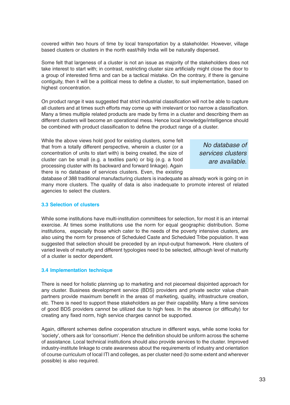covered within two hours of time by local transportation by a stakeholder. However, village based clusters or clusters in the north east/hilly India will be naturally dispersed.

Some felt that largeness of a cluster is not an issue as majority of the stakeholders does not take interest to start with; in contrast, restricting cluster size artificially might close the door to a group of interested firms and can be a tactical mistake. On the contrary, if there is genuine contiguity, then it will be a political mess to define a cluster, to suit implementation, based on highest concentration.

On product range it was suggested that strict industrial classification will not be able to capture all clusters and at times such efforts may come up with irrelevant or too narrow a classification. Many a times multiple related products are made by firms in a cluster and describing them as different clusters will become an operational mess. Hence local knowledge/intelligence should be combined with product classification to define the product range of a cluster.

While the above views hold good for existing clusters, some felt that from a totally different perspective, wherein a cluster (or a concentration of units to start with) is being created, the size of cluster can be small (e.g. a textiles park) or big (e.g. a food processing cluster with its backward and forward linkage). Again there is no database of services clusters. Even, the existing

No database of services clusters are available.

database of 388 traditional manufacturing clusters is inadequate as already work is going on in many more clusters. The quality of data is also inadequate to promote interest of related agencies to select the clusters.

# **3.3 Selection of clusters**

While some institutions have multi-institution committees for selection, for most it is an internal exercise. At times some institutions use the norm for equal geographic distribution. Some institutions, especially those which cater to the needs of the poverty intensive clusters, are also using the norm for presence of Scheduled Caste and Scheduled Tribe population. It was suggested that selection should be preceded by an input-output framework. Here clusters of varied levels of maturity and different typologies need to be selected, although level of maturity of a cluster is sector dependent.

# **3.4 Implementation technique**

There is need for holistic planning up to marketing and not piecemeal disjointed approach for any cluster. Business development service (BDS) providers and private sector value chain partners provide maximum benefit in the areas of marketing, quality, infrastructure creation, etc. There is need to support these stakeholders as per their capability. Many a time services of good BDS providers cannot be utilized due to high fees. In the absence (or difficulty) for creating any fixed norm, high service charges cannot be supported.

Again, different schemes define cooperation structure in different ways, while some looks for 'society', others ask for 'consortium'. Hence the definition should be uniform across the scheme of assistance. Local technical institutions should also provide services to the cluster. Improved industry-institute linkage to crate awareness about the requirements of industry and orientation of course curriculum of local ITI and colleges, as per cluster need (to some extent and wherever possible) is also required.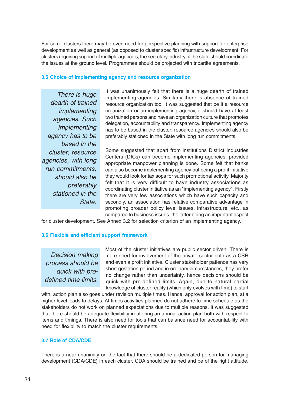For some clusters there may be even need for perspective planning with support for enterprise development as well as general (as opposed to cluster specific) infrastructure development. For clusters requiring support of multiple agencies, the secretary industry of the state should coordinate the issues at the ground level. Programmes should be projected with tripartite agreements.

#### **3.5 Choice of implementing agency and resource organization**

There is huge dearth of trained implementing agencies. Such implementing agency has to be based in the cluster; resource agencies, with long run commitments, should also be preferably stationed in the State.

It was unanimously felt that there is a huge dearth of trained implementing agencies. Similarly there is absence of trained resource organization too. It was suggested that be it a resource organization or an implementing agency, it should have at least two trained persons and have an organization culture that promotes delegation, accountability and transparency. Implementing agency has to be based in the cluster; resource agencies should also be preferably stationed in the State with long run commitments.

Some suggested that apart from institutions District Industries Centers (DICs) can become implementing agencies, provided appropriate manpower planning is done. Some felt that banks can also become implementing agency but being a profit initiative they would look for tax sops for such promotional activity. Majority felt that it is very difficult to have industry associations as coordinating cluster initiative as an "implementing agency". Firstly there are very few associations which have such capacity and secondly, an association has relative comparative advantage in promoting broader policy level issues, infrastructure, etc., as compared to business issues, the latter being an important aspect

for cluster development. See Annex 3.2 for selection criterion of an implementing agency.

# **3.6 Flexible and efficient support framework**

Decision making process should be quick with predefined time limits.

Most of the cluster initiatives are public sector driven. There is more need for involvement of the private sector both as a CSR and even a profit initiative. Cluster stakeholder patience has very short gestation period and in ordinary circumstances, they prefer no change rather than uncertainty, hence decisions should be quick with pre-defined limits. Again, due to natural partial knowledge of cluster reality (which only evolves with time) to start

with, action plan also goes under revision multiple times. Hence, approval for action plan, at a higher level leads to delays. At times activities planned do not adhere to time schedule as the stakeholders do not work on planned expectations due to multiple reasons. It was suggested that there should be adequate flexibility in altering an annual action plan both with respect to items and timings. There is also need for tools that can balance need for accountability with need for flexibility to match the cluster requirements.

# **3.7 Role of CDA/CDE**

There is a near unanimity on the fact that there should be a dedicated person for managing development (CDA/CDE) in each cluster. CDA should be trained and be of the right attitude.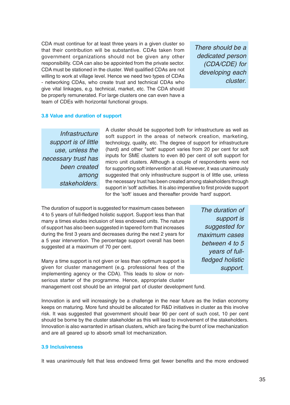CDA must continue for at least three years in a given cluster so that their contribution will be substantive. CDAs taken from government organizations should not be given any other responsibility. CDA can also be appointed from the private sector. CDA must be stationed in the cluster. Well qualified CDAs are not willing to work at village level. Hence we need two types of CDAs - networking CDAs, who create trust and technical CDAs who give vital linkages, e.g. technical, market, etc. The CDA should be properly remunerated. For large clusters one can even have a team of CDEs with horizontal functional groups.

There should be a dedicated person (CDA/CDE) for developing each cluster.

#### **3.8 Value and duration of support**

**Infrastructure** support is of little use, unless the necessary trust has been created among stakeholders.

A cluster should be supported both for infrastructure as well as soft support in the areas of network creation, marketing, technology, quality, etc. The degree of support for infrastructure (hard) and other "soft" support varies from 20 per cent for soft inputs for SME clusters to even 80 per cent of soft support for micro unit clusters. Although a couple of respondents were not for supporting soft intervention at all. However, it was unanimously suggested that only infrastructure support is of little use, unless the necessary trust has been created among stakeholders through support in 'soft' activities. It is also imperative to first provide support for the 'soft' issues and thereafter provide 'hard' support.

The duration of support is suggested for maximum cases between 4 to 5 years of full-fledged holistic support. Support less than that many a times eludes inclusion of less endowed units. The nature of support has also been suggested in tapered form that increases during the first 3 years and decreases during the next 2 years for a 5 year intervention. The percentage support overall has been suggested at a maximum of 70 per cent.

Many a time support is not given or less than optimum support is given for cluster management (e.g. professional fees of the implementing agency or the CDA). This leads to slow or nonserious starter of the programme. Hence, appropriate cluster

The duration of support is suggested for maximum cases between 4 to 5 years of fullfledged holistic support.

management cost should be an integral part of cluster development fund.

Innovation is and will increasingly be a challenge in the near future as the Indian economy keeps on maturing. More fund should be allocated for R&D initiatives in cluster as this involve risk. It was suggested that government should bear 90 per cent of such cost, 10 per cent should be borne by the cluster stakeholder as this will lead to involvement of the stakeholders. Innovation is also warranted in artisan clusters, which are facing the burnt of low mechanization and are all geared up to absorb small lot mechanization.

# **3.9 Inclusiveness**

It was unanimously felt that less endowed firms get fewer benefits and the more endowed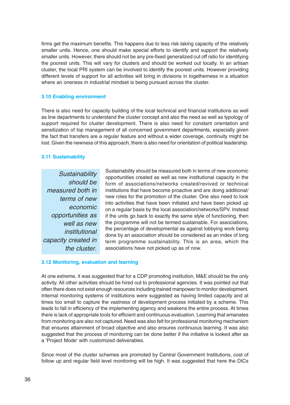firms get the maximum benefits. This happens due to less risk taking capacity of the relatively smaller units. Hence, one should make special efforts to identify and support the relatively smaller units. However, there should not be any pre-fixed generalized cut off ratio for identifying the poorest units. This will vary for clusters and should be worked out locally. In an artisan cluster, the local PRI system can be involved to identify the poorest units. However providing different levels of support for all activities will bring in divisions in togetherness in a situation where an oneness in industrial mindset is being pursued across the cluster.

# **3.10 Enabling environment**

There is also need for capacity building of the local technical and financial institutions as well as line departments to understand the cluster concept and also the need as well as typology of support required for cluster development. There is also need for constant orientation and sensitization of top management of all concerned government departments, especially given the fact that transfers are a regular feature and without a wider coverage, continuity might be lost. Given the newness of this approach, there is also need for orientation of political leadership.

# **3.11 Sustainability**

**Sustainability** should be measured both in terms of new economic opportunities as well as new institutional capacity created in the cluster.

Sustainability should be measured both in terms of new economic opportunities created as well as new institutional capacity in the form of associations/networks created/revived or technical institutions that have become proactive and are doing additional/ new roles for the promotion of the cluster. One also need to look into activities that have been initiated and have been picked up on a regular basis by the local association/networks/SPV. Instead if the units go back to exactly the same style of functioning, then the programme will not be termed sustainable. For associations, the percentage of developmental as against lobbying work being done by an association should be considered as an index of long term programme sustainability. This is an area, which the associations have not picked up as of now.

# **3.12 Monitoring, evaluation and learning**

At one extreme, it was suggested that for a CDP promoting institution, M&E should be the only activity. All other activities should be hired out to professional agencies. It was pointed out that often there does not exist enough resources including trained manpower to monitor development. Internal monitoring systems of institutions were suggested as having limited capacity and at times too small to capture the vastness of development process initiated by a scheme. This leads to fall in efficiency of the implementing agency and weakens the entire process. At times there is lack of appropriate tools for efficient and continuous evaluation. Learning that emanates from monitoring are also not captured. Need was also felt for professional monitoring mechanism that ensures attainment of broad objective and also ensures continuous learning. It was also suggested that the process of monitoring can be done better if the initiative is looked after as a 'Project Mode' with customized deliverables.

Since most of the cluster schemes are promoted by Central Government Institutions, cost of follow up and regular field level monitoring will be high. It was suggested that here the DICs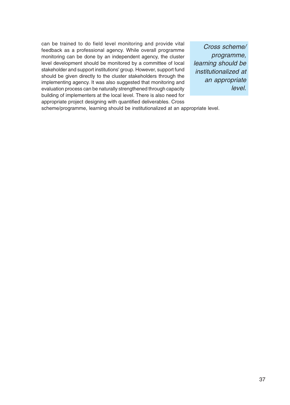can be trained to do field level monitoring and provide vital feedback as a professional agency. While overall programme monitoring can be done by an independent agency, the cluster level development should be monitored by a committee of local stakeholder and support institutions' group. However, support fund should be given directly to the cluster stakeholders through the implementing agency. It was also suggested that monitoring and evaluation process can be naturally strengthened through capacity building of implementers at the local level. There is also need for appropriate project designing with quantified deliverables. Cross

Cross scheme/ programme, learning should be institutionalized at an appropriate level.

scheme/programme, learning should be institutionalized at an appropriate level.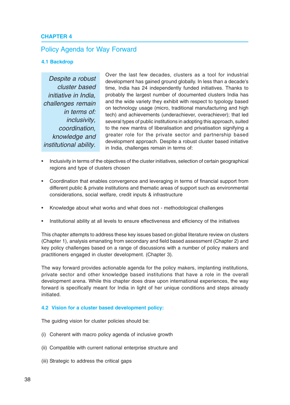# **CHAPTER 4**

# Policy Agenda for Way Forward

### **4.1 Backdrop**

Despite a robust cluster based initiative in India, challenges remain in terms of: inclusivity, coordination, knowledge and institutional ability.

Over the last few decades, clusters as a tool for industrial development has gained ground globally. In less than a decade's time, India has 24 independently funded initiatives. Thanks to probably the largest number of documented clusters India has and the wide variety they exhibit with respect to typology based on technology usage (micro, traditional manufacturing and high tech) and achievements (underachiever, overachiever); that led several types of public institutions in adopting this approach, suited to the new mantra of liberalisation and privatisation signifying a greater role for the private sector and partnership based development approach. Despite a robust cluster based initiative in India, challenges remain in terms of:

- Inclusivity in terms of the objectives of the cluster initiatives, selection of certain geographical regions and type of clusters chosen
- Coordination that enables convergence and leveraging in terms of financial support from different public & private institutions and thematic areas of support such as environmental considerations, social welfare, credit inputs & infrastructure
- Knowledge about what works and what does not methodological challenges
- Institutional ability at all levels to ensure effectiveness and efficiency of the initiatives

This chapter attempts to address these key issues based on global literature review on clusters (Chapter 1), analysis emanating from secondary and field based assessment (Chapter 2) and key policy challenges based on a range of discussions with a number of policy makers and practitioners engaged in cluster development. (Chapter 3).

The way forward provides actionable agenda for the policy makers, implanting institutions, private sector and other knowledge based institutions that have a role in the overall development arena. While this chapter does draw upon international experiences, the way forward is specifically meant for India in light of her unique conditions and steps already initiated.

#### **4.2 Vision for a cluster based development policy:**

The guiding vision for cluster policies should be:

- (i) Coherent with macro policy agenda of inclusive growth
- (ii) Compatible with current national enterprise structure and
- (iii) Strategic to address the critical gaps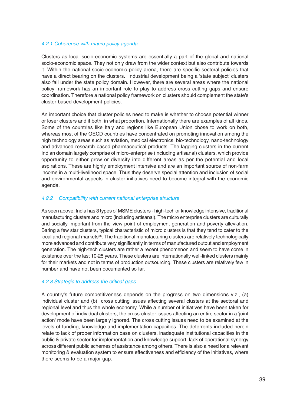# 4.2.1 Coherence with macro policy agenda

Clusters as local socio-economic systems are essentially a part of the global and national socio-economic space. They not only draw from the wider context but also contribute towards it. Within the national socio-economic policy arena, there are specific sectoral policies that have a direct bearing on the clusters. Industrial development being a 'state subject' clusters also fall under the state policy domain. However, there are several areas where the national policy framework has an important role to play to address cross cutting gaps and ensure coordination. Therefore a national policy framework on clusters should complement the state's cluster based development policies.

An important choice that cluster policies need to make is whether to choose potential winner or loser clusters and if both, in what proportion. Internationally there are examples of all kinds. Some of the countries like Italy and regions like European Union chose to work on both, whereas most of the OECD countries have concentrated on promoting innovation among the high technology areas such as aviation, medical electronics, bio-technology, nano-technology and advanced research based pharmaceutical products. The lagging clusters in the current Indian domain largely comprise of micro-enterprise (including artisanal) clusters, which provide opportunity to either grow or diversify into different areas as per the potential and local aspirations. These are highly employment intensive and are an important source of non-farm income in a multi-livelihood space. Thus they deserve special attention and inclusion of social and environmental aspects in cluster initiatives need to become integral with the economic agenda.

# 4.2.2 Compatibility with current national enterprise structure

As seen above, India has 3 types of MSME clusters - high-tech or knowledge intensive, traditional manufacturing clusters and micro (including artisanal). The micro enterprise clusters are culturally and socially important from the view point of employment generation and poverty alleviation. Baring a few star clusters, typical characteristic of micro clusters is that they tend to cater to the local and regional markets<sup>25</sup>. The traditional manufacturing clusters are relatively technologically more advanced and contribute very significantly in terms of manufactured output and employment generation. The high-tech clusters are rather a recent phenomenon and seem to have come in existence over the last 10-25 years. These clusters are internationally well-linked clusters mainly for their markets and not in terms of production outsourcing. These clusters are relatively few in number and have not been documented so far.

# 4.2.3 Strategic to address the critical gaps

A country's future competitiveness depends on the progress on two dimensions viz., (a) individual cluster and (b) cross cutting issues affecting several clusters at the sectoral and regional level and thus the whole economy. While a number of initiatives have been taken for development of individual clusters, the cross-cluster issues affecting an entire sector in a 'joint action' mode have been largely ignored. The cross cutting issues need to be examined at the levels of funding, knowledge and implementation capacities. The deterrents included herein relate to lack of proper information base on clusters, inadequate institutional capacities in the public & private sector for implementation and knowledge support, lack of operational synergy across different public schemes of assistance among others. There is also a need for a relevant monitoring & evaluation system to ensure effectiveness and efficiency of the initiatives, where there seems to be a major gap.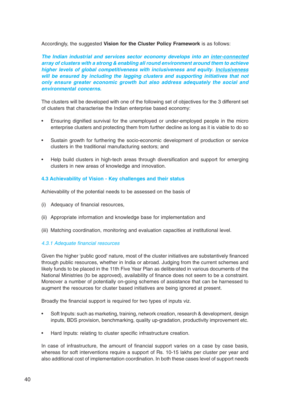# Accordingly, the suggested **Vision for the Cluster Policy Framework** is as follows:

*The Indian industrial and services sector economy develops into an inter-connected array of clusters with a strong & enabling all round environment around them to achieve higher levels of global competitiveness with inclusiveness and equity. Inclusiveness will be ensured by including the lagging clusters and supporting initiatives that not only ensure greater economic growth but also address adequately the social and environmental concerns.*

The clusters will be developed with one of the following set of objectives for the 3 different set of clusters that characterise the Indian enterprise based economy:

- Ensuring dignified survival for the unemployed or under-employed people in the micro enterprise clusters and protecting them from further decline as long as it is viable to do so
- Sustain growth for furthering the socio-economic development of production or service clusters in the traditional manufacturing sectors; and
- Help build clusters in high-tech areas through diversification and support for emerging clusters in new areas of knowledge and innovation.

# **4.3 Achievability of Vision - Key challenges and their status**

Achievability of the potential needs to be assessed on the basis of

- (i) Adequacy of financial resources,
- (ii) Appropriate information and knowledge base for implementation and
- (iii) Matching coordination, monitoring and evaluation capacities at institutional level.

# 4.3.1 Adequate financial resources

Given the higher 'public good' nature, most of the cluster initiatives are substantively financed through public resources, whether in India or abroad. Judging from the current schemes and likely funds to be placed in the 11th Five Year Plan as deliberated in various documents of the National Ministries (to be approved), availability of finance does not seem to be a constraint. Moreover a number of potentially on-going schemes of assistance that can be harnessed to augment the resources for cluster based initiatives are being ignored at present.

Broadly the financial support is required for two types of inputs viz.

- Soft Inputs: such as marketing, training, network creation, research & development, design inputs, BDS provision, benchmarking, quality up-gradation, productivity improvement etc.
- Hard Inputs: relating to cluster specific infrastructure creation.

In case of infrastructure, the amount of financial support varies on a case by case basis, whereas for soft interventions require a support of Rs. 10-15 lakhs per cluster per year and also additional cost of implementation coordination. In both these cases level of support needs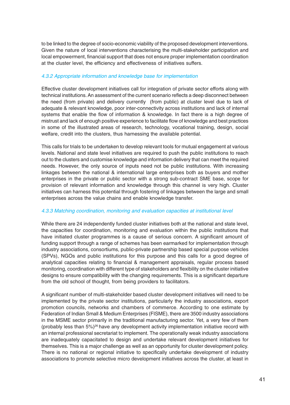to be linked to the degree of socio-economic viability of the proposed development interventions. Given the nature of local interventions characterising the multi-stakeholder participation and local empowerment, financial support that does not ensure proper implementation coordination at the cluster level, the efficiency and effectiveness of initiatives suffers.

# 4.3.2 Appropriate information and knowledge base for implementation

Effective cluster development initiatives call for integration of private sector efforts along with technical institutions. An assessment of the current scenario reflects a deep disconnect between the need (from private) and delivery currently (from public) at cluster level due to lack of adequate & relevant knowledge, poor inter-connectivity across institutions and lack of internal systems that enable the flow of information & knowledge. In fact there is a high degree of mistrust and lack of enough positive experience to facilitate flow of knowledge and best practices in some of the illustrated areas of research, technology, vocational training, design, social welfare, credit into the clusters, thus harnessing the available potential.

This calls for trials to be undertaken to develop relevant tools for mutual engagement at various levels. National and state level initiatives are required to push the public institutions to reach out to the clusters and customise knowledge and information delivery that can meet the required needs. However, the only source of inputs need not be public institutions. With increasing linkages between the national & international large enterprises both as buyers and mother enterprises in the private or public sector with a strong sub-contract SME base, scope for provision of relevant information and knowledge through this channel is very high. Cluster initiatives can harness this potential through fostering of linkages between the large and small enterprises across the value chains and enable knowledge transfer.

# 4.3.3 Matching coordination, monitoring and evaluation capacities at institutional level

While there are 24 independently funded cluster initiatives both at the national and state level, the capacities for coordination, monitoring and evaluation within the public institutions that have initiated cluster programmes is a cause of serious concern. A significant amount of funding support through a range of schemes has been earmarked for implementation through industry associations, consortiums, public-private partnership based special purpose vehicles (SPVs), NGOs and public institutions for this purpose and this calls for a good degree of analytical capacities relating to financial & management appraisals, regular process based monitoring, coordination with different type of stakeholders and flexibility on the cluster initiative designs to ensure compatibility with the changing requirements. This is a significant departure from the old school of thought, from being providers to facilitators.

A significant number of multi-stakeholder based cluster development initiatives will need to be implemented by the private sector institutions, particularly the industry associations, export promotion councils, networks and chambers of commerce. According to one estimate by Federation of Indian Small & Medium Enterprises (FISME), there are 3500 industry associations in the MSME sector primarily in the traditional manufacturing sector. Yet, a very few of them (probably less than  $5\frac{1}{6}$ <sup>26</sup> have any development activity implementation initiative record with an internal professional secretariat to implement. The operationally weak industry associations are inadequately capacitated to design and undertake relevant development initiatives for themselves. This is a major challenge as well as an opportunity for cluster development policy. There is no national or regional initiative to specifically undertake development of industry associations to promote selective micro development initiatives across the cluster, at least in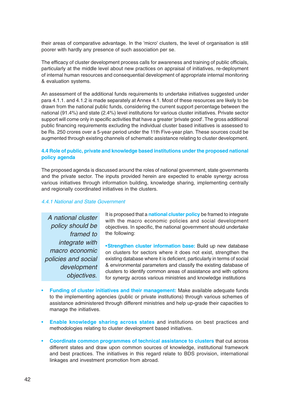their areas of comparative advantage. In the 'micro' clusters, the level of organisation is still poorer with hardly any presence of such association per se.

The efficacy of cluster development process calls for awareness and training of public officials, particularly at the middle level about new practices on appraisal of initiatives, re-deployment of internal human resources and consequential development of appropriate internal monitoring & evaluation systems.

An assessment of the additional funds requirements to undertake initiatives suggested under para 4.1.1. and 4.1.2 is made separately at Annex 4.1. Most of these resources are likely to be drawn from the national public funds, considering the current support percentage between the national (91.4%) and state (2.4%) level institutions for various cluster initiatives. Private sector support will come only in specific activities that have a greater 'private good'. The gross additional public financing requirements excluding the individual cluster based initiatives is assessed to be Rs. 250 crores over a 5-year period under the 11th Five-year plan. These sources could be augmented through existing channels of schematic assistance relating to cluster development.

# **4.4 Role of public, private and knowledge based institutions under the proposed national policy agenda**

The proposed agenda is discussed around the roles of national government, state governments and the private sector. The inputs provided herein are expected to enable synergy across various initiatives through information building, knowledge sharing, implementing centrally and regionally coordinated initiatives in the clusters.

# 4.4.1 National and State Government

A national cluster policy should be framed to integrate with macro economic policies and social development objectives.

It is proposed that a **national cluster policy** be framed to integrate with the macro economic policies and social development objectives. In specific, the national government should undertake the following:

•**Strengthen cluster information base:** Build up new database on clusters for sectors where it does not exist, strengthen the existing database where it is deficient, particularly in terms of social & environmental parameters and classify the existing database of clusters to identify common areas of assistance and with options for synergy across various ministries and knowledge institutions

- **Funding of cluster initiatives and their management:** Make available adequate funds to the implementing agencies (public or private institutions) through various schemes of assistance administered through different ministries and help up-grade their capacities to manage the initiatives.
- **Enable knowledge sharing across states** and institutions on best practices and methodologies relating to cluster development based initiatives.
- **Coordinate common programmes of technical assistance to clusters** that cut across different states and draw upon common sources of knowledge, institutional framework and best practices. The initiatives in this regard relate to BDS provision, international linkages and investment promotion from abroad.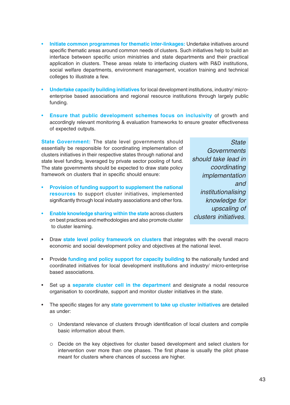- **Initiate common programmes for thematic inter-linkages:** Undertake initiatives around specific thematic areas around common needs of clusters. Such initiatives help to build an interface between specific union ministries and state departments and their practical application in clusters. These areas relate to interfacing clusters with R&D institutions, social welfare departments, environment management, vocation training and technical colleges to illustrate a few.
- **Undertake capacity building initiatives** for local development institutions, industry/ microenterprise based associations and regional resource institutions through largely public funding.
- **Ensure that public development schemes focus on inclusivity** of growth and accordingly relevant monitoring & evaluation frameworks to ensure greater effectiveness of expected outputs.

**State Government:** The state level governments should essentially be responsible for coordinating implementation of clusters initiatives in their respective states through national and state level funding, leveraged by private sector pooling of fund. The state governments should be expected to draw state policy framework on clusters that in specific should ensure:

- **Provision of funding support to supplement the national resources** to support cluster initiatives, implemented significantly through local industry associations and other fora.
- **Enable knowledge sharing within the state** across clusters on best practices and methodologies and also promote cluster to cluster learning.

**State Governments** should take lead in coordinating implementation and institutionalising knowledge for upscaling of clusters initiatives.

- Draw **state level policy framework on clusters** that integrates with the overall macro economic and social development policy and objectives at the national level.
- Provide **funding and policy support for capacity building** to the nationally funded and coordinated initiatives for local development institutions and industry/ micro-enterprise based associations.
- Set up a **separate cluster cell in the department** and designate a nodal resource organisation to coordinate, support and monitor cluster initiatives in the state.
- The specific stages for any **state government to take up cluster initiatives** are detailed as under:
	- Understand relevance of clusters through identification of local clusters and compile basic information about them.
	- Decide on the key objectives for cluster based development and select clusters for intervention over more than one phases. The first phase is usually the pilot phase meant for clusters where chances of success are higher.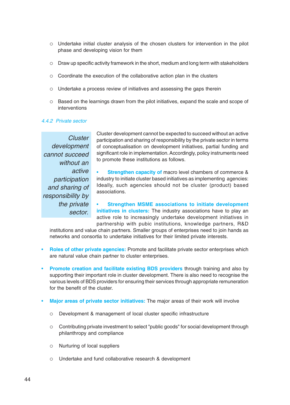- Undertake initial cluster analysis of the chosen clusters for intervention in the pilot phase and developing vision for them
- Draw up specific activity framework in the short, medium and long term with stakeholders
- Coordinate the execution of the collaborative action plan in the clusters
- Undertake a process review of initiatives and assessing the gaps therein
- Based on the learnings drawn from the pilot initiatives, expand the scale and scope of interventions

# 4.4.2 Private sector

Cluster development cannot succeed without an active participation and sharing of responsibility by the private sector.

Cluster development cannot be expected to succeed without an active participation and sharing of responsibility by the private sector in terms of conceptualisation on development initiatives, partial funding and significant role in implementation. Accordingly, policy instruments need to promote these institutions as follows.

**Strengthen capacity of macro level chambers of commerce &** industry to initiate cluster based initiatives as implementing agencies: Ideally, such agencies should not be cluster (product) based associations.

• **Strengthen MSME associations to initiate development initiatives in clusters:** The industry associations have to play an active role to increasingly undertake development initiatives in partnership with pubic institutions, knowledge partners, R&D

institutions and value chain partners. Smaller groups of enterprises need to join hands as networks and consortia to undertake initiatives for their limited private interests.

- **Roles of other private agencies:** Promote and facilitate private sector enterprises which are natural value chain partner to cluster enterprises.
- **Promote creation and facilitate existing BDS providers** through training and also by supporting their important role in cluster development. There is also need to recognise the various levels of BDS providers for ensuring their services through appropriate remuneration for the benefit of the cluster.
- **Major areas of private sector initiatives:** The major areas of their work will involve
	- Development & management of local cluster specific infrastructure
	- Contributing private investment to select "public goods" for social development through philanthropy and compliance
	- Nurturing of local suppliers
	- Undertake and fund collaborative research & development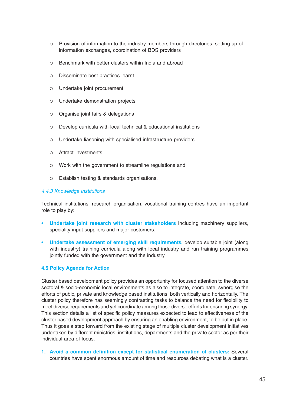- Provision of information to the industry members through directories, setting up of information exchanges, coordination of BDS providers
- $\circ$  Benchmark with better clusters within India and abroad
- Disseminate best practices learnt
- Undertake joint procurement
- Undertake demonstration projects
- $\circ$  Organise joint fairs & delegations
- Develop curricula with local technical & educational institutions
- Undertake liasoning with specialised infrastructure providers
- Attract investments
- Work with the government to streamline regulations and
- Establish testing & standards organisations.

# 4.4.3 Knowledge Institutions

Technical institutions, research organisation, vocational training centres have an important role to play by:

- **Undertake joint research with cluster stakeholders** including machinery suppliers, speciality input suppliers and major customers.
- **Undertake assessment of emerging skill requirements,** develop suitable joint (along with industry) training curricula along with local industry and run training programmes jointly funded with the government and the industry.

# **4.5 Policy Agenda for Action**

Cluster based development policy provides an opportunity for focused attention to the diverse sectoral & socio-economic local environments as also to integrate, coordinate, synergise the efforts of pubic, private and knowledge based institutions, both vertically and horizontally. The cluster policy therefore has seemingly contrasting tasks to balance the need for flexibility to meet diverse requirements and yet coordinate among those diverse efforts for ensuring synergy. This section details a list of specific policy measures expected to lead to effectiveness of the cluster based development approach by ensuring an enabling environment, to be put in place. Thus it goes a step forward from the existing stage of multiple cluster development initiatives undertaken by different ministries, institutions, departments and the private sector as per their individual area of focus.

**1. Avoid a common definition except for statistical enumeration of clusters:** Several countries have spent enormous amount of time and resources debating what is a cluster.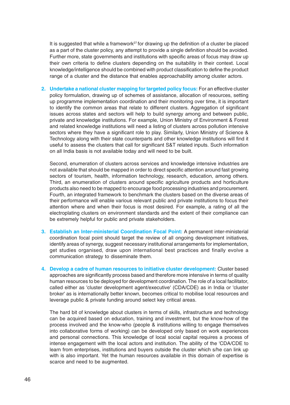It is suggested that while a framework<sup>27</sup> for drawing up the definition of a cluster be placed as a part of the cluster policy, any attempt to provide a single definition should be avoided. Further more, state governments and institutions with specific areas of focus may draw up their own criteria to define clusters depending on the suitability in their context. Local knowledge/intelligence should be combined with product classification to define the product range of a cluster and the distance that enables approachability among cluster actors.

**2. Undertake a national cluster mapping for targeted policy focus:** For an effective cluster policy formulation, drawing up of schemes of assistance, allocation of resources, setting up programme implementation coordination and their monitoring over time, it is important to identify the common areas that relate to different clusters. Aggregation of significant issues across states and sectors will help to build synergy among and between public, private and knowledge institutions. For example, Union Ministry of Environment & Forest and related knowledge institutions will need a listing of clusters across pollution intensive sectors where they have a significant role to play. Similarly, Union Ministry of Science & Technology along with their state counterparts and other knowledge institutions will find it useful to assess the clusters that call for significant S&T related inputs. Such information on all India basis is not available today and will need to be built.

Second, enumeration of clusters across services and knowledge intensive industries are not available that should be mapped in order to direct specific attention around fast growing sectors of tourism, health, information technology, research, education, among others. Third, an enumeration of clusters around specific agriculture products and horticulture products also need to be mapped to encourage food processing industries and procurement. Fourth, an integrated framework to benchmark the clusters based on the diverse areas of their performance will enable various relevant public and private institutions to focus their attention where and when their focus is most desired. For example, a rating of all the electroplating clusters on environment standards and the extent of their compliance can be extremely helpful for public and private stakeholders.

- **3. Establish an Inter-ministerial Coordination Focal Point:** A permanent inter-ministerial coordination focal point should target the review of all ongoing development initiatives, identify areas of synergy, suggest necessary institutional arrangements for implementation, get studies organised, draw upon international best practices and finally evolve a communication strategy to disseminate them.
- **4. Develop a cadre of human resources to initiative cluster development:** Cluster based approaches are significantly process based and therefore more intensive in terms of quality human resources to be deployed for development coordination. The role of a local facilitator, called either as 'cluster development agent/executive' (CDA/CDE) as in India or 'cluster broker' as is internationally better known, becomes critical to mobilise local resources and leverage public & private funding around select key critical areas.

The hard bit of knowledge about clusters in terms of skills, infrastructure and technology can be acquired based on education, training and investment, but the know-how of the process involved and the know-who (people & institutions willing to engage themselves into collaborative forms of working) can be developed only based on work experiences and personal connections. This knowledge of local social capital requires a process of intense engagement with the local actors and institution. The ability of the 'CDA/CDE to learn from enterprises, institutions and buyers outside the cluster which s/he can link up with is also important. Yet the human resources available in this domain of expertise is scarce and need to be augmented.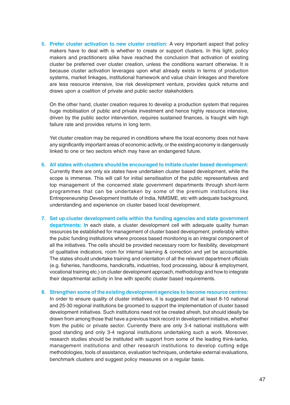**5. Prefer cluster activation to new cluster creation:** A very important aspect that policy makers have to deal with is whether to create or support clusters. In this light, policy makers and practitioners alike have reached the conclusion that activation of existing cluster be preferred over cluster creation, unless the conditions warrant otherwise. It is because cluster activation leverages upon what already exists in terms of production systems, market linkages, institutional framework and value chain linkages and therefore are less resource intensive, low risk development venture, provides quick returns and draws upon a coalition of private and public sector stakeholders.

On the other hand, cluster creation requires to develop a production system that requires huge mobilisation of public and private investment and hence highly resource intensive, driven by the public sector intervention, requires sustained finances, is fraught with high failure rate and provides returns in long term.

Yet cluster creation may be required in conditions where the local economy does not have any significantly important areas of economic activity, or the existing economy is dangerously linked to one or two sectors which may have an endangered future.

- **6. All states with clusters should be encouraged to initiate cluster based development:** Currently there are only six states have undertaken cluster based development, while the scope is immense. This will call for initial sensitisation of the public representatives and top management of the concerned state government departments through short-term programmes that can be undertaken by some of the premium institutions like Entrepreneurship Development Institute of India, NIMSME, etc with adequate background, understanding and experience on cluster based local development.
- **7. Set up cluster development cells within the funding agencies and state government departments: I**n each state, a cluster development cell with adequate quality human resources be established for management of cluster based development, preferably within the pubic funding institutions where process based monitoring is an integral component of all the initiatives. The cells should be provided necessary room for flexibility, development of qualitative indicators, room for internal learning & correction and yet be accountable. The states should undertake training and orientation of all the relevant department officials (e.g. fisheries, handlooms, handicrafts, industries, food processing, labour & employment, vocational training etc.) on cluster development approach, methodology and how to integrate their departmental activity in line with specific cluster based requirements.
- **8. Strengthen some of the existing development agencies to become resource centres:** In order to ensure quality of cluster initiatives, it is suggested that at least 8-10 national and 25-30 regional institutions be groomed to support the implementation of cluster based development initiatives. Such institutions need not be created afresh, but should ideally be drawn from among those that have a previous track record in development initiative, whether from the public or private sector. Currently there are only 3-4 national institutions with good standing and only 3-4 regional institutions undertaking such a work. Moreover, research studies should be instituted with support from some of the leading think-tanks, management institutions and other research institutions to develop cutting edge methodologies, tools of assistance, evaluation techniques, undertake external evaluations, benchmark clusters and suggest policy measures on a regular basis.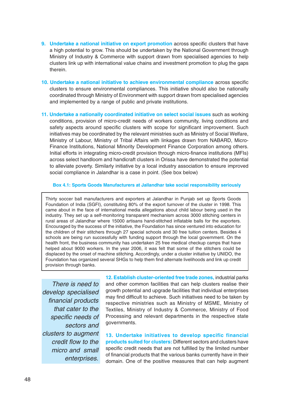- **9. Undertake a national initiative on export promotion** across specific clusters that have a high potential to grow. This should be undertaken by the National Government through Ministry of Industry & Commerce with support drawn from specialised agencies to help clusters link up with international value chains and investment promotion to plug the gaps therein.
- **10. Undertake a national initiative to achieve environmental compliance** across specific clusters to ensure environmental compliances. This initiative should also be nationally coordinated through Ministry of Environment with support drawn from specialised agencies and implemented by a range of public and private institutions.
- **11. Undertake a nationally coordinated initiative on select social issues** such as working conditions, provision of micro-credit needs of workers community, living conditions and safety aspects around specific clusters with scope for significant improvement. Such initiatives may be coordinated by the relevant ministries such as Ministry of Social Welfare, Ministry of Labour, Ministry of Tribal Affairs with linkages drawn from NABARD, Micro-Finance Institutions, National Minority Development Finance Corporation among others. Initial efforts in integrating micro-credit provision through micro-finance institutions (MFIs) across select handloom and handicraft clusters in Orissa have demonstrated the potential to alleviate poverty. Similarly initiative by a local industry association to ensure improved social compliance in Jalandhar is a case in point. (See box below)

#### **Box 4.1: Sports Goods Manufacturers at Jallandhar take social responsibility seriously**

Thirty soccer ball manufacturers and exporters at Jalandhar in Punjab set up Sports Goods Foundation of India (SGFI), constituting 80% of the export turnover of the cluster in 1998. This came about in the face of international media allegations about child labour being used in the industry. They set up a self-monitoring transparent mechanism across 3000 stitching centers in rural areas of Jalandhar where 15000 artisans hand-stitched inflatable balls for the exporters. Encouraged by the success of the initiative, the Foundation has since ventured into education for the children of their stitchers through 27 special schools and 30 free tuition centers. Besides 4 schools are being run successfully with funding support through the local government. On the health front, the business community has undertaken 25 free medical checkup camps that have helped about 9000 workers. In the year 2006, it was felt that some of the stitchers could be displaced by the onset of machine stitching. Accordingly, under a cluster initiative by UNIDO, the Foundation has organized several SHGs to help them find alternate livelihoods and link up credit provision through banks.

There is need to develop specialised financial products that cater to the specific needs of sectors and clusters to augment credit flow to the micro and small enterprises.

**12. Establish cluster-oriented free trade zones,** industrial parks and other common facilities that can help clusters realise their growth potential and upgrade facilities that individual enterprises may find difficult to achieve. Such initiatives need to be taken by respective ministries such as Ministry of MSME, Ministry of Textiles, Ministry of Industry & Commerce, Ministry of Food Processing and relevant departments in the respective state governments.

**13. Undertake initiatives to develop specific financial products suited for clusters:** Different sectors and clusters have specific credit needs that are not fulfilled by the limited number of financial products that the various banks currently have in their domain. One of the positive measures that can help augment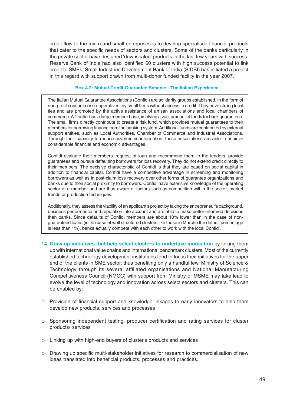credit flow to the micro and small enterprises is to develop specialised financial products that cater to the specific needs of sectors and clusters. Some of the banks particularly in the private sector have designed 'downscaled' products in the last few years with success. Reserve Bank of India had also identified 60 clusters with high success potential to link credit to SMEs. Small Industries Development Bank of India (SIDBI) has initiated a project in this regard with support drawn from multi-donor funded facility in the year 2007.

#### **Box 4.2: Mutual Credit Guarantee Scheme - The Italian Experience**

The Italian Mutual Guarantee Associations (Confidi) are solidarity groups established, in the form of non-profit consortia or co-operatives, by small firms without access to credit. They have strong local ties and are promoted by the active assistance of artisan associations and local chambers of commerce. A Confidi has a large member base, implying a vast amount of funds for back guarantees. The small firms directly contribute to create a risk fund, which provides mutual guarantees to their members for borrowing finance from the banking system. Additional funds are contributed by external support entities, such as Local Authorities, Chamber of Commerce and Industrial Associations. Through their capacity to reduce asymmetric information, these associations are able to achieve considerable financial and economic advantages.

Confidi evaluate their members' request of loan and recommend them to the lenders, provide guarantees and pursue defaulting borrowers for loss recovery. They do not extend credit directly to their members. The decisive characteristic of Confidi is that they are based on social capital in addition to financial capital. Confidi have a competitive advantage in screening and monitoring borrowers as well as in post-claim loss recovery over other forms of guarantee organizations and banks due to their social proximity to borrowers. Confidi have extensive knowledge of the operating sector of a member and are thus aware of factors such as competition within the sector, market trends or production techniques.

Additionally, they assess the viability of an applicant's project by taking the entrepreneur's background, business performance and reputation into account and are able to make better-informed decisions than banks. Since defaults of Confidi members are about 10% lower than in the case of nonguaranteed loans (in the case of well structured clusters like those in Marche the default percentage is less than 1%), banks actually compete with each other to work with the local Confidi.

- **14. Draw up initiatives that help select clusters to undertake innovation** by linking them up with international value chains and international benchmark clusters. Most of the currently established technology development institutions tend to focus their initiatives for the upper end of the clients in SME sector, thus benefiting only a handful few. Ministry of Science & Technology through its several affiliated organisations and National Manufacturing Competitiveness Council (NMCC) with support from Ministry of MSME may take lead to evolve the level of technology and innovation across select sectors and clusters. This can be enabled by:
- $\circ$  Provision of financial support and knowledge linkages to early innovators to help them develop new products, services and processes
- Sponsoring independent testing, producer certification and rating services for cluster products/ services
- Linking up with high-end buyers of cluster's products and services
- Drawing up specific multi-stakeholder initiatives for research to commercialisation of new ideas translated into beneficial products, processes and practices.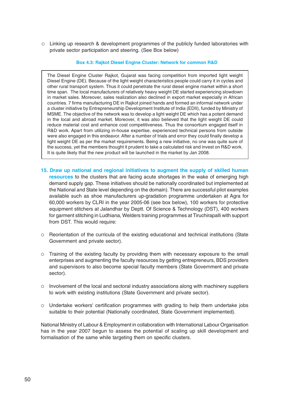Linking up research & development programmes of the publicly funded laboratories with private sector participation and steering. (See Box below)

# **Box 4.3: Rajkot Diesel Engine Cluster: Network for common R&D**

The Diesel Engine Cluster Rajkot, Gujarat was facing competition from imported light weight Diesel Engine (DE). Because of the light weight characteristics people could carry it in cycles and other rural transport system. Thus it could penetrate the rural diesel engine market within a short time span. The local manufacturers of relatively heavy weight DE started experiencing slowdown in market sales. Moreover, sales realization also declined in export market especially in African countries. 7 firms manufacturing DE in Rajkot joined hands and formed an informal network under a cluster initiative by Entrepreneurship Development Institute of India (EDII), funded by Ministry of MSME. The objective of the network was to develop a light weight DE which has a potent demand in the local and abroad market. Moreover, it was also believed that the light weight DE could reduce material cost and enhance cost competitiveness. Thus the consortium engaged itself in R&D work. Apart from utilizing in-house expertise, experienced technical persons from outside were also engaged in this endeavor. After a number of trials and error they could finally develop a light weight DE as per the market requirements. Being a new initiative, no one was quite sure of the success, yet the members thought it prudent to take a calculated risk and invest on R&D work. It is quite likely that the new product will be launched in the market by Jan 2008.

- **15. Draw up national and regional initiatives to augment the supply of skilled human resources** to the clusters that are facing acute shortages in the wake of emerging high demand supply gap. These initiatives should be nationally coordinated but implemented at the National and State level depending on the domain). There are successful pilot examples available such as shoe manufacturers up-gradation programme undertaken at Agra for 60,000 workers by CLRI in the year 2005-06 (see box below), 100 workers for protective equipment stitchers at Jalandhar by Deptt. Of Science & Technology (DST), 400 workers for garment stitching in Ludhiana, Welders training programmes at Tiruchirapalli with support from DST. This would require:
- Reorientation of the curricula of the existing educational and technical institutions (State Government and private sector).
- Training of the existing faculty by providing them with necessary exposure to the small enterprises and augmenting the faculty resources by getting entrepreneurs, BDS providers and supervisors to also become special faculty members (State Government and private sector).
- o Involvement of the local and sectoral industry associations along with machinery suppliers to work with existing institutions (State Government and private sector).
- Undertake workers' certification programmes with grading to help them undertake jobs suitable to their potential (Nationally coordinated, State Government implemented).

National Ministry of Labour & Employment in collaboration with International Labour Organisation has in the year 2007 begun to assess the potential of scaling up skill development and formalisation of the same while targeting them on specific clusters.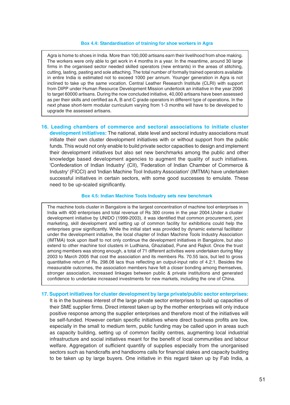#### **Box 4.4: Standardisation of training for shoe workers in Agra**

Agra is home to shoes in India. More than 100,000 artisans earn their livelihood from shoe making. The workers were only able to get work in 4 months in a year. In the meantime, around 30 large firms in the organised sector needed skilled operators (new entrants) in the areas of stitching, cutting, lasting, pasting and sole attaching. The total number of formally trained operators available in entire India is estimated not to exceed 1000 per annum. Younger generation in Agra is not inclined to take up the same vocation. Central Leather Research Institute (CLRI) with support from DIPP under Human Resource Development Mission undertook an initiative in the year 2006 to target 60000 artisans. During the now concluded initiative, 40,000 artisans have been assessed as per their skills and certified as A, B and C grade operators in different type of operations. In the next phase short-term modular curriculum varying from 1-3 months will have to be developed to upgrade the assessed artisans.

**16. Leading chambers of commerce and sectoral associations to initiate cluster development initiatives:** The national, state level and sectoral industry associations must initiate their own cluster development initiatives with or without support from the public funds. This would not only enable to build private sector capacities to design and implement their development initiatives but also set new benchmarks among the public and other knowledge based development agencies to augment the quality of such initiatives. 'Confederation of Indian Industry' (CII), 'Federation of Indian Chamber of Commerce & Industry' (FICCI) and 'Indian Machine Tool Industry Association' (IMTMA) have undertaken successful initiatives in certain sectors, with some good successes to emulate. These need to be up-scaled significantly.

#### **Box 4.5: Indian Machine Tools Industry sets new benchmark**

The machine tools cluster in Bangalore is the largest concentration of machine tool enterprises in India with 400 enterprises and total revenue of Rs 300 crores in the year 2004.Under a cluster development initiative by UNIDO (1999-2003), it was identified that common procurement, joint marketing, skill development and setting up of common facility for exhibitions could help the enterprises grow significantly. While the initial start was provided by dynamic external facilitator under the development initiative, the local chapter of Indian Machine Tools Industry Association (IMTMA) took upon itself to not only continue the development initiatives in Bangalore, but also extend to other machine tool clusters in Ludhiana, Ghaziabad, Pune and Rajkot. Once the trust among members was strong enough, a total of 71 different activities were undertaken during May 2003 to March 2005 that cost the association and its members Rs. 70.55 lacs, but led to gross quantitative return of Rs. 298.08 lacs thus reflecting an output-input ratio of 4.2:1. Besides the measurable outcomes, the association members have felt a closer bonding among themselves, stronger association, increased linkages between public & private institutions and generated confidence to undertake increased investments for new markets, including the one of China.

# **17. Support initiatives for cluster development by large private/public sector enterprises:**

It is in the business interest of the large private sector enterprises to build up capacities of their SME supplier firms. Direct interest taken up by the mother enterprises will only induce positive response among the supplier enterprises and therefore most of the initiatives will be self-funded. However certain specific initiatives where direct business profits are low, especially in the small to medium term, public funding may be called upon in areas such as capacity building, setting up of common facility centres, augmenting local industrial infrastructure and social initiatives meant for the benefit of local communities and labour welfare. Aggregation of sufficient quantify of supplies especially from the unorganised sectors such as handicrafts and handlooms calls for financial stakes and capacity building to be taken up by large buyers. One initiative in this regard taken up by Fab India, a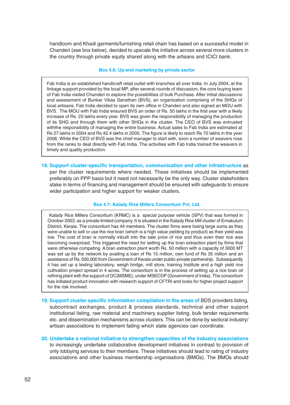handloom and Khadi garments/furnishing retail chain has based on a successful model in Chanderi (see box below), decided to upscale the initiative across several more clusters in the country through private equity shared along with the artisans and ICICI bank.

#### **Box 4.6: Up-end marketing by private sector**

Fab India is an established handicraft retail outlet with branches all over India. In July 2004, at the linkage support provided by the local MP, after several rounds of discussion, the core buying team of Fab India visited Chanderi to explore the possibilities of bulk Purchase. After initial discussions and assessment of Bunkar Vikas Sansthan (BVS), an organization comprising of the SHGs of local artisans, Fab India decided to open its own office in Chanderi and also signed an MOU with BVS. The MOU with Fab India ensured BVS an order of Rs. 50 lakhs in the first year with a likely increase of Rs. 25 lakhs every year. BVS was given the responsibility of managing the production of its SHG and through them with other SHGs in the cluster. The CEO of BVS was entrusted withthe responsibility of managing the entire business. Actual sales to Fab India are estimated at Rs 27 lakhs in 2004 and Rs 42.4 lakhs in 2005. The figure is likely to reach Rs 70 lakhs in the year 2006. While the CEO of BVS was the chief manager to start with, soon a number of weavers rose from the ranks to deal directly with Fab India. The activities with Fab India trained the weavers in timely and quality production.

**18. Support cluster-specific transportation, communication and other infrastructure** as per the cluster requirements where needed. These initiatives should be implemented preferably on PPP basis but it need not necessarily be the only way. Cluster stakeholders stake in terms of financing and management should be ensured with safeguards to ensure wider participation and higher support for weaker clusters.

#### **Box 4.7: Kalady Rice Millers Consortium Pvt. Ltd.**

 Kalady Rice Millers Consortium (KRMC) is a special purpose vehicle (SPV) that was formed in October 2003, as a private limited company. It is situated in the Kalady Rice Mill cluster of Ernakulum District, Kerala. The consortium has 44 members. The cluster firms were losing large sums as they were unable to sell or use the rice bran (which is a high value yielding by product) as their yield was low. The cost of bran is normally inbuilt into the sale price of rice and thus even their rice was becoming overpriced. This triggered the need for setting up the bran extraction plant by firms that were otherwise competing. A bran extraction plant worth Rs. 50 million with a capacity of 3000 MT was set up by the network by availing a loan of Rs 15 million, own fund of Rs 35 million and an assistance of Rs. 500,000 from Government of Kerala under public-private partnership. Subsequently it has set up a testing laboratory, weigh bridge, mill store, training Institute and a high yield rice cultivation project spread in 4 acres. The consortium is in the process of setting up a rice bran oil refining plant with the support of DC(MSME), under MSECDP (Government of India). The consortium has initiated product innovation with research support of CFTRI and looks for higher project support for the risk involved.

- **19. Support cluster specific information compilation in the areas of** BDS providers listing, subcontract exchanges, product & process standards, technical and other support institutional listing, raw material and machinery supplier listing, bulk tender requirements etc. and dissemination mechanisms across clusters. This can be done by sectoral industry/ artisan associations to implement failing which state agencies can coordinate.
- **20. Undertake a national initiative to strengthen capacities of the industry associations** to increasingly undertake collaborative development initiatives in contrast to provision of only lobbying services to their members. These initiatives should lead to rating of industry associations and other business membership organisations (BMOs). The BMOs should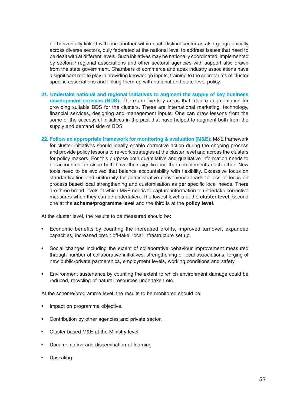be horizontally linked with one another within each distinct sector as also geographically across diverse sectors, duly federated at the national level to address issues that need to be dealt with at different levels. Such initiatives may be nationally coordinated, implemented by sectoral/ regional associations and other sectoral agencies with support also drawn from the state government. Chambers of commerce and apex industry associations have a significant role to play in providing knowledge inputs, training to the secretariats of cluster specific associations and linking them up with national and state level policy.

- **21. Undertake national and regional initiatives to augment the supply of key business development services (BDS):** There are five key areas that require augmentation for providing suitable BDS for the clusters. These are international marketing, technology, financial services, designing and management inputs. One can draw lessons from the some of the successful initiatives in the past that have helped to augment both from the supply and demand side of BDS.
- **22. Follow an appropriate framework for monitoring & evaluation (M&E):** M&E framework for cluster initiatives should ideally enable corrective action during the ongoing process and provide policy lessons to re-work strategies at the cluster level and across the clusters for policy makers. For this purpose both quantitative and qualitative information needs to be accounted for since both have their significance that complements each other. New tools need to be evolved that balance accountability with flexibility. Excessive focus on standardisation and uniformity for administrative convenience leads to loss of focus on process based local strengthening and customisation as per specific local needs. There are three broad levels at which M&E needs to capture information to undertake corrective measures when they can be undertaken. The lowest level is at the **cluster level,** second one at the **scheme/programme level** and the third is at the **policy level.**

At the cluster level, the results to be measured should be:

- Economic benefits by counting the increased profits, improved turnover, expanded capacities, increased credit off-take, local infrastructure set up,
- Social changes including the extent of collaborative behaviour improvement measured through number of collaborative initiatives, strengthening of local associations, forging of new public-private partnerships, employment levels, working conditions and safety
- Environment sustenance by counting the extent to which environment damage could be reduced, recycling of natural resources undertaken etc.

At the scheme/programme level, the results to be monitored should be:

- Impact on programme objective.
- Contribution by other agencies and private sector.
- Cluster based M&E at the Ministry level.
- Documentation and dissemination of learning
- **Upscaling**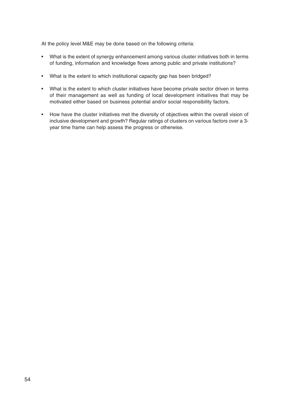At the policy level M&E may be done based on the following criteria:

- What is the extent of synergy enhancement among various cluster initiatives both in terms of funding, information and knowledge flows among public and private institutions?
- What is the extent to which institutional capacity gap has been bridged?
- What is the extent to which cluster initiatives have become private sector driven in terms of their management as well as funding of local development initiatives that may be motivated either based on business potential and/or social responsibility factors.
- How have the cluster initiatives met the diversity of objectives within the overall vision of inclusive development and growth? Regular ratings of clusters on various factors over a 3 year time frame can help assess the progress or otherwise.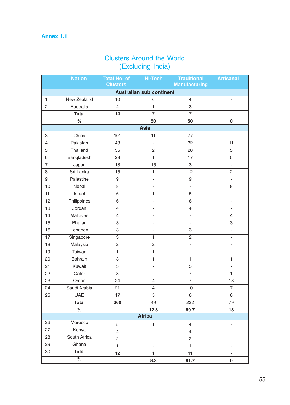# Clusters Around the World (Excluding India)

|                 | <b>Nation</b>   | <b>Total No. of</b>     | <b>Hi-Tech</b>                  | <b>Traditional</b>       | <b>Artisanal</b>         |
|-----------------|-----------------|-------------------------|---------------------------------|--------------------------|--------------------------|
|                 |                 | <b>Clusters</b>         |                                 | <b>Manufacturing</b>     |                          |
|                 |                 |                         | <b>Australian sub continent</b> |                          |                          |
| $\mathbf{1}$    | New Zealand     | 10                      | 6                               | $\overline{\mathcal{A}}$ | $\overline{\phantom{a}}$ |
| $\overline{c}$  | Australia       | $\overline{4}$          | $\mathbf{1}$                    | 3                        | $\overline{\phantom{a}}$ |
|                 | <b>Total</b>    | 14                      | $\overline{7}$                  | $\overline{7}$           |                          |
|                 | $\%$            |                         | 50                              | 50                       | $\bf{0}$                 |
|                 |                 |                         | <b>Asia</b>                     |                          |                          |
| 3               | China           | 101                     | 11                              | 77                       |                          |
| $\overline{4}$  | Pakistan        | 43                      | ÷,                              | 32                       | 11                       |
| 5               | Thailand        | 35                      | $\mathbf 2$                     | 28                       | 5                        |
| 6               | Bangladesh      | 23                      | $\mathbf{1}$                    | 17                       | 5                        |
| $\overline{7}$  | Japan           | 18                      | 15                              | 3                        | $\blacksquare$           |
| 8               | Sri Lanka       | 15                      | $\mathbf{1}$                    | 12                       | $\mathbf 2$              |
| 9               | Palestine       | 9                       | ÷,                              | $\boldsymbol{9}$         | ÷,                       |
| 10              | Nepal           | 8                       | ÷                               | ÷.                       | $\,8\,$                  |
| 11              | Israel          | 6                       | $\mathbf{1}$                    | 5                        | ÷,                       |
| 12              | Philippines     | 6                       | ÷,                              | 6                        | $\overline{\phantom{a}}$ |
| 13              | Jordan          | $\overline{\mathbf{4}}$ | $\overline{\phantom{a}}$        | $\overline{4}$           | $\overline{\phantom{a}}$ |
| 14              | <b>Maldives</b> | $\overline{\mathbf{4}}$ | í.                              | L                        | 4                        |
| 15              | <b>Bhutan</b>   | 3                       | ۰                               | $\overline{\phantom{0}}$ | 3                        |
| 16              | Lebanon         | 3                       | ÷,                              | 3                        | ÷,                       |
| $\overline{17}$ | Singapore       | 3                       | 1                               | $\overline{c}$           | ÷,                       |
| 18              | Malaysia        | $\overline{2}$          | $\overline{2}$                  | ÷,                       | $\overline{\phantom{a}}$ |
| 19              | Taiwan          | 1                       | $\mathbf{1}$                    | ÷,                       | $\overline{\phantom{a}}$ |
| 20              | Bahrain         | 3                       | $\mathbf{1}$                    | $\mathbf{1}$             | 1                        |
| 21              | Kuwait          | 3                       | $\overline{\phantom{a}}$        | 3                        | ÷,                       |
| 22              | Qatar           | 8                       | ÷                               | $\overline{7}$           | 1                        |
| 23              | Oman            | 24                      | $\overline{\mathcal{A}}$        | $\overline{7}$           | 13                       |
| 24              | Saudi Arabia    | 21                      | $\overline{4}$                  | 10                       | $\overline{7}$           |
| 25              | <b>UAE</b>      | 17                      | 5                               | 6                        | $\,6\,$                  |
|                 | <b>Total</b>    | 360                     | 49                              | 232                      | 79                       |
|                 | $\%$            |                         | 12.3                            | 69.7                     | 18                       |
| <b>Africa</b>   |                 |                         |                                 |                          |                          |
| 26              | Morocco         | 5                       | $\mathbf{1}$                    | 4                        | $\overline{\phantom{a}}$ |
| 27              | Kenya           | $\overline{4}$          | $\overline{\phantom{0}}$        | $\overline{4}$           |                          |
| 28              | South Africa    | $\overline{c}$          | í.                              | $\overline{c}$           |                          |
| 29              | Ghana           | $\mathbf{1}$            | $\overline{\phantom{0}}$        | $\mathbf{1}$             |                          |
| $30\,$          | <b>Total</b>    | 12                      | $\mathbf{1}$                    | 11                       |                          |
|                 | $\frac{1}{2}$   |                         | 8.3                             | 91.7                     | $\pmb{0}$                |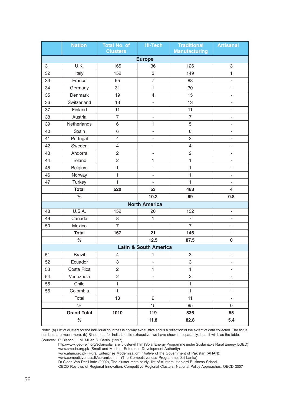|    | <b>Nation</b>      | <b>Total No. of</b><br><b>Clusters</b> | <b>Hi-Tech</b>                   | <b>Traditional</b><br><b>Manufacturing</b> | <b>Artisanal</b>             |
|----|--------------------|----------------------------------------|----------------------------------|--------------------------------------------|------------------------------|
|    |                    |                                        | <b>Europe</b>                    |                                            |                              |
| 31 | U.K.               | 165                                    | 36                               | 126                                        | $\,3$                        |
| 32 | Italy              | 152                                    | $\ensuremath{\mathsf{3}}$        | 149                                        | $\mathbf{1}$                 |
| 33 | France             | 95                                     | $\overline{7}$                   | 88                                         | ä,                           |
| 34 | Germany            | 31                                     | 1                                | 30                                         | $\overline{\phantom{a}}$     |
| 35 | Denmark            | 19                                     | $\overline{\mathcal{L}}$         | 15                                         |                              |
| 36 | Switzerland        | 13                                     | $\frac{1}{2}$                    | 13                                         |                              |
| 37 | Finland            | 11                                     | $\overline{\phantom{a}}$         | 11                                         | $\blacksquare$               |
| 38 | Austria            | $\overline{7}$                         | $\overline{a}$                   | $\overline{7}$                             | ä,                           |
| 39 | Netherlands        | 6                                      | 1                                | 5                                          | $\overline{\phantom{a}}$     |
| 40 | Spain              | 6                                      | $\blacksquare$                   | 6                                          | $\overline{\phantom{a}}$     |
| 41 | Portugal           | $\overline{4}$                         | $\blacksquare$                   | 3                                          | $\blacksquare$               |
| 42 | Sweden             | $\overline{4}$                         | $\blacksquare$                   | $\overline{4}$                             | $\overline{\phantom{a}}$     |
| 43 | Andorra            | $\overline{c}$                         | $\blacksquare$                   | $\mathbf{2}$                               | $\overline{\phantom{m}}$     |
| 44 | Ireland            | $\overline{c}$                         | 1                                | $\mathbf{1}$                               | $\qquad \qquad \blacksquare$ |
| 45 | Belgium            | 1                                      | $\blacksquare$                   | $\mathbf{1}$                               | $\blacksquare$               |
| 46 | Norway             | $\mathbf{1}$                           | $\overline{a}$                   | $\mathbf{1}$                               | $\overline{a}$               |
| 47 | <b>Turkey</b>      | $\mathbf{1}$                           | $\frac{1}{2}$                    | $\mathbf{1}$                               | $\overline{\phantom{a}}$     |
|    | <b>Total</b>       | 520                                    | 53                               | 463                                        | $\overline{\mathbf{4}}$      |
|    | $\%$               |                                        | 10.2                             | 89                                         | 0.8                          |
|    |                    |                                        | <b>North America</b>             |                                            |                              |
| 48 | U.S.A.             | 152                                    | 20                               | 132                                        | $\overline{\phantom{a}}$     |
| 49 | Canada             | $\bf 8$                                | $\overline{1}$                   | $\overline{7}$                             | $\overline{\phantom{a}}$     |
| 50 | Mexico             | $\overline{7}$                         | $\frac{1}{2}$                    | $\overline{7}$                             | $\blacksquare$               |
|    | <b>Total</b>       | 167                                    | 21                               | 146                                        | ä,                           |
|    | $\%$               |                                        | 12.5                             | 87.5                                       | $\bf{0}$                     |
|    |                    |                                        | <b>Latin &amp; South America</b> |                                            |                              |
| 51 | <b>Brazil</b>      | $\overline{4}$                         | $\mathbf{1}$                     | 3                                          | $\blacksquare$               |
| 52 | Ecuador            | 3                                      | $\blacksquare$                   | 3                                          | $\blacksquare$               |
| 53 | Costa Rica         | $\overline{c}$                         | 1                                | $\mathbf{1}$                               | $\overline{\phantom{a}}$     |
| 54 | Venezuela          | $\overline{c}$                         | $\overline{\phantom{a}}$         | $\overline{c}$                             | $\overline{\phantom{0}}$     |
| 55 | Chile              | $\mathbf{1}$                           | $\overline{\phantom{a}}$         | $\mathbf{1}$                               | $\blacksquare$               |
| 56 | Colombia           | $\mathbf{1}$                           | $\overline{\phantom{a}}$         | $\mathbf{1}$                               | $\overline{\phantom{a}}$     |
|    | Total              | 13                                     | $\overline{2}$                   | 11                                         | $\mathbf{r}$                 |
|    | $\%$               |                                        | 15                               | 85                                         | 0                            |
|    | <b>Grand Total</b> | 1010                                   | 119                              | 836                                        | 55                           |
|    | $\%$               |                                        | 11.8                             | 82.8                                       | 5.4                          |

Note: (a) List of clusters for the individual countries is no way exhaustive and is a reflection of the extent of data collected. The actual numbers are much more. (b) Since data for India is quite exhaustive, we have shown it separately, least it will bias the table. Sources: P. Bianchi, L.M. Miller, S. Bertini (1997)

http://www.lged-rein.org/solar/solar\_sre\_clustervill.htm (Solar Energy Programme under Sustainable Rural Energy, LGED) www.smeda.org.pk (Small and Medium Enterprise Development Authority)

www.ahan.org.pk {Rural Enterprise Modernization initiative of the Government of Pakistan (AHAN)}

www.competitiveness.lk/ceramics.htm (The Competitiveness Programme, Sri Lanka)

Dr.Claas Van Der Linde (2002), The cluster meta-study- list of clusters, Harvard Business School.

OECD Reviews of Regional Innovation, Competitive Regional Clusters, National Policy Approaches, OECD 2007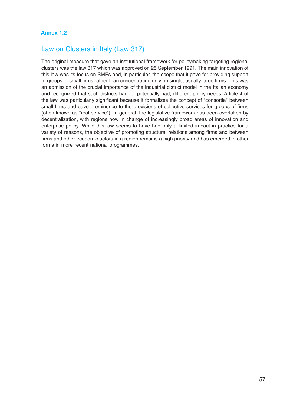# Law on Clusters in Italy (Law 317)

The original measure that gave an institutional framework for policymaking targeting regional clusters was the law 317 which was approved on 25 September 1991. The main innovation of this law was its focus on SMEs and, in particular, the scope that it gave for providing support to groups of small firms rather than concentrating only on single, usually large firms. This was an admission of the crucial importance of the industrial district model in the Italian economy and recognized that such districts had, or potentially had, different policy needs. Article 4 of the law was particularly significant because it formalizes the concept of "consortia" between small firms and gave prominence to the provisions of collective services for groups of firms (often known as "real service"). In general, the legislative framework has been overtaken by decentralization, with regions now in change of increasingly broad areas of innovation and enterprise policy. While this law seems to have had only a limited impact in practice for a variety of reasons, the objective of promoting structural relations among firms and between firms and other economic actors in a region remains a high priority and has emerged in other forms in more recent national programmes.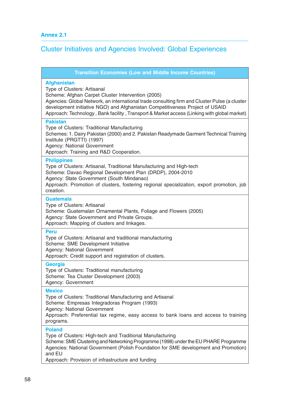# Cluster Initiatives and Agencies Involved: Global Experiences

**Transition Economies (Low and Middle Income Countries)**

#### **Afghanistan**

Type of Clusters: Artisanal

Scheme: Afghan Carpet Cluster Intervention (2005)

Agencies: Global Network, an international trade consulting firm and Cluster Pulse (a cluster development initiative NGO) and Afghanistan Competitiveness Project of USAID Approach: Technology , Bank facility , Transport & Market access (Linking with global market)

#### **Pakistan**

Type of Clusters: Traditional Manufacturing Schemes: 1. Dairy Pakistan (2000) and 2. Pakistan Readymade Garment Technical Training Institute (PRGTTI) (1997) Agency: National Government

Approach: Training and R&D Cooperation.

#### **Philippines**

Type of Clusters: Artisanal, Traditional Manufacturing and High-tech Scheme: Davao Regional Development Plan (DRDP), 2004-2010 Agency: State Government (South Mindanao) Approach: Promotion of clusters, fostering regional specialization, export promotion, job creation.

#### **Guatemala**

Type of Clusters: Artisanal Scheme: Guatemalan Ornamental Plants, Foliage and Flowers (2005) Agency: State Government and Private Groups. Approach: Mapping of clusters and linkages.

#### **Peru**

Type of Clusters: Artisanal and traditional manufacturing Scheme: SME Development Initiative Agency: National Government Approach: Credit support and registration of clusters.

#### **Georgia**

Type of Clusters: Traditional manufacturing Scheme: Tea Cluster Development (2003) Agency: Government

#### **Mexico**

Type of Clusters: Traditional Manufacturing and Artisanal Scheme: Empresas Integradoras Program (1993) Agency: National Government Approach: Preferential tax regime, easy access to bank loans and access to training programs.

#### **Poland**

Type of Clusters: High-tech and Traditional Manufacturing

Scheme: SME Clustering and Networking Programme (1998) under the EU PHARE Programme Agencies: National Government (Polish Foundation for SME development and Promotion) and EU

Approach: Provision of infrastructure and funding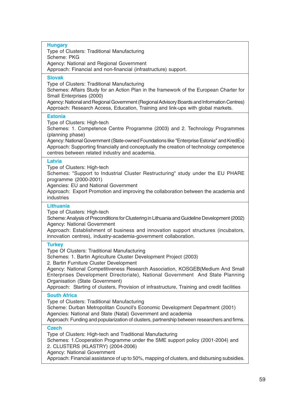**Hungary**

Type of Clusters: Traditional Manufacturing

Scheme: PKG

Agency: National and Regional Government

Approach: Financial and non-financial (infrastructure) support.

# **Slovak**

Type of Clusters: Traditional Manufacturing

Schemes: Affairs Study for an Action Plan in the framework of the European Charter for Small Enterprises (2000)

Agency: National and Regional Government (Regional Advisory Boards and Information Centres) Approach: Research Access, Education, Training and link-ups with global markets.

# **Estonia**

Type of Clusters: High-tech

Schemes: 1. Competence Centre Programme (2003) and 2. Technology Programmes (planning phase)

Agency: National Government (State-owned Foundations like "Enterprise Estonia" and KredEx) Approach: Supporting financially and conceptually the creation of technology competence centres between related industry and academia.

# **Latvia**

Type of Clusters: High-tech

Schemes: "Support to Industrial Cluster Restructuring" study under the EU PHARE programme (2000-2001)

Agencies: EU and National Government

Approach: Export Promotion and improving the collaboration between the academia and industries

# **Lithuania**

Type of Clusters: High-tech

Scheme: Analysis of Preconditions for Clustering in Lithuania and Guideline Development (2002) Agency: National Government

Approach: Establishment of business and innovation support structures (incubators, innovation centres), industry-academia-government collaboration.

# **Turkey**

Type Of Clusters: Traditional Manufacturing

Schemes: 1. Bartin Agriculture Cluster Development Project (2003)

2. Bartin Furniture Cluster Development

Agency: National Competitiveness Research Association, KOSGEB(Medium And Small Enterprises Development Directoriate), National Government And State Planning Organisation (State Government)

Approach: Starting of clusters, Provision of infrastructure, Training and credit facilities

# **South Africa**

Type of Clusters: Traditional Manufacturing

Scheme: Durban Metropolitan Council's Economic Development Department (2001) Agencies: National and State (Natal) Government and academia

Approach: Funding and popularization of clusters, partnership between researchers and firms.

# **Czech**

Type of Clusters: High-tech and Traditional Manufacturing

Schemes: 1.Cooperation Programme under the SME support policy (2001-2004) and 2. CLUSTERS (KLASTRY) (2004-2006)

Agency: National Government

Approach: Financial assistance of up to 50%, mapping of clusters, and disbursing subsidies.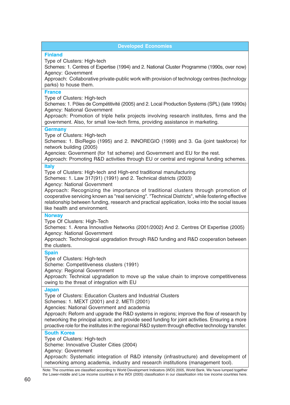| <b>Developed Economies</b>                                                                                                                                                                                                                                                                                                                                                                                                                                                                                        |
|-------------------------------------------------------------------------------------------------------------------------------------------------------------------------------------------------------------------------------------------------------------------------------------------------------------------------------------------------------------------------------------------------------------------------------------------------------------------------------------------------------------------|
| <b>Finland</b><br>Type of Clusters: High-tech<br>Schemes: 1. Centres of Expertise (1994) and 2. National Cluster Programme (1990s, over now)<br>Agency: Government<br>Approach: Collaborative private-public work with provision of technology centres (technology<br>parks) to house them.                                                                                                                                                                                                                       |
| <b>France</b><br>Type of Clusters: High-tech<br>Schemes: 1. Pôles de Compétitivité (2005) and 2. Local Production Systems (SPL) (late 1990s)<br>Agency: National Government<br>Approach: Promotion of triple helix projects involving research institutes, firms and the<br>government. Also, for small low-tech firms, providing assistance in marketing.                                                                                                                                                        |
| <b>Germany</b><br>Type of Clusters: High-tech<br>Schemes: 1. BioRegio (1995) and 2. INNOREGIO (1999) and 3. Ga (joint taskforce) for<br>network building (2005)<br>Agencies: Government (for 1st scheme) and Government and EU for the rest.<br>Approach: Promoting R&D activities through EU or central and regional funding schemes.                                                                                                                                                                            |
| <b>Italy</b><br>Type of Clusters: High-tech and High-end traditional manufacturing<br>Schemes: 1. Law 317(91) (1991) and 2. Technical districts (2003)<br>Agency: National Government<br>Approach: Recognizing the importance of traditional clusters through promotion of<br>cooperative servicing known as "real servicing". "Technical Districts", while fostering effective<br>relationship between funding, research and practical application, looks into the social issues<br>like health and environment. |
| <b>Norway</b><br>Type Of Clusters: High-Tech<br>Schemes: 1. Arena Innovative Networks (2001/2002) And 2. Centres Of Expertise (2005)<br>Agency: National Government<br>Approach: Technological upgradation through R&D funding and R&D cooperation between<br>the clusters.                                                                                                                                                                                                                                       |
| <b>Spain</b><br>Type of Clusters: High-tech<br>Scheme: Competitiveness clusters (1991)<br>Agency: Regional Government<br>Approach: Technical upgradation to move up the value chain to improve competitiveness<br>owing to the threat of integration with EU                                                                                                                                                                                                                                                      |
| <b>Japan</b><br>Type of Clusters: Education Clusters and Industrial Clusters<br>Schemes: 1. MEXT (2001) and 2. METI (2001)<br>Agencies: National Government and academia<br>Approach: Reform and upgrade the R&D systems in regions; improve the flow of research by<br>networking the principal actors; and provide seed funding for joint activities. Ensuring a more<br>proactive role for the institutes in the regional R&D system through effective technology transfer.                                    |
| <b>South Korea</b><br>Type of Clusters: High-tech<br>Scheme: Innovative Cluster Cities (2004)<br>Agency: Government<br>Approach: Systematic integration of R&D intensity (infrastructure) and development of<br>networking among academia, industry and research institutions (management tool).<br>Note: The countries are classified according to World Development Indicators (WDI) 2005, World Bank. We have lumped together                                                                                  |
| the Lower-middle and Low income countries in the WDI (2005) classification in our classification into low income countries here.                                                                                                                                                                                                                                                                                                                                                                                  |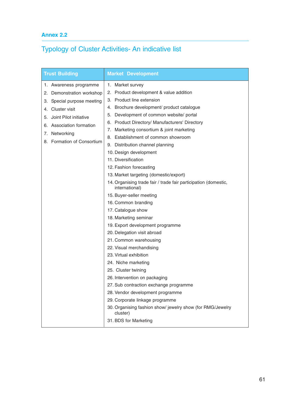# **Annex 2.2**

# Typology of Cluster Activities- An indicative list

| <b>Trust Building</b>                                                                                                                                                                                                                         | <b>Market Development</b>                                                                                                                                                                                                                                                                                                                                                                                                                                                                                                                                                                                                                                                                                                                                                                                                                                                                                                                                                                                                                                                                                                                                |
|-----------------------------------------------------------------------------------------------------------------------------------------------------------------------------------------------------------------------------------------------|----------------------------------------------------------------------------------------------------------------------------------------------------------------------------------------------------------------------------------------------------------------------------------------------------------------------------------------------------------------------------------------------------------------------------------------------------------------------------------------------------------------------------------------------------------------------------------------------------------------------------------------------------------------------------------------------------------------------------------------------------------------------------------------------------------------------------------------------------------------------------------------------------------------------------------------------------------------------------------------------------------------------------------------------------------------------------------------------------------------------------------------------------------|
| 1. Awareness programme<br>Demonstration workshop<br>2.<br>Special purpose meeting<br>З.<br><b>Cluster visit</b><br>4.<br>Joint Pilot initiative<br>5.<br><b>Association formation</b><br>6.<br>Networking<br>7.<br>8. Formation of Consortium | Market survey<br>1.<br>2. Product development & value addition<br>Product line extension<br>3.<br>Brochure development/ product catalogue<br>4.<br>Development of common website/ portal<br>5.<br><b>Product Directory/ Manufacturers' Directory</b><br>6.<br>Marketing consortium & joint marketing<br>7.<br>8. Establishment of common showroom<br>9. Distribution channel planning<br>10. Design development<br>11. Diversification<br>12. Fashion forecasting<br>13. Market targeting (domestic/export)<br>14. Organising trade fair / trade fair participation (domestic,<br>international)<br>15. Buyer-seller meeting<br>16. Common branding<br>17. Catalogue show<br>18. Marketing seminar<br>19. Export development programme<br>20. Delegation visit abroad<br>21. Common warehousing<br>22. Visual merchandising<br>23. Virtual exhibition<br>24. Niche marketing<br>25. Cluster twining<br>26. Intervention on packaging<br>27. Sub contraction exchange programme<br>28. Vendor development programme<br>29. Corporate linkage programme<br>30. Organising fashion show/ jewelry show (for RMG/Jewelry<br>cluster)<br>31. BDS for Marketing |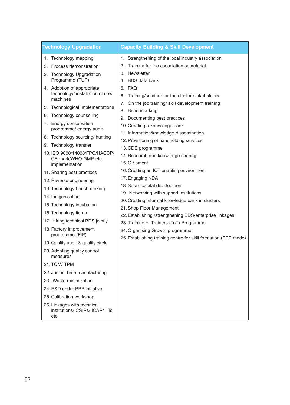| <b>Technology Upgradation</b>                                  | <b>Capacity Building &amp; Skill Development</b>                 |
|----------------------------------------------------------------|------------------------------------------------------------------|
| 1. Technology mapping                                          | Strengthening of the local industry association<br>1.            |
| 2. Process demonstration                                       | Training for the association secretariat<br>2.                   |
| 3. Technology Upgradation                                      | 3. Newsletter                                                    |
| Programme (TUP)                                                | 4. BDS data bank                                                 |
| 4. Adoption of appropriate                                     | 5. FAQ                                                           |
| technology/ installation of new<br>machines                    | Training/seminar for the cluster stakeholders<br>6.              |
| 5. Technological implementations                               | 7. On the job training/ skill development training               |
| Technology counselling<br>6.                                   | 8. Benchmarking                                                  |
| 7. Energy conservation                                         | 9. Documenting best practices                                    |
| programme/ energy audit                                        | 10. Creating a knowledge bank                                    |
| 8. Technology sourcing/ hunting                                | 11. Information/knowledge dissemination                          |
| 9. Technology transfer                                         | 12. Provisioning of handholding services                         |
| 10. ISO 9000/14000/FPO/HACCP/                                  | 13. CDE programme<br>14. Research and knowledge sharing          |
| CE mark/WHO-GMP etc.                                           | 15. Gl/ patent                                                   |
| implementation                                                 | 16. Creating an ICT enabling environment                         |
| 11. Sharing best practices                                     | 17. Engaging NDA                                                 |
| 12. Reverse engineering                                        | 18. Social capital development                                   |
| 13. Technology benchmarking                                    | 19. Networking with support institutions                         |
| 14. Indigenisation                                             | 20. Creating informal knowledge bank in clusters                 |
| 15. Technology incubation                                      | 21. Shop Floor Management                                        |
| 16. Technology tie up                                          | 22. Establishing /strengthening BDS-enterprise linkages          |
| 17. Hiring technical BDS jointly                               | 23. Training of Trainers (ToT) Programme                         |
| 18. Factory improvement<br>programme (FIP)                     | 24. Organising Growth programme                                  |
|                                                                | 25. Establishing training centre for skill formation (PPP mode). |
| 19. Quality audit & quality circle                             |                                                                  |
| 20. Adopting quality control<br>measures                       |                                                                  |
| 21. TQM/TPM                                                    |                                                                  |
| 22. Just in Time manufacturing                                 |                                                                  |
| 23. Waste minimization                                         |                                                                  |
| 24. R&D under PPP initiative                                   |                                                                  |
| 25. Calibration workshop                                       |                                                                  |
| 26. Linkages with technical<br>institutions/ CSIRs/ ICAR/ IITs |                                                                  |

etc.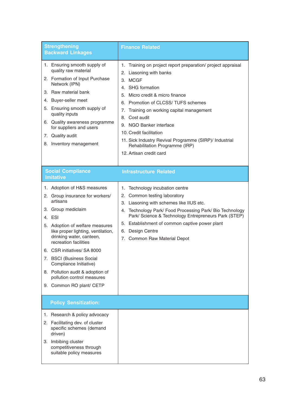| <b>Strengthening</b><br><b>Backward Linkages</b>                                                                                                                                                                                                                                                                                                                                                                            | <b>Finance Related</b>                                                                                                                                                                                                                                                                                                                                                                                                                              |
|-----------------------------------------------------------------------------------------------------------------------------------------------------------------------------------------------------------------------------------------------------------------------------------------------------------------------------------------------------------------------------------------------------------------------------|-----------------------------------------------------------------------------------------------------------------------------------------------------------------------------------------------------------------------------------------------------------------------------------------------------------------------------------------------------------------------------------------------------------------------------------------------------|
| 1. Ensuring smooth supply of<br>quality raw material<br>2. Formation of Input Purchase<br>Network (IPN)<br>3. Raw material bank<br>4. Buyer-seller meet<br>5. Ensuring smooth supply of<br>quality inputs<br>6. Quality awareness programme<br>for suppliers and users<br>7. Quality audit<br>8. Inventory management                                                                                                       | 1. Training on project report preparation/ project appraisal<br>2. Liasoning with banks<br>3. MCGF<br>4. SHG formation<br>Micro credit & micro finance<br>5.<br>6. Promotion of CLCSS/TUFS schemes<br>Training on working capital management<br>7.<br>Cost audit<br>8.<br>9. NGO Banker interface<br>10. Credit facilitation<br>11. Sick Industry Revival Programme (SIRP)/ Industrial<br>Rehabilitation Programme (IRP)<br>12. Artisan credit card |
| <b>Social Compliance</b><br><b>Imitative</b>                                                                                                                                                                                                                                                                                                                                                                                | <b>Infrastructure Related</b>                                                                                                                                                                                                                                                                                                                                                                                                                       |
| 1. Adoption of H&S measures<br>2. Group insurance for workers/<br>artisans<br>3. Group mediclaim<br>4. ESI<br>5. Adoption of welfare measures<br>like proper lighting, ventilation,<br>drinking water, canteen,<br>recreation facilities<br>6. CSR initiatives/ SA 8000<br>7. BSCI (Business Social<br>Compliance Initiative)<br>8. Pollution audit & adoption of<br>pollution control measures<br>9. Common RO plant/ CETP | 1. Technology incubation centre<br>2. Common testing laboratory<br>3. Liasoning with schemes like IIUS etc.<br>Technology Park/ Food Processing Park/ Bio Technology<br>4.<br>Park/ Science & Technology Entrepreneurs Park (STEP)<br>5. Establishment of common captive power plant<br>6. Design Centre<br>7. Common Raw Material Depot                                                                                                            |
| <b>Policy Sensitization:</b>                                                                                                                                                                                                                                                                                                                                                                                                |                                                                                                                                                                                                                                                                                                                                                                                                                                                     |
| 1. Research & policy advocacy<br>2. Facilitating dev. of cluster<br>specific schemes (demand<br>driven)<br>3. Imbibing cluster<br>competitiveness through<br>suitable policy measures                                                                                                                                                                                                                                       |                                                                                                                                                                                                                                                                                                                                                                                                                                                     |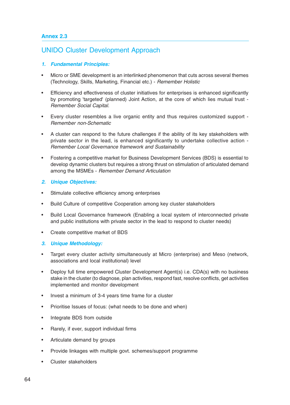# UNIDO Cluster Development Approach

# *1. Fundamental Principles:*

- Micro or SME development is an interlinked phenomenon that cuts across several themes (Technology, Skills, Marketing, Financial etc.) - Remember Holistic
- Efficiency and effectiveness of cluster initiatives for enterprises is enhanced significantly by promoting 'targeted' (planned) Joint Action, at the core of which lies mutual trust - Remember Social Capital.
- Every cluster resembles a live organic entity and thus requires customized support Remember non-Schematic
- A cluster can respond to the future challenges if the ability of its key stakeholders with private sector in the lead, is enhanced significantly to undertake collective action - Remember Local Governance framework and Sustainability
- Fostering a competitive market for Business Development Services (BDS) is essential to develop dynamic clusters but requires a strong thrust on stimulation of articulated demand among the MSMEs - Remember Demand Articulation

# *2. Unique Objectives:*

- Stimulate collective efficiency among enterprises
- Build Culture of competitive Cooperation among key cluster stakeholders
- Build Local Governance framework (Enabling a local system of interconnected private and public institutions with private sector in the lead to respond to cluster needs)
- Create competitive market of BDS

# *3. Unique Methodology:*

- Target every cluster activity simultaneously at Micro (enterprise) and Meso (network, associations and local institutional) level
- Deploy full time empowered Cluster Development Agent(s) i.e. CDA(s) with no business stake in the cluster (to diagnose, plan activities, respond fast, resolve conflicts, get activities implemented and monitor development
- Invest a minimum of 3-4 years time frame for a cluster
- Prioritise Issues of focus: (what needs to be done and when)
- Integrate BDS from outside
- Rarely, if ever, support individual firms
- Articulate demand by groups
- Provide linkages with multiple govt. schemes/support programme
- Cluster stakeholders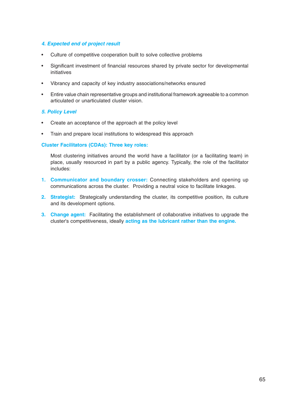# *4. Expected end of project result*

- Culture of competitive cooperation built to solve collective problems
- Significant investment of financial resources shared by private sector for developmental initiatives
- Vibrancy and capacity of key industry associations/networks ensured
- Entire value chain representative groups and institutional framework agreeable to a common articulated or unarticulated cluster vision.

# *5. Policy Level*

- Create an acceptance of the approach at the policy level
- Train and prepare local institutions to widespread this approach

# **Cluster Facilitators (CDAs): Three key roles:**

Most clustering initiatives around the world have a facilitator (or a facilitating team) in place, usually resourced in part by a public agency. Typically, the role of the facilitator includes:

- **1. Communicator and boundary crosser:** Connecting stakeholders and opening up communications across the cluster. Providing a neutral voice to facilitate linkages.
- **2. Strategist:** Strategically understanding the cluster, its competitive position, its culture and its development options.
- **3. Change agent:** Facilitating the establishment of collaborative initiatives to upgrade the cluster's competitiveness, ideally **acting as the lubricant rather than the engine.**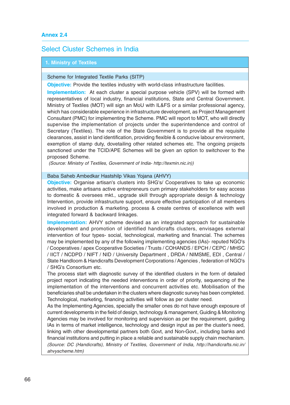# Select Cluster Schemes in India

# **1. Ministry of Textiles**

Scheme for Integrated Textile Parks (SITP)

**Objective:** Provide the textiles industry with world-class infrastructure facilities.

**Implementation:** At each cluster a special purpose vehicle (SPV) will be formed with representatives of local industry, financial institutions, State and Central Government. Ministry of Textiles (MOT) will sign an MoU with IL&FS or a similar professional agency, which has considerable experience in infrastructure development, as Project Management Consultant (PMC) for implementing the Scheme. PMC will report to MOT, who will directly supervise the implementation of projects under the superintendence and control of Secretary (Textiles). The role of the State Government is to provide all the requisite clearances, assist in land identification, providing flexible & conducive labour environment, exemption of stamp duty, dovetailing other related schemes etc. The ongoing projects sanctioned under the TCID/APE Schemes will be given an option to switchover to the proposed Scheme.

(Source: Ministry of Textiles, Government of India- http://texmin.nic.in))

#### Baba Saheb Ambedkar Hastshilp Vikas Yojana (AHVY)

**Objective:** Organise artisan's clusters into SHG's/ Cooperatives to take up economic activities, make artisans active entrepreneurs cum primary stakeholders for easy access to domestic & oversees mkt., upgrade skill through appropriate design & technology Intervention, provide infrastructure support, ensure effective participation of all members involved in production & marketing. process & create centres of excellence with well integrated forward & backward linkages.

**Implementation:** AHVY scheme devised as an integrated approach for sustainable development and promotion of identified handicrafts clusters, envisages external intervention of four types- social, technological, marketing and financial. The schemes may be implemented by any of the following implementing agencies (IAs)- reputed NGO's / Cooperatives / apex Cooperative Societies / Trusts / COHANDS / EPCH / CEPC / MHSC / IICT / NCDPD / NIFT / NID / University Department , DRDA / NIMSME, EDI , Central / State Handloom & Handicrafts Development Corporations / Agencies , federation of NGO's / SHG's Consortium etc.

The process start with diagnostic survey of the identified clusters in the form of detailed project report indicating the needed interventions in order of priority, sequencing of the implementation of the interventions and concurrent activities etc. Mobilisation of the beneficiaries shall be undertaken in the clusters where diagnostic survey has been completed. Technological, marketing, financing activities will follow as per cluster need.

As the Implementing Agencies, specially the smaller ones do not have enough exposure of current developments in the field of design, technology & management, Guiding & Monitoring Agencies may be involved for monitoring and supervision as per the requirement, guiding IAs in terms of market intelligence, technology and design input as per the cluster's need, linking with other developmental partners both Govt, and Non-Govt., including banks and financial institutions and putting in place a reliable and sustainable supply chain mechanism. (Source: DC (Handicrafts), Ministry of Textiles, Government of India, http://handicrafts.nic.in/ ahvyscheme.htm)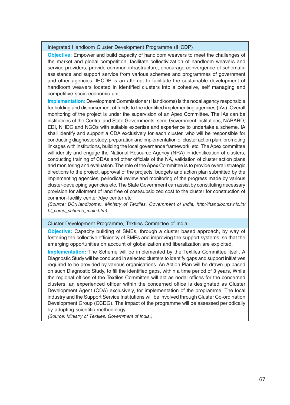# Integrated Handloom Cluster Development Programme (IHCDP)

**Objective:** Empower and build capacity of handloom weavers to meet the challenges of the market and global competition, facilitate collectivization of handloom weavers and service providers, provide common infrastructure, encourage convergence of schematic assistance and support service from various schemes and programmes of government and other agencies. IHCDP is an attempt to facilitate the sustainable development of handloom weavers located in identified clusters into a cohesive, self managing and competitive socio-economic unit.

**Implementation:** Development Commissioner (Handlooms) is the nodal agency responsible for holding and disbursement of funds to the identified implementing agencies (IAs). Overall monitoring of the project is under the supervision of an Apex Committee. The IAs can be institutions of the Central and State Governments, semi-Government institutions, NABARD, EDI, NHDC and NGOs with suitable expertise and experience to undertake a scheme. IA shall identify and support a CDA exclusively for each cluster, who will be responsible for conducting diagnostic study, preparation and implementation of cluster action plan, promoting linkages with institutions, building the local governance framework, etc. The Apex committee will identify and engage the National Resource Agency (NRA) in identification of clusters, conducting training of CDAs and other officials of the NA, validation of cluster action plans and monitoring and evaluation. The role of the Apex Committee is to provide overall strategic directions to the project, approval of the projects, budgets and action plan submitted by the implementing agencies, periodical review and monitoring of the progress made by various cluster-developing agencies etc. The State Government can assist by constituting necessary provision for allotment of land free of cost/subsidized cost to the cluster for construction of common facility center /dye center etc.

(Source: DC(Handlooms), Ministry of Textiles, Government of India, http://handlooms.nic.in/ hl\_comp\_scheme\_main.htm).

#### Cluster Development Programme, Textiles Committee of India

**Objective:** Capacity building of SMEs, through a cluster based approach, by way of fostering the collective efficiency of SMEs and improving the support systems, so that the emerging opportunities on account of globalization and liberalization are exploited.

**Implementation:** The Scheme will be implemented by the Textiles Committee itself. A Diagnostic Study will be conduced in selected clusters to identify gaps and support initiatives required to be provided by various organisations. An Action Plan will be drawn up based on such Diagnostic Study, to fill the identified gaps, within a time period of 3 years. While the regional offices of the Textiles Committee will act as nodal offices for the concerned clusters, an experienced officer within the concerned office is designated as Cluster Development Agent (CDA) exclusively, for implementation of the programme. The local industry and the Support Service Institutions will be involved through Cluster Co-ordination Development Group (CCDG). The impact of the programme will be assessed periodically by adopting scientific methodology.

(Source: Ministry of Textiles, Government of India,)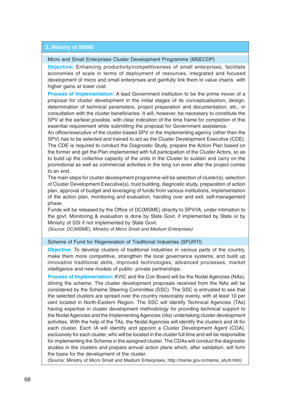### **2. Ministry of MSME**

#### Micro and Small Enterprises Cluster Development Programme (MSECDP)

**Objective:** Enhancing productivity/competitiveness of small enterprises, facilitate economies of scale in terms of deployment of resources, integrated and focused development of micro and small enterprises and gainfully link them to value chains with higher gains at lower cost.

**Process of Implementation:** A lead Government institution to be the prime mover of a proposal for cluster development in the initial stages of its conceptualisation, design, determination of technical parameters, project preparation and documentation, etc., in consultation with the cluster beneficiaries. It will, however, be necessary to constitute the SPV at the earliest possible, with clear indication of the time frame for completion of this essential requirement while submitting the proposal for Government assistance.

An officer/executive of the cluster-based SPV or the implementing agency (other than the SPV) has to be selected and trained to act as the Cluster Development Executive (CDE). The CDE is required to conduct the Diagnostic Study, prepare the Action Plan based on the former and get the Plan implemented with full participation of the Cluster Actors, so as to build up the collective capacity of the units in the Cluster to sustain and carry on the promotional as well as commercial activities in the long run even after the project comes to an end.

The main steps for cluster development programme will be selection of cluster(s), selection of Cluster Development Executive(s), trust building, diagnostic study, preparation of action plan, approval of budget and leveraging of funds from various institutions, implementation of the action plan, monitoring and evaluation, handing over and exit, self-management phase.

Funds will be released by the Office of DC(MSME) directly to SPV/IA, under intimation to the govt. Monitoring & evaluation is done by State Govt. if implemented by State or by Ministry of SSI if not implemented by State Govt.

(Source: DC(MSME), Ministry of Micro Small and Medium Enterprises)

#### Scheme of Fund for Regeneration of Traditional Industries (SFURTI)

**Objective:** To develop clusters of traditional industries in various parts of the country, make them more competitive, strengthen the local governance systems, and build up innovative traditional skills, improved technologies, advanced processes, market intelligence and new models of public- private partnerships.

**Process of Implementation:** KVIC and the Coir Board will be the Nodal Agencies (NAs), driving the scheme. The cluster development proposals received from the NAs will be considered by the Scheme Steering Committee (SSC). The SSC is entrusted to see that the selected clusters are spread over the country reasonably evenly, with at least 10 per cent located in North-Eastern Region. The SSC will identify Technical Agencies (TAs) having expertise in cluster development methodology for providing technical support to the Nodal Agencies and the Implementing Agencies (IAs) undertaking cluster development activities. With the help of the TAs, the Nodal Agencies will identify the clusters and IA for each cluster. Each IA will identify and appoint a Cluster Development Agent (CDA), exclusively for each cluster, who will be located in the cluster full time and will be responsible for implementing the Scheme in the assigned cluster. The CDAs will conduct the diagnostic studies in the clusters and prepare annual action plans which, after validation, will form the basis for the development of the cluster.

(Source: Ministry of Micro Small and Medium Enterprises, http://msme.gov.in/msme\_sfurti.htm)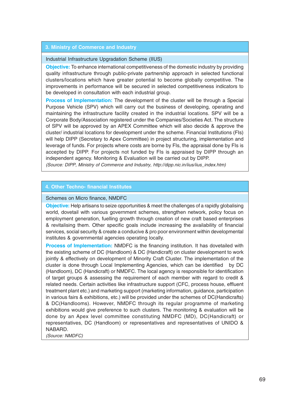#### **3. Ministry of Commerce and Industry**

#### Industrial Infrastructure Upgradation Scheme (IIUS)

**Objective:** To enhance international competitiveness of the domestic industry by providing quality infrastructure through public-private partnership approach in selected functional clusters/locations which have greater potential to become globally competitive. The improvements in performance will be secured in selected competitiveness indicators to be developed in consultation with each industrial group.

**Process of Implementation:** The development of the cluster will be through a Special Purpose Vehicle (SPV) which will carry out the business of developing, operating and maintaining the infrastructure facility created in the industrial locations. SPV will be a Corporate Body/Association registered under the Companies/Societies Act. The structure of SPV will be approved by an APEX Committee which will also decide & approve the cluster/ industrial locations for development under the scheme. Financial Institutions (FIs) will help DIPP (Secretary to Apex Committee) in project structuring, implementation and leverage of funds. For projects where costs are borne by FIs, the appraisal done by FIs is accepted by DIPP. For projects not funded by FIs is appraised by DIPP through an independent agency. Monitoring & Evaluation will be carried out by DIPP.

(Source: DIPP, Ministry of Commerce and Industry, http://dipp.nic.in/iius/iius\_index.htm)

#### **4. Other Techno- financial Institutes**

#### Schemes on Micro finance, NMDFC

**Objective:** Help artisans to seize opportunities & meet the challenges of a rapidly globalising world, dovetail with various government schemes, strengthen network, policy focus on employment generation, fuelling growth through creation of new craft based enterprises & revitalising them. Other specific goals include increasing the availability of financial services, social security & create a conducive & pro poor environment within developmental institutes & governmental agencies operating locally.

**Process of Implementation:** NMDFC is the financing institution. It has dovetailed with the existing scheme of DC (Handloom) & DC (Handicraft) on cluster development to work jointly & effectively on development of Minority Craft Cluster. The implementation of the cluster is done through Local Implementing Agencies, which can be identified by DC (Handloom), DC (Handicraft) or NMDFC. The local agency is responsible for identification of target groups & assessing the requirement of each member with regard to credit & related needs. Certain activities like infrastructure support (CFC, process house, effluent treatment plant etc.) and marketing support (marketing information, guidance, participation in various fairs & exhibitions, etc.) will be provided under the schemes of DC(Handicrafts) & DC(Handlooms). However, NMDFC through its regular programme of marketing exhibitions would give preference to such clusters. The monitoring & evaluation will be done by an Apex level committee constituting NMDFC (MD), DC(Handicraft) or representatives, DC (Handloom) or representatives and representatives of UNIDO & NABARD.

(Source: NMDFC)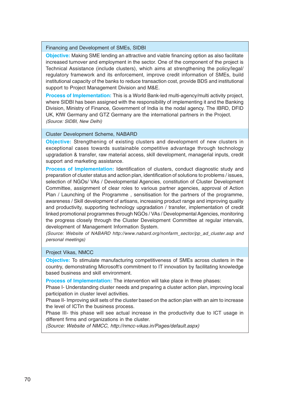#### Financing and Development of SMEs, SIDBI

**Objective:** Making SME lending an attractive and viable financing option as also facilitate increased turnover and employment in the sector. One of the component of the project is Technical Assistance (include clusters), which aims at strengthening the policy/legal/ regulatory framework and its enforcement, improve credit information of SMEs, build institutional capacity of the banks to reduce transaction cost, provide BDS and institutional support to Project Management Division and M&E.

**Process of Implementation:** This is a World Bank-led multi-agency/multi activity project, where SIDBI has been assigned with the responsibility of implementing it and the Banking Division, Ministry of Finance, Government of India is the nodal agency. The IBRD, DFID UK, KfW Germany and GTZ Germany are the international partners in the Project. (Source: SIDBI, New Delhi)

#### Cluster Development Scheme, NABARD

**Objective:** Strengthening of existing clusters and development of new clusters in exceptional cases towards sustainable competitive advantage through technology upgradation & transfer, raw material access, skill development, managerial inputs, credit support and marketing assistance.

**Process of Implementation:** Identification of clusters, conduct diagnostic study and preparation of cluster status and action plan, identification of solutions to problems / issues, selection of NGOs/ VAs / Developmental Agencies, constitution of Cluster Development Committee, assignment of clear roles to various partner agencies, approval of Action Plan / Launching of the Programme, sensitisation for the partners of the programme, awareness / Skill development of artisans, increasing product range and improving quality and productivity, supporting technology upgradation / transfer, implementation of credit linked promotional programmes through NGOs / VAs / Developmental Agencies, monitoring the progress closely through the Cluster Development Committee at regular intervals, development of Management Information System.

(Source: Website of NABARD http://www.nabard.org/nonfarm\_sector/pp\_ad\_cluster.asp and personal meetings)

#### Project Vikas, NMCC

**Objective:** To stimulate manufacturing competitiveness of SMEs across clusters in the country, demonstrating Microsoft's commitment to IT innovation by facilitating knowledge based business and skill environment.

**Process of Implementation:** The intervention will take place in three phases:

Phase I- Understanding cluster needs and preparing a cluster action plan, improving local participation in cluster level activities.

Phase II- Improving skill sets of the cluster based on the action plan with an aim to increase the level of ICTin the business process.

Phase III- this phase will see actual increase in the productivity due to ICT usage in different firms and organizations in the cluster.

(Source: Website of NMCC, http://nmcc-vikas.in/Pages/default.aspx)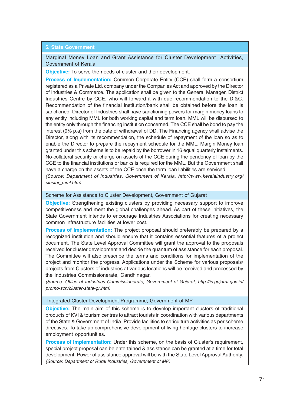#### **5. State Government**

Marginal Money Loan and Grant Assistance for Cluster Development Activities, Government of Kerala

**Objective:** To serve the needs of cluster and their development.

**Process of Implementation:** Common Corporate Entity (CCE) shall form a consortium registered as a Private Ltd. company under the Companies Act and approved by the Director of Industries & Commerce. The application shall be given to the General Manager, District Industries Centre by CCE, who will forward it with due recommendation to the DI&C. Recommendation of the financial institution/bank shall be obtained before the loan is sanctioned. Director of Industries shall have sanctioning powers for margin money loans to any entity including MML for both working capital and term loan. MML will be disbursed to the entity only through the financing institution concerned. The CCE shall be bond to pay the interest (9% p.a) from the date of withdrawal of DD. The Financing agency shall advise the Director, along with its recommendation, the schedule of repayment of the loan so as to enable the Director to prepare the repayment schedule for the MML. Margin Money loan granted under this scheme is to be repaid by the borrower in 16 equal quarterly instalments. No-collateral security or charge on assets of the CCE during the pendency of loan by the CCE to the financial institutions or banks is required for the MML. But the Government shall have a charge on the assets of the CCE once the term loan liabilities are serviced.

(Source: Department of Industries, Government of Kerala, http://www.keralaindustry.org/ cluster\_mml.htm)

#### Scheme for Assistance to Cluster Development, Government of Gujarat

**Objective:** Strengthening existing clusters by providing necessary support to improve competitiveness and meet the global challenges ahead. As part of these initiatives, the State Government intends to encourage Industries Associations for creating necessary common infrastructure facilities at lower cost.

**Process of Implementation:** The project proposal should preferably be prepared by a recognized institution and should ensure that it contains essential features of a project document. The State Level Approval Committee will grant the approval to the proposals received for cluster development and decide the quantum of assistance for each proposal. The Committee will also prescribe the terms and conditions for implementation of the project and monitor the progress. Applications under the Scheme for various proposals/ projects from Clusters of industries at various locations will be received and processed by the Industries Commissionerate, Gandhinagar.

(Source: Office of Industries Commissionerate, Government of Gujarat, http://ic.gujarat.gov.in/ promo-sch/cluster-state-gr.htm)

#### Integrated Cluster Development Programme, Government of MP

**Objective:** The main aim of this scheme is to develop important clusters of traditional products of KVI & tourism centres to attract tourists in coordination with various departments of the State & Government of India. Provide facilities to sericulture activities as per scheme directives. To take up comprehensive development of living heritage clusters to increase employment opportunities.

**Process of Implementation:** Under this scheme, on the basis of Cluster's requirement, special project proposal can be entertained & assistance can be granted at a time for total development. Power of assistance approval will be with the State Level Approval Authority. (Source: Department of Rural Industries, Government of MP)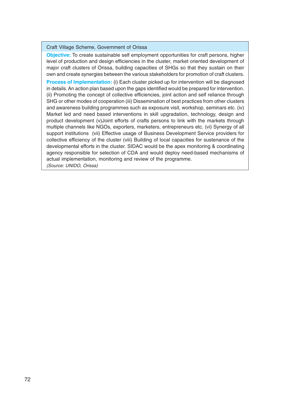Craft Village Scheme, Government of Orissa

**Objective:** To create sustainable self employment opportunities for craft persons, higher level of production and design efficiencies in the cluster, market oriented development of major craft clusters of Orissa, building capacities of SHGs so that they sustain on their own and create synergies between the various stakeholders for promotion of craft clusters.

**Process of Implementation:** (i) Each cluster picked up for intervention will be diagnosed in details. An action plan based upon the gaps identified would be prepared for intervention. (ii) Promoting the concept of collective efficiencies, joint action and self reliance through SHG or other modes of cooperation (iii) Dissemination of best practices from other clusters and awareness building programmes such as exposure visit, workshop, seminars etc. (iv) Market led and need based interventions in skill upgradation, technology, design and product development (v)Joint efforts of crafts persons to link with the markets through multiple channels like NGOs, exporters, marketers, entrepreneurs etc. (vi) Synergy of all support institutions (vii) Effective usage of Business Development Service providers for collective efficiency of the cluster (viii) Building of local capacities for sustenance of the developmental efforts in the cluster. SIDAC would be the apex monitoring & coordinating agency responsible for selection of CDA and would deploy need-based mechanisms of actual implementation, monitoring and review of the programme.

(Source: UNIDO, Orissa)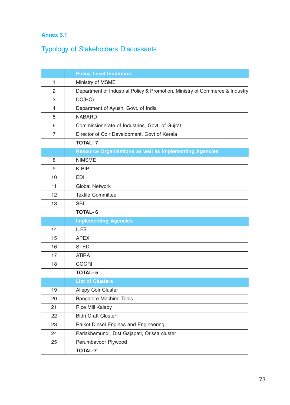## **Annex 3.1**

# Typology of Stakeholders Discussants

|    | <b>Policy Level Institution</b>                                              |  |  |  |  |
|----|------------------------------------------------------------------------------|--|--|--|--|
| 1  | Ministry of MSME                                                             |  |  |  |  |
| 2  | Department of Industrial Policy & Promotion, Ministry of Commerce & Industry |  |  |  |  |
| 3  | DC(HC)                                                                       |  |  |  |  |
| 4  | Department of Ayush, Govt. of India                                          |  |  |  |  |
| 5  | <b>NABARD</b>                                                                |  |  |  |  |
| 6  | Commissionerate of Industries, Govt. of Gujrat                               |  |  |  |  |
| 7  | Director of Coir Development, Govt of Kerala                                 |  |  |  |  |
|    | <b>TOTAL-7</b>                                                               |  |  |  |  |
|    | <b>Resource Organisations as well as Implementing Agencies</b>               |  |  |  |  |
| 8  | <b>NIMSME</b>                                                                |  |  |  |  |
| 9  | K-BIP                                                                        |  |  |  |  |
| 10 | <b>EDI</b>                                                                   |  |  |  |  |
| 11 | <b>Global Network</b>                                                        |  |  |  |  |
| 12 | <b>Textile Committee</b>                                                     |  |  |  |  |
| 13 | <b>SBI</b>                                                                   |  |  |  |  |
|    | <b>TOTAL-6</b>                                                               |  |  |  |  |
|    | <b>Implementing Agencies</b>                                                 |  |  |  |  |
| 14 | <b>ILFS</b>                                                                  |  |  |  |  |
| 15 | <b>APEX</b>                                                                  |  |  |  |  |
| 16 | <b>STED</b>                                                                  |  |  |  |  |
| 17 | <b>ATiRA</b>                                                                 |  |  |  |  |
| 18 | <b>CGCRI</b>                                                                 |  |  |  |  |
|    | <b>TOTAL-5</b>                                                               |  |  |  |  |
|    | <b>List of Clusters</b>                                                      |  |  |  |  |
| 19 | <b>Allepy Coir Cluster</b>                                                   |  |  |  |  |
| 20 | <b>Bangalore Machine Tools</b>                                               |  |  |  |  |
| 21 | <b>Rice Mill Kalady</b>                                                      |  |  |  |  |
| 22 | <b>Bidri Craft Cluster</b>                                                   |  |  |  |  |
| 23 | Rajkot Diesel Engines and Engineering                                        |  |  |  |  |
| 24 | Parlakhemundi, Dist Gajapati, Orissa cluster                                 |  |  |  |  |
| 25 | Perumbavoor Plywood                                                          |  |  |  |  |
|    |                                                                              |  |  |  |  |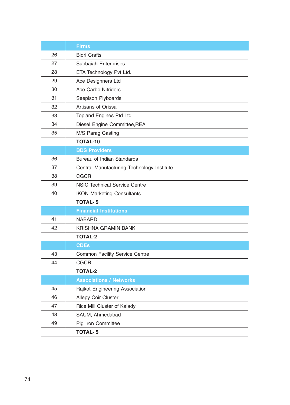|    | <b>Firms</b>                               |  |  |  |
|----|--------------------------------------------|--|--|--|
| 26 | <b>Bidri Crafts</b>                        |  |  |  |
| 27 | Subbaiah Enterprises                       |  |  |  |
| 28 | ETA Technology Pvt Ltd.                    |  |  |  |
| 29 | Ace Desighners Ltd                         |  |  |  |
| 30 | <b>Ace Carbo Nitriders</b>                 |  |  |  |
| 31 | Seepison Plyboards                         |  |  |  |
| 32 | Artisans of Orissa                         |  |  |  |
| 33 | <b>Topland Engines Ptd Ltd</b>             |  |  |  |
| 34 | Diesel Engine Committee, REA               |  |  |  |
| 35 | M/S Parag Casting                          |  |  |  |
|    | <b>TOTAL-10</b>                            |  |  |  |
|    | <b>BDS Providers</b>                       |  |  |  |
| 36 | <b>Bureau of Indian Standards</b>          |  |  |  |
| 37 | Central Manufacturing Technology Institute |  |  |  |
| 38 | <b>CGCRI</b>                               |  |  |  |
| 39 | <b>NSIC Technical Service Centre</b>       |  |  |  |
| 40 | <b>IKON Marketing Consultants</b>          |  |  |  |
|    | <b>TOTAL-5</b>                             |  |  |  |
|    | <b>Financial Institutions</b>              |  |  |  |
| 41 | <b>NABARD</b>                              |  |  |  |
| 42 | <b>KRISHNA GRAMIN BANK</b>                 |  |  |  |
|    | <b>TOTAL-2</b>                             |  |  |  |
|    | <b>CDEs</b>                                |  |  |  |
| 43 | <b>Common Facility Service Centre</b>      |  |  |  |
| 44 | <b>CGCRI</b>                               |  |  |  |
|    | <b>TOTAL-2</b>                             |  |  |  |
|    | <b>Associations / Networks</b>             |  |  |  |
| 45 | Rajkot Engineering Association             |  |  |  |
| 46 | <b>Allepy Coir Cluster</b>                 |  |  |  |
| 47 | Rice Mill Cluster of Kalady                |  |  |  |
| 48 | SAUM, Ahmedabad                            |  |  |  |
| 49 | Pig Iron Committee                         |  |  |  |
|    | <b>TOTAL-5</b>                             |  |  |  |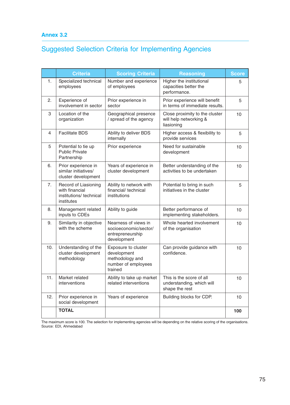### **Annex 3.2**

# Suggested Selection Criteria for Implementing Agencies

|     | <b>Criteria</b>                                                                | <b>Scoring Criteria</b>                                                                 | <b>Reasoning</b>                                                        | <b>Score</b> |
|-----|--------------------------------------------------------------------------------|-----------------------------------------------------------------------------------------|-------------------------------------------------------------------------|--------------|
| 1.  | Specialized technical<br>employees                                             | Number and experience<br>of employees                                                   | Higher the institutional<br>capacities better the<br>performance.       | 5            |
| 2.  | Experience of<br>involvement in sector                                         | Prior experience in<br>sector                                                           | Prior experience will benefit<br>in terms of immediate results.         | 5            |
| 3   | Location of the<br>organization                                                | Geographical presence<br>/ spread of the agency                                         | Close proximity to the cluster<br>will help networking &<br>liasioning  | 10           |
| 4   | <b>Facilitate BDS</b>                                                          | Ability to deliver BDS<br>internally                                                    | Higher access & flexibility to<br>provide services                      | 5            |
| 5   | Potential to tie up<br><b>Public Private</b><br>Partnership                    | Prior experience                                                                        | Need for sustainable<br>development                                     | 10           |
| 6.  | Prior experience in<br>similar initiatives/<br>cluster development             | Years of experience in<br>cluster development                                           | Better understanding of the<br>activities to be undertaken              | 10           |
| 7.  | Record of Liasioning<br>with financial<br>institutions/technical<br>institutes | Ability to network with<br>financial/technical<br>institutions                          | Potential to bring in such<br>initiatives in the cluster                | 5            |
| 8.  | Management related<br>inputs to CDEs                                           | Ability to guide                                                                        | Better performance of<br>implementing stakeholders.                     | 10           |
| 9.  | Similarity in objective<br>with the scheme                                     | Nearness of views in<br>socioeconomic/sector/<br>entrepreneurship<br>development        | Whole hearted involvement<br>of the organisation                        | 10           |
| 10. | Understanding of the<br>cluster development<br>methodology                     | Exposure to cluster<br>development<br>methodology and<br>number of employees<br>trained | Can provide guidance with<br>confidence.                                | 10           |
| 11. | Market related<br>interventions                                                | Ability to take up market<br>related interventions                                      | This is the score of all<br>understanding, which will<br>shape the rest | 10           |
| 12. | Prior experience in<br>social development                                      | Years of experience                                                                     | Building blocks for CDP.                                                | 10           |
|     | <b>TOTAL</b>                                                                   |                                                                                         |                                                                         | 100          |

The maximum score is 100. The selection for implementing agencies will be depending on the relative scoring of the organisations. Source: EDI, Ahmedabad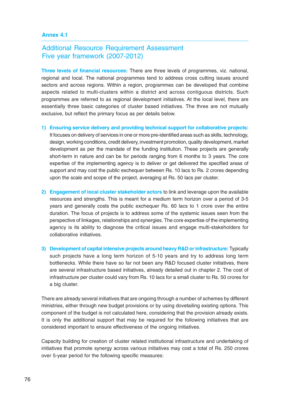### **Annex 4.1**

## Additional Resource Requirement Assessment Five year framework (2007-2012)

**Three levels of financial resources:** There are three levels of programmes, viz. national, regional and local. The national programmes tend to address cross cutting issues around sectors and across regions. Within a region, programmes can be developed that combine aspects related to multi-clusters within a district and across contiguous districts. Such programmes are referred to as regional development initiatives. At the local level, there are essentially three basic categories of cluster based initiatives. The three are not mutually exclusive, but reflect the primary focus as per details below.

- **1) Ensuring service delivery and providing technical support for collaborative projects:** It focuses on delivery of services in one or more pre-identified areas such as skills, technology, design, working conditions, credit delivery, investment promotion, quality development, market development as per the mandate of the funding institution. These projects are generally short-term in nature and can be for periods ranging from 6 months to 3 years. The core expertise of the implementing agency is to deliver or get delivered the specified areas of support and may cost the public exchequer between Rs. 10 lacs to Rs. 2 crores depending upon the scale and scope of the project, averaging at Rs. 50 lacs per cluster.
- **2) Engagement of local cluster stakeholder actors** to link and leverage upon the available resources and strengths. This is meant for a medium term horizon over a period of 3-5 years and generally costs the public exchequer Rs. 60 lacs to 1 crore over the entire duration. The focus of projects is to address some of the systemic issues seen from the perspective of linkages, relationships and synergies. The core expertise of the implementing agency is its ability to diagnose the critical issues and engage multi-stakeholders for collaborative initiatives.
- **3) Development of capital intensive projects around heavy R&D or infrastructure:** Typically such projects have a long term horizon of 5-10 years and try to address long term bottlenecks. While there have so far not been any R&D focused cluster initiatives, there are several infrastructure based initiatives, already detailed out in chapter 2. The cost of infrastructure per cluster could vary from Rs. 10 lacs for a small cluster to Rs. 50 crores for a big cluster.

There are already several initiatives that are ongoing through a number of schemes by different ministries, either through new budget provisions or by using dovetailing existing options. This component of the budget is not calculated here, considering that the provision already exists. It is only the additional support that may be required for the following initiatives that are considered important to ensure effectiveness of the ongoing initiatives.

Capacity building for creation of cluster related institutional infrastructure and undertaking of initiatives that promote synergy across various initiatives may cost a total of Rs. 250 crores over 5-year period for the following specific measures: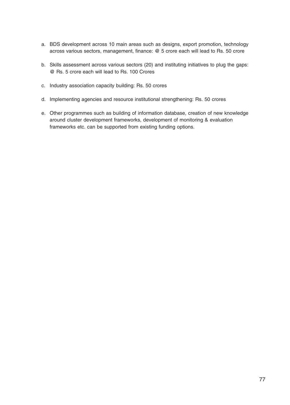- a. BDS development across 10 main areas such as designs, export promotion, technology across various sectors, management, finance: @ 5 crore each will lead to Rs. 50 crore
- b. Skills assessment across various sectors (20) and instituting initiatives to plug the gaps: @ Rs. 5 crore each will lead to Rs. 100 Crores
- c. Industry association capacity building: Rs. 50 crores
- d. Implementing agencies and resource institutional strengthening: Rs. 50 crores
- e. Other programmes such as building of information database, creation of new knowledge around cluster development frameworks, development of monitoring & evaluation frameworks etc. can be supported from existing funding options.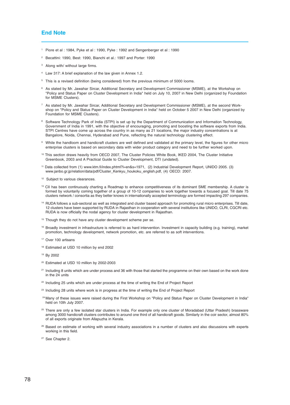#### **End Note**

- <sup>1</sup> Piore et al : 1984, Pyke et al : 1990, Pyke : 1992 and Sengenberger et al : 1990
- <sup>2</sup> Becattini: 1990, Best: 1990, Bianchi et al.: 1997 and Porter: 1990
- <sup>3</sup> Along with/ without large firms.
- <sup>4</sup> Law 317: A brief explanation of the law given in Annex 1.2.
- <sup>5</sup> This is a revised definition (being considered) from the previous minimum of 5000 looms.
- <sup>6</sup> As stated by Mr. Jawahar Sircar, Additional Secretary and Development Commissioner (MSME), at the Workshop on "Policy and Status Paper on Cluster Development in India" held on July 10, 2007 in New Delhi (organized by Foundation for MSME Clusters).
- $7$  As stated by Mr. Jawahar Sircar, Additional Secretary and Development Commissioner (MSME), at the second Workshop on "Policy and Status Paper on Cluster Development in India" held on October 5 2007 in New Delhi (organized by Foundation for MSME Clusters).
- <sup>8</sup> Software Technology Park of India (STPI) is set up by the Department of Communication and Information Technology, Government of India in 1991, with the objective of encouraging, promoting and boosting the software exports from India. STPI Centres have come up across the country in as many as 21 locations, the major industry concentrations is at Bangalore, Noida, Chennai, Hyderabad and Pune, reflecting the natural technology clustering effect.
- <sup>9</sup> While the handloom and handicraft clusters are well defined and validated at the primary level, the figures for other micro enterprise clusters is based on secondary data with wider product category and need to be further worked upon.
- <sup>10</sup> This section draws heavily from OECD 2007, The Cluster Policies White Book, IKED 2004, The Cluster Initiative Greenbook, 2003 and A Practical Guide to Cluster Development, DTI (undated).
- <sup>11</sup> Data collected from (1) www.ktm.fi/index.phtml?l=en&s=1971, (2) Industrial Development Report, UNIDO 2005. (3) www.janbo.gr.jp/relation/data/pdf/Cluster\_Kenkyu\_houkoku\_english.pdf, (4) OECD: 2007.
- <sup>12</sup> Subject to various clearances.
- <sup>13</sup> CII has been continuously charting a Roadmap to enhance competitiveness of its dominant SME membership. A cluster is formed by voluntarily coming together of a group of 10-12 companies to work together towards a focused goal. Till date 75 clusters network / consortia as they better knows in internationally accepted terminology are formed impacting 297 companies.
- <sup>14</sup> RUDA follows a sub-sectoral as well as integrated and cluster based approach for promoting rural micro enterprises. Till date, 12 clusters have been supported by RUDA in Rajasthan in cooperation with several institutions like UNIDO, CLRI, CGCRI etc. RUDA is now officially the nodal agency for cluster development in Rajasthan.
- <sup>15</sup> Though they do not have any cluster development scheme per se.
- <sup>16</sup> Broadly investment in infrastructure is referred to as hard intervention. Investment in capacity building (e.g. training), market promotion, technology development, network promotion, etc. are referred to as soft interventions.
- <sup>17</sup> Over 100 artisans
- <sup>18</sup> Estimated at USD 10 million by end 2002
- <sup>19</sup> By 2002
- <sup>20</sup> Estimated at USD 10 million by 2002-2003
- <sup>21</sup> Including 8 units which are under process and 36 with those that started the programme on their own based on the work done in the 24 units
- <sup>22</sup> Including 25 units which are under process at the time of writing the End of Project Report
- <sup>23</sup> Including 28 units where work is in progress at the time of writing the End of Project Report
- <sup>24</sup> Many of these issues were raised during the First Workshop on "Policy and Status Paper on Cluster Development in India" held on 10th July 2007.
- <sup>25</sup> There are only a few isolated star clusters in India. For example only one cluster of Moradabad (Uttar Pradesh) brassware among 3000 handicraft clusters contributes to around one third of all handicraft goods. Similarly in the coir sector, almost 80% of all exports originate from Allapuzha in Kerala.
- <sup>26</sup> Based on estimate of working with several industry associations in a number of clusters and also discussions with experts working in this field.
- <sup>27</sup> See Chapter 2.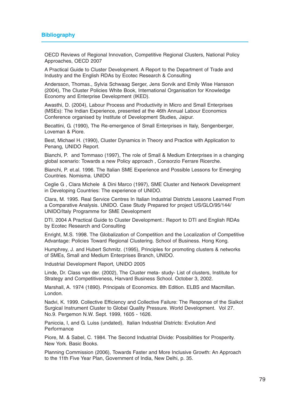OECD Reviews of Regional Innovation, Competitive Regional Clusters, National Policy Approaches, OECD 2007

A Practical Guide to Cluster Development. A Report to the Department of Trade and Industry and the English RDAs by Ecotec Research & Consulting

Andersson, Thomas., Sylvia Schwaag Serger, Jens Sorvik and Emily Wise Hansson (2004), The Cluster Policies White Book, International Organisation for Knowledge Economy and Enterprise Development (IKED).

Awasthi, D. (2004), Labour Process and Productivity in Micro and Small Enterprises (MSEs): The Indian Experience, presented at the 46th Annual Labour Economics Conference organised by Institute of Development Studies, Jaipur.

Becattini, G. (1990), The Re-emergence of Small Enterprises in Italy, Sengenberger, Loveman & Piore.

Best, Michael H. (1990), Cluster Dynamics in Theory and Practice with Application to Penang, UNIDO Report.

Bianchi, P. and Tommaso (1997), The role of Small & Medium Enterprises in a changing global scenario: Towards a new Policy approach , Consorzio Ferrare Ricerche.

Bianchi, P. et.al. 1996. The Italian SME Experience and Possible Lessons for Emerging Countries. Nomisma. UNIDO

Ceglie G , Clara Michele & Dini Marco (1997), SME Cluster and Network Development in Developing Countries: The experience of UNIDO.

Clara, M. 1995. Real Service Centres In Italian Industrial Districts Lessons Learned From a Comparative Analysis. UNIDO. Case Study Prepared for project US/GLO/95/144/ UNIDO/Italy Programme for SME Development

DTI. 2004 A Practical Guide to Cluster Development.: Report to DTI and English RDAs by Ecotec Research and Consulting

Enright, M.S. 1998. The Globalization of Competition and the Localization of Competitive Advantage: Policies Toward Regional Clustering. School of Business. Hong Kong.

Humphrey, J. and Hubert Schmitz. (1995), Principles for promoting clusters & networks of SMEs, Small and Medium Enterprises Branch, UNIDO.

Industrial Development Report, UNIDO 2005

Linde, Dr. Class van der. (2002), The Cluster meta- study- List of clusters, Institute for Strategy and Competitiveness, Harvard Business School. October 3, 2002.

Marshall, A. 1974 (1890). Principals of Economics. 8th Edition. ELBS and Macmillan. London.

Nadvi, K. 1999. Collective Efficiency and Collective Failure: The Response of the Sialkot Surgical Instrument Cluster to Global Quality Pressure. World Development. Vol 27. No.9. Pergemon N.W. Sept. 1999, 1605 - 1626.

Paniccia, I, and G. Luiss (undated), Italian Industrial Districts: Evolution And **Performance** 

Piore, M. & Sabel, C. 1984. The Second Industrial Divide: Possibilities for Prosperity. New York. Basic Books.

Planning Commission (2006), Towards Faster and More Inclusive Growth: An Approach to the 11th Five Year Plan, Government of India, New Delhi, p. 35.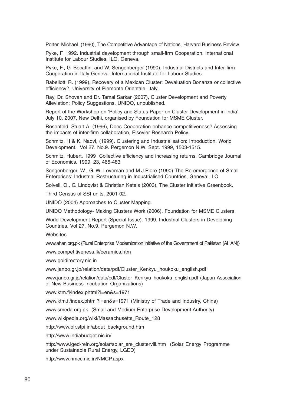Porter, Michael. (1990), The Competitive Advantage of Nations, Harvard Business Review.

Pyke, F. 1992. Industrial development through small-firm Cooperation. International Institute for Labour Studies. ILO. Geneva.

Pyke, F., G. Becattini and W. Sengenberger (1990), Industrial Districts and Inter-firm Cooperation in Italy Geneva: International Institute for Labour Studies

Rabellotti R. (1999), Recovery of a Mexican Cluster: Devaluation Bonanza or collective efficiency?, University of Piemonte Orientale, Italy.

Ray, Dr. Shovan and Dr. Tamal Sarkar (2007), Cluster Development and Poverty Alleviation: Policy Suggestions, UNIDO, unpublished.

Report of the Workshop on 'Policy and Status Paper on Cluster Development in India', July 10, 2007, New Delhi, organised by Foundation for MSME Cluster.

Rosenfeld, Stuart A. (1996), Does Cooperation enhance competitiveness? Assessing the impacts of inter-firm collaboration, Elsevier Research Policy.

Schmitz, H & K. Nadvi, (1999). Clustering and Industrialisation: Introduction. World Development. Vol 27. No.9. Pergemon N.W. Sept. 1999, 1503-1515.

Schmitz, Hubert. 1999 Collective efficiency and increasing returns. Cambridge Journal of Economics. 1999, 23, 465-483

Sengenberger, W., G. W. Loveman and M.J.Piore (1990) The Re-emergence of Small Enterprises: Industrial Restructuring in Industrialised Countries, Geneva: ILO

Solvell, O., G. Lindqvist & Christian Ketels (2003), The Cluster initiative Greenbook.

Third Census of SSI units, 2001-02.

UNIDO (2004) Approaches to Cluster Mapping.

UNIDO Methodology- Making Clusters Work (2006), Foundation for MSME Clusters

World Development Report (Special Issue). 1999. Industrial Clusters in Developing Countries. Vol 27. No.9. Pergemon N.W.

**Websites** 

www.ahan.org.pk {Rural Enterprise Modemization initiative of the Government of Pakistan (AHAN)}

www.competitiveness.lk/ceramics.htm

www.goidirectory.nic.in

www.janbo.gr.jp/relation/data/pdf/Cluster\_Kenkyu\_houkoku\_english.pdf

www.janbo.gr.jp/relation/data/pdf/Cluster\_Kenkyu\_houkoku\_english.pdf (Japan Association of New Business Incubation Organizations)

www.ktm.fi/index.phtml?l=en&s=1971

www.ktm.fi/index.phtml?l=en&s=1971 (Ministry of Trade and Industry, China)

www.smeda.org.pk (Small and Medium Enterprise Development Authority)

www.wikipedia.org/wiki/Massachusetts\_Route\_128

http://www.blr.stpi.in/about\_background.htm

http://www.indiabudget.nic.in/

http://www.lged-rein.org/solar/solar\_sre\_clustervill.htm (Solar Energy Programme under Sustainable Rural Energy, LGED)

http://www.nmcc.nic.in/NMCP.aspx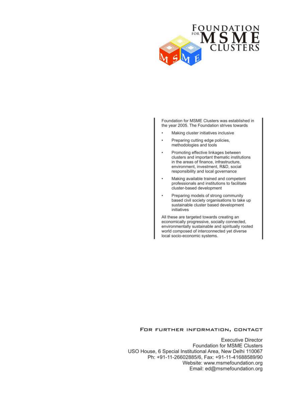

Foundation for MSME Clusters was established in the year 2005. The Foundation strives towards

- Making cluster initiatives inclusive
- . Preparing cutting edge policies. methodologies and tools
- Promoting effective linkages between clusters and important thematic institutions in the areas of finance, infrastructure, environment, investment, R&D, social responsibility and local governance
- Making available trained and competent ٠ professionals and institutions to facilitate cluster-based development
- Preparing models of strong community based civil society organisations to take up sustainable cluster based development initiatives

All these are targeted towards creating an economically progressive, socially connected, environmentally sustainable and spiritually rooted world composed of interconnected yet diverse local socio-economic systems.

#### FOR FURTHER INFORMATION, CONTACT

**Executive Director** Foundation for MSME Clusters USO House, 6 Special Institutional Area, New Delhi 110067 Ph: +91-11-26602885/6, Fax: +91-11-41688589/90 Website: www.msmefoundation.org Email: ed@msmefoundation.org